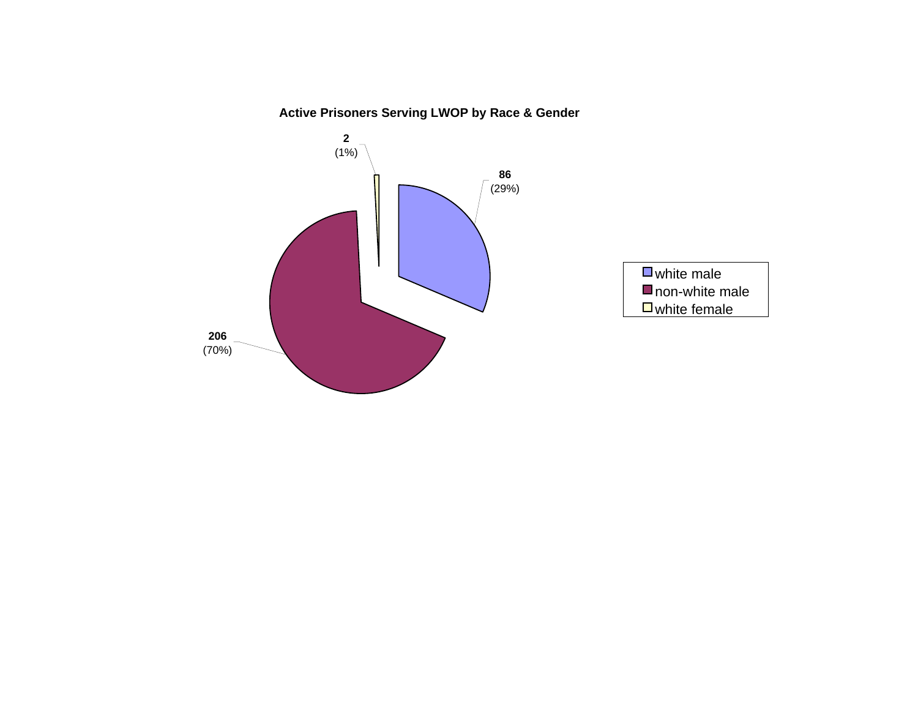# **Active Prisoners Serving LWOP by Race & Gender**

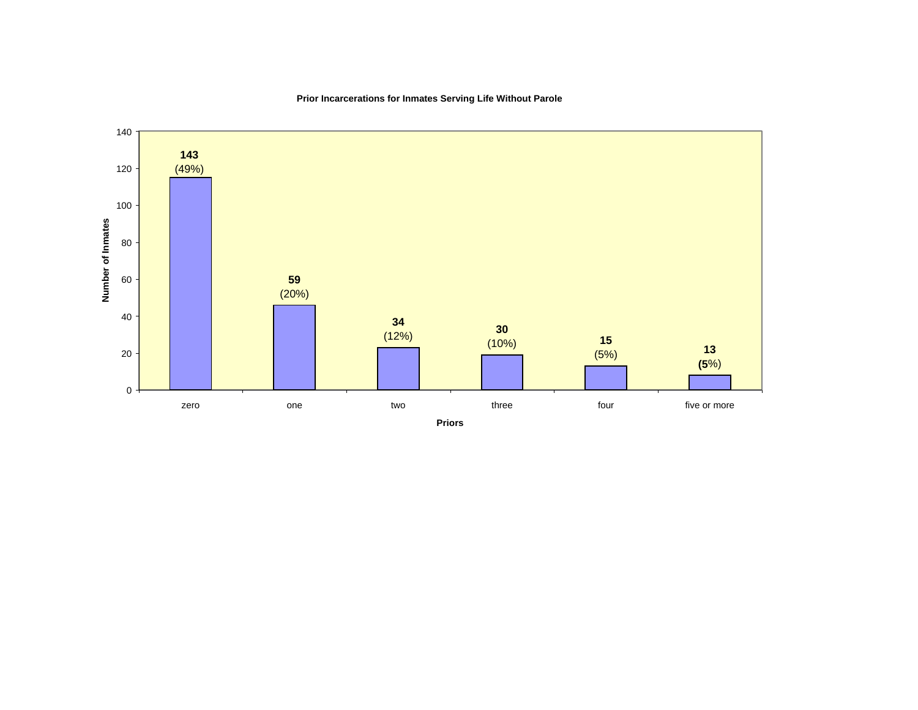

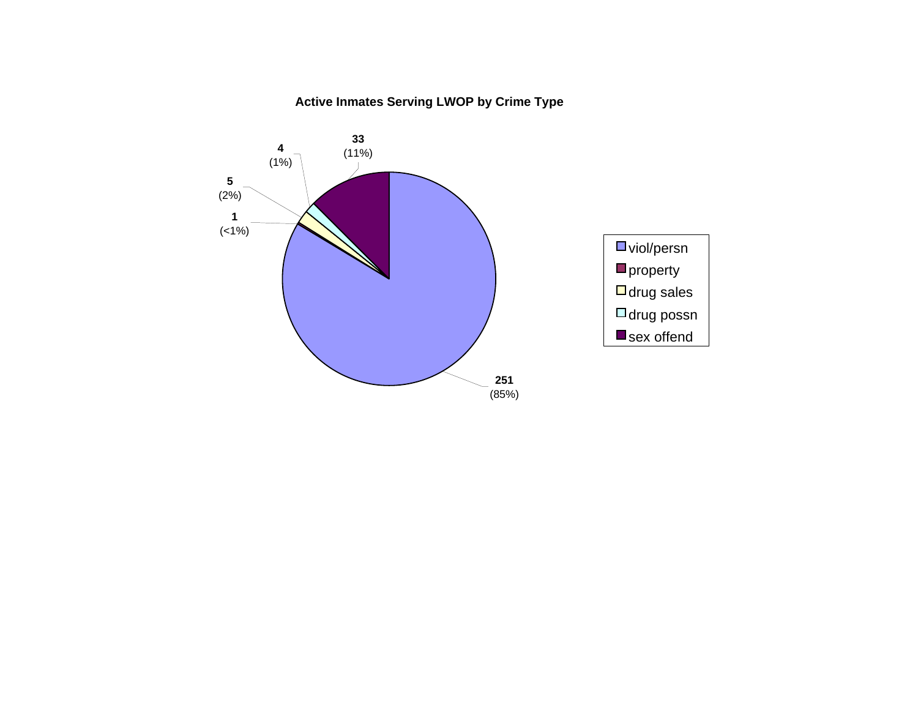### **Active Inmates Serving LWOP by Crime Type**

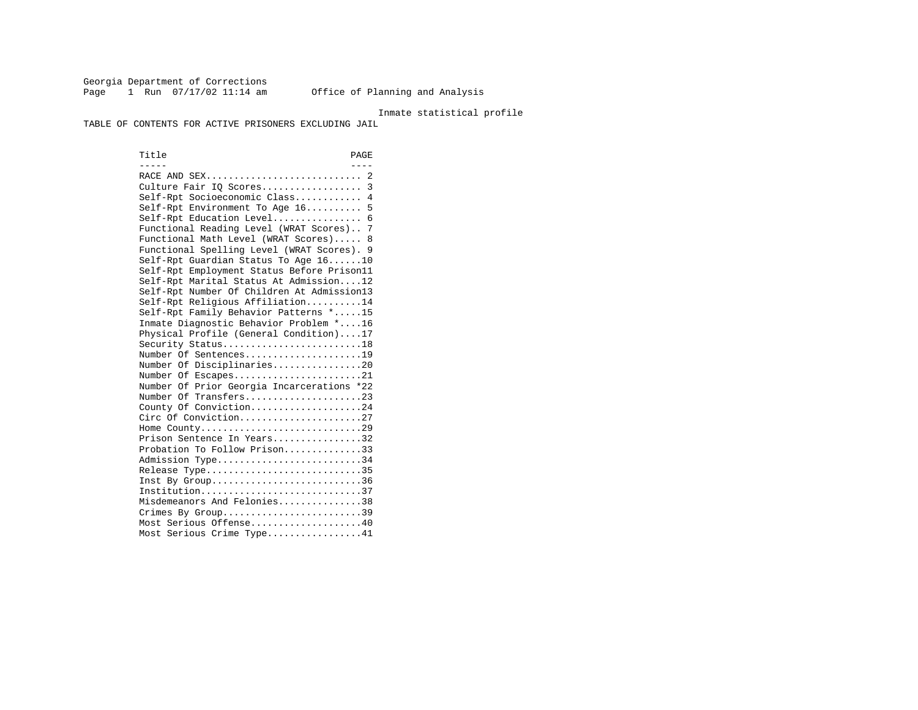Georgia Department of Corrections Page 1 Run 07/17/02 11:14 am Office of Planning and Analysis

### Inmate statistical profile

TABLE OF CONTENTS FOR ACTIVE PRISONERS EXCLUDING JAIL

Title PAGE ----- ---- RACE AND SEX............................ 2 Culture Fair IQ Scores.................. 3 Self-Rpt Socioeconomic Class............ 4 Self-Rpt Environment To Age 16.......... 5 Self-Rpt Education Level................ 6 Functional Reading Level (WRAT Scores).. 7 Functional Math Level (WRAT Scores)..... 8 Functional Spelling Level (WRAT Scores). 9 Self-Rpt Guardian Status To Age 16......10 Self-Rpt Employment Status Before Prison11 Self-Rpt Marital Status At Admission....12 Self-Rpt Number Of Children At Admission13 Self-Rpt Religious Affiliation..........14 Self-Rpt Family Behavior Patterns \*.....15 Inmate Diagnostic Behavior Problem \*....16 Physical Profile (General Condition)....17 Security Status...........................18 Number Of Sentences.....................19 Number Of Disciplinaries................20 Number Of Escapes........................21 Number Of Prior Georgia Incarcerations \*22 Number Of Transfers.....................23 County Of Conviction....................24 Circ Of Conviction......................27 Home County.............................29 Prison Sentence In Years................32 Probation To Follow Prison..............33Admission Type............................34 Release Type..............................35 Inst By Group..............................36 Institution.............................37 Misdemeanors And Felonies...............38 Crimes By Group.............................39 Most Serious Offense....................40 Most Serious Crime Type.................41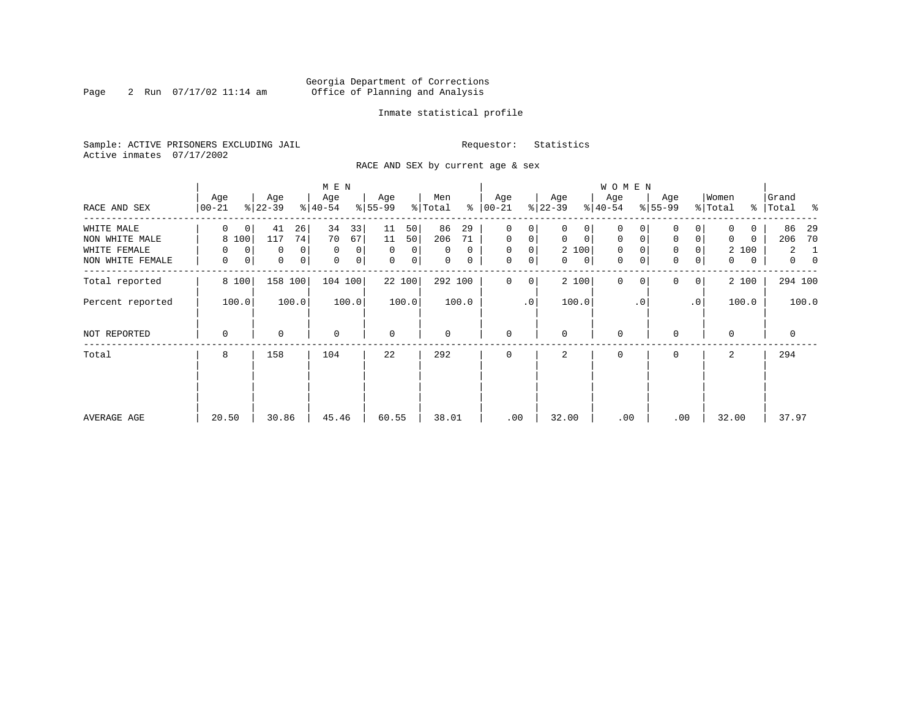### Georgia Department of Corrections Page 2 Run 07/17/02 11:14 am Office of Planning and Analysis

### Inmate statistical profile

Sample: ACTIVE PRISONERS EXCLUDING JAIL **Requestor:** Statistics Active inmates 07/17/2002

RACE AND SEX by current age & sex

|                                  |                  |                             | M E N                      |                                    |                         |                                      |                             | <b>WOMEN</b>               |                                                   |                            |                               |
|----------------------------------|------------------|-----------------------------|----------------------------|------------------------------------|-------------------------|--------------------------------------|-----------------------------|----------------------------|---------------------------------------------------|----------------------------|-------------------------------|
| RACE AND SEX                     | Age<br>00-21     | Age<br>$ 22-39 $            | Age<br>$ 40-54 $           | Age<br>$8 55-99$                   | Men<br>% Total          | Age<br>$8   00 - 21$                 | Age<br>$ 22-39 $            | Age<br>$ 40-54 $           | Age<br>$8 55-99$                                  | Women<br>% Total           | Grand<br>% Total %            |
| WHITE MALE                       | $\Omega$<br>0    | 26<br>41                    | 34<br>33                   | 50 <br>11                          | 86<br>29                | 0<br>0                               | 0<br>0                      | 0                          |                                                   |                            | 86<br>-29                     |
| NON WHITE MALE                   | 8 100            | 74<br>117                   | 70<br>67                   | 11<br>50                           | 206<br>71               | $\mathbf 0$<br>0                     | $\mathbf 0$<br>$\mathbf{0}$ | $\mathbf 0$<br>$\mathbf 0$ | $\mathbf 0$<br>$\overline{0}$                     | $\Omega$<br>$\Omega$       | 206<br>70                     |
| WHITE FEMALE<br>NON WHITE FEMALE | 0<br>0<br>0<br>0 | 0<br>0<br>0<br>$\mathsf{O}$ | $\mathbf 0$<br>0<br>0<br>0 | $\Omega$<br>0<br>$\mathbf 0$<br> 0 | $\Omega$<br>0<br>0<br>0 | $\mathbf 0$<br>0<br>0<br>$\mathbf 0$ | 2 100<br>$\mathbf{0}$<br>0  | $\mathbf 0$<br>0<br>0      | $\mathbf 0$<br>0<br>$\mathbf 0$<br>$\overline{0}$ | 2 100<br>0<br>$\mathbf{0}$ | 2<br>1<br>$\overline{0}$<br>0 |
| Total reported                   | 8 100            | 158<br>100                  | 104 100                    | 22 100                             | 292 100                 | 0<br>0                               | 2 100                       | $\mathbf{0}$<br>$\Omega$   | $\Omega$<br>0 <sup>1</sup>                        | 2 100                      | 294 100                       |
| Percent reported                 | 100.0            | 100.0                       | 100.0                      | 100.0                              | 100.0                   | $\cdot$ 0                            | 100.0                       | $\cdot$ 0                  | .0 <sup>1</sup>                                   | 100.0                      | 100.0                         |
| NOT REPORTED                     | 0                | 0                           | $\mathbf 0$                | $\mathbf 0$                        | 0                       | $\mathbf 0$                          | $\Omega$                    | 0                          | $\Omega$                                          | $\Omega$                   | $\mathbf 0$                   |
| Total                            | 8                | 158                         | 104                        | 22                                 | 292                     | $\Omega$                             | 2                           | 0                          | $\Omega$                                          | 2                          | 294                           |
|                                  |                  |                             |                            |                                    |                         |                                      |                             |                            |                                                   |                            |                               |
| AVERAGE AGE                      | 20.50            | 30.86                       | 45.46                      | 60.55                              | 38.01                   | .00                                  | 32.00                       | .00                        | .00                                               | 32.00                      | 37.97                         |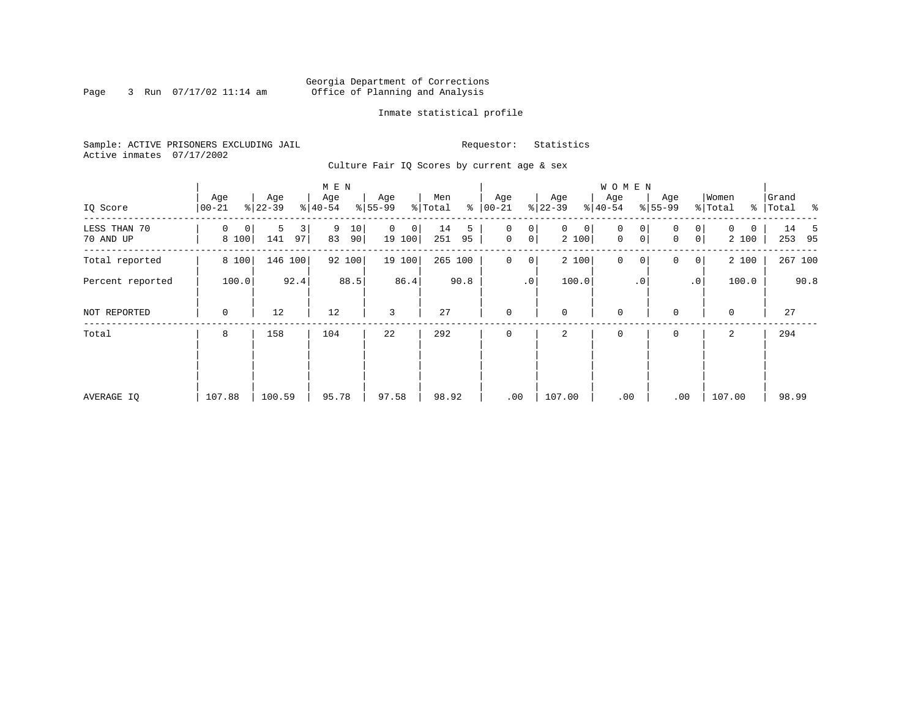### Georgia Department of Corrections<br>3 Run 07/17/02 11:14 am 6ffice of Planning and Analysis Page 3 Run 07/17/02 11:14 am Office of Planning and Analysis

### Inmate statistical profile

Sample: ACTIVE PRISONERS EXCLUDING JAIL **Requestor:** Statistics Active inmates 07/17/2002

Culture Fair IQ Scores by current age & sex

|                           |                   |                     | M E N               |                             |                      |                               |                            | W O M E N                            |                                 |                               |                  |
|---------------------------|-------------------|---------------------|---------------------|-----------------------------|----------------------|-------------------------------|----------------------------|--------------------------------------|---------------------------------|-------------------------------|------------------|
| IQ Score                  | Age<br>$ 00-21$   | Age<br>$ 22-39 $    | Age<br>$ 40-54 $    | Age<br>$8 55-99$            | Men<br>% Total<br>៖  | Age<br>$ 00-21$               | Age<br>$ 22-39 $           | Age<br>$ 40-54 $                     | Age<br>$ 55-99 $                | Women<br>% Total<br>% $\vert$ | Grand<br>Total % |
| LESS THAN 70<br>70 AND UP | 0<br> 0 <br>8 100 | 3<br>5<br>97<br>141 | 9<br>10<br>83<br>90 | $\mathbf{0}$<br>0<br>19 100 | 14<br>5<br>251<br>95 | 0<br>0<br>0 <sup>1</sup><br>0 | $\mathbf{0}$<br>0<br>2 100 | 0<br>0<br>$\mathbf 0$<br>$\mathbf 0$ | 0 <sup>1</sup><br>0<br> 0 <br>0 | 0<br>0<br>2 100               | 14 5<br>253 95   |
| Total reported            | 8 100             | 146<br>100          | 92 100              | 19 100                      | 265 100              | $\mathbf 0$<br>0 <sup>1</sup> | 2 100                      | $\mathbf 0$<br>0                     | $\mathbf 0$<br>$\circ$          | 2 100                         | 267 100          |
| Percent reported          | 100.0             | 92.4                | 88.5                | 86.4                        | 90.8                 | .0 <sup>1</sup>               | 100.0                      | $\cdot$ 0                            | $\cdot$ 0                       | 100.0                         | 90.8             |
| NOT REPORTED              | 0                 | 12                  | 12                  | 3                           | 27                   | $\mathbf 0$                   | 0                          | $\mathbf 0$                          | $\mathbf 0$                     | $\mathbf 0$                   | 27               |
| Total                     | 8                 | 158                 | 104                 | 22                          | 292                  | $\Omega$                      | 2                          | 0                                    | 0                               | 2                             | 294              |
|                           |                   |                     |                     |                             |                      |                               |                            |                                      |                                 |                               |                  |
|                           |                   |                     |                     |                             |                      |                               |                            |                                      |                                 |                               |                  |
| AVERAGE IO                | 107.88            | 100.59              | 95.78               | 97.58                       | 98.92                | .00                           | 107.00                     | .00                                  | .00                             | 107.00                        | 98.99            |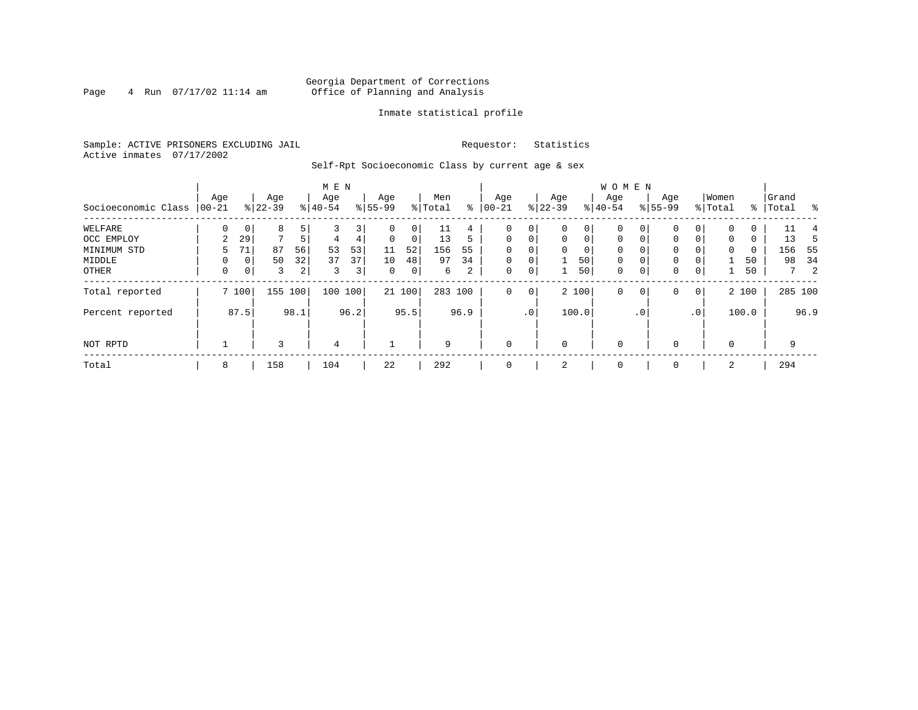### Georgia Department of Corrections Page 4 Run 07/17/02 11:14 am Office of Planning and Analysis

### Inmate statistical profile

Sample: ACTIVE PRISONERS EXCLUDING JAIL **Requestor:** Statistics Active inmates 07/17/2002

Self-Rpt Socioeconomic Class by current age & sex

|                     |                 |                |                  |      | M E N            |      |                  |        |                |             |                  |             |                  |             | <b>WOMEN</b>     |             |                  |                 |                  |       |                    |             |      |
|---------------------|-----------------|----------------|------------------|------|------------------|------|------------------|--------|----------------|-------------|------------------|-------------|------------------|-------------|------------------|-------------|------------------|-----------------|------------------|-------|--------------------|-------------|------|
| Socioeconomic Class | Age<br>$ 00-21$ |                | Age<br>$ 22-39 $ |      | Age<br>$8 40-54$ |      | Age<br>$8 55-99$ |        | Men<br>% Total | ៖           | Age<br>$00 - 21$ |             | Age<br>$ 22-39 $ |             | Age<br>$8 40-54$ |             | Age<br>$8 55-99$ |                 | Women<br>% Total |       | Grand<br>%   Total |             | း    |
| WELFARE             |                 |                | 8                |      |                  | 3    |                  | 0      | 11             | $4^{\circ}$ | 0                | 0           | $\Omega$         | 0           | $\Omega$         |             |                  |                 | $\Omega$         |       |                    | 11          |      |
| OCC EMPLOY          | 2               | 29             | 7                | 5    | 4                | 4    | $\Omega$         | 0      | 13             | 5           | $\mathbf{0}$     | $\mathbf 0$ | $\Omega$         | $\mathbf 0$ | $\Omega$         | $\Omega$    | $\Omega$         | $\Omega$        | $\Omega$         | 0     |                    | 13          | 5    |
| MINIMUM STD         | 5               | 71             | 87               | 56   | 53               | 53   | 11               | 52     | 156            | 55          | $\Omega$         |             | $\mathbf 0$      | 0           | 0                | $\Omega$    | 0                |                 | 0                | 0     |                    | 156         | - 55 |
| MIDDLE              |                 | $\circ$        | 50               | 32   | 37               | 37   | 10               | 48     | 97             | 34          | $\mathbf 0$      | 0           |                  | 50          | $\mathbf 0$      | 0           | 0                |                 |                  | 50    |                    | 98          | 34   |
| OTHER               | 0               | 0 <sup>1</sup> | 3                | 2    | 3                | 3    | $\mathbf 0$      | 0      | 6              | 2           | 0                | 0           | 1                | 50          | $\mathbf 0$      | $\mathbf 0$ | 0                | 0               |                  | 50    |                    | $7^{\circ}$ | 2    |
| Total reported      |                 | 7 100          | 155              | 100  | 100              | 100  |                  | 21 100 | 283 100        |             | $\mathbf 0$      | $\mathbf 0$ |                  | 2 100       | $\mathbf 0$      | 0           | 0                | $\overline{0}$  |                  | 2 100 |                    | 285 100     |      |
| Percent reported    |                 | 87.5           |                  | 98.1 |                  | 96.2 |                  | 95.5   |                | 96.9        |                  | $\cdot$ 0   |                  | 100.0       |                  | $\cdot$ 0   |                  | .0 <sup>1</sup> |                  | 100.0 |                    |             | 96.9 |
| NOT RPTD            |                 |                | ς                |      | $\overline{4}$   |      |                  |        | 9              |             | $\mathbf{0}$     |             | $\mathbf 0$      |             | $\mathbf 0$      |             |                  |                 | $\Omega$         |       |                    | 9           |      |
| Total               | 8               |                | 158              |      | 104              |      | 22               |        | 292            |             | $\mathbf{0}$     |             | 2                |             | $\mathbf 0$      |             | 0                |                 | 2                |       |                    | 294         |      |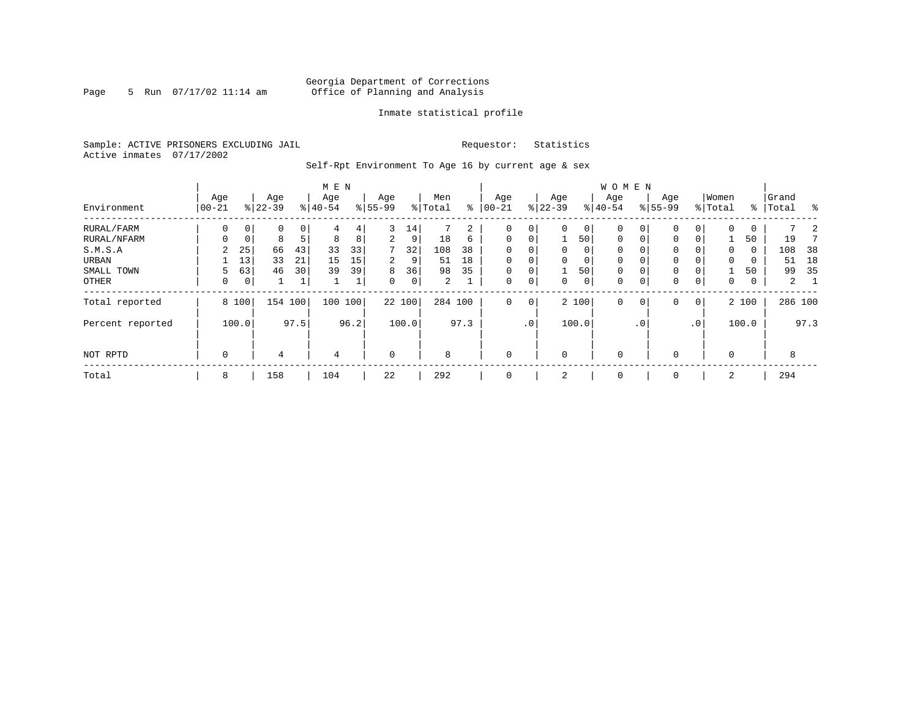### Georgia Department of Corrections Page 5 Run 07/17/02 11:14 am Office of Planning and Analysis

### Inmate statistical profile

Sample: ACTIVE PRISONERS EXCLUDING JAIL **Requestor:** Statistics Active inmates 07/17/2002

Self-Rpt Environment To Age 16 by current age & sex

|                  |                |                | M E N            |      |                  |      |                  |        | W O M E N      |      |                 |             |                  |          |                  |           |                    |                 |                  |       |                |      |
|------------------|----------------|----------------|------------------|------|------------------|------|------------------|--------|----------------|------|-----------------|-------------|------------------|----------|------------------|-----------|--------------------|-----------------|------------------|-------|----------------|------|
| Environment      | Age<br>  00-21 |                | Age<br>$8 22-39$ |      | Age<br>$8 40-54$ |      | Age<br>$8 55-99$ |        | Men<br>% Total | နွ   | Age<br>$ 00-21$ |             | Age<br>$8 22-39$ |          | Age<br>$8 40-54$ |           | Age<br>$8155 - 99$ |                 | Women<br>% Total | ႜ     | Grand<br>Total | န္   |
| RURAL/FARM       | 0              | 0 <sup>1</sup> | 0                | 0    | 4                | 4    | 3                | 14     |                | 2    | $\mathbf 0$     | 0           | $\Omega$         | 0        | 0                | 0         | $\mathbf 0$        |                 | $\Omega$         | 0     |                |      |
| RURAL/NFARM      | $\Omega$       | $\mathbf 0$    | 8                | 5    | 8                | 8    | 2                | 9      | 18             | 6    | $\mathbf 0$     | $\mathbf 0$ |                  | 50       | $\mathbf 0$      |           | $\mathbf{0}$       | $\Omega$        |                  | 50    | 19             |      |
| S.M.S.A          | 2              | 25             | 66               | 43   | 33               | 33   | 7                | 32     | 108            | 38   | $\mathbf 0$     | 0           | $\mathbf{0}$     | $\Omega$ | 0                |           | $\mathbf{0}$       |                 | $\mathbf 0$      | 0     | 108            | 38   |
| URBAN            |                | 13             | 33               | 21   | 15               | 15   | 2                | 9      | 51             | 18   | $\mathbf 0$     | $\mathbf 0$ | $\Omega$         | 0        | 0                |           | $\mathbf 0$        |                 | $\mathbf 0$      | 0     | 51             | 18   |
| SMALL TOWN       | 5              | 63             | 46               | 30   | 39               | 39   | 8                | 36     | 98             | 35   | $\mathbf 0$     | 0           |                  | 50       | 0                |           | $\mathbf 0$        |                 |                  | 50    | 99             | 35   |
| OTHER            | 0              | 0 <sup>1</sup> |                  | 1    |                  | ┻    | $\Omega$         | 0      | 2              |      | $\mathbf 0$     | 0           | $\Omega$         | 0        | 0                |           | $\mathbf{0}$       | 0               | $\mathbf 0$      | 0     | $\overline{2}$ |      |
| Total reported   |                | 8 100          | 154              | 100  | 100              | 100  |                  | 22 100 | 284 100        |      | $\mathbf 0$     | $\mathbf 0$ |                  | 2 100    | 0                | 0         | $\mathbf{0}$       | 0               |                  | 2 100 | 286 100        |      |
| Percent reported |                | 100.0          |                  | 97.5 |                  | 96.2 |                  | 100.0  |                | 97.3 |                 | $\cdot$ 0   |                  | 100.0    |                  | $\cdot$ 0 |                    | .0 <sup>′</sup> |                  | 100.0 |                | 97.3 |
| NOT RPTD         | $\mathbf 0$    |                | 4                |      | $\overline{4}$   |      | $\mathbf 0$      |        | 8              |      | $\mathbf 0$     |             | $\Omega$         |          | $\mathbf 0$      |           | $\mathbf 0$        |                 | $\Omega$         |       | 8              |      |
| Total            | 8              |                | 158              |      | 104              |      | 22               |        | 292            |      | 0               |             | 2                |          | 0                |           | 0                  |                 | 2                |       | 294            |      |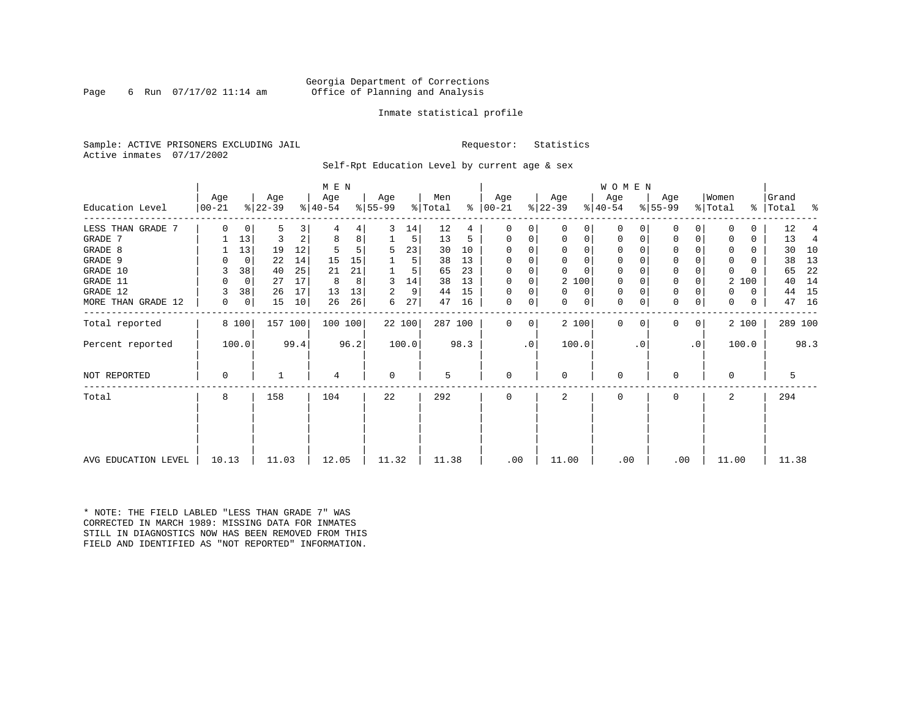### Georgia Department of Corrections<br>6 Run 07/17/02 11:14 am 6ffice of Planning and Analysis Page 6 Run 07/17/02 11:14 am Office of Planning and Analysis

### Inmate statistical profile

Sample: ACTIVE PRISONERS EXCLUDING JAIL **Requestor:** Statistics Active inmates 07/17/2002

Self-Rpt Education Level by current age & sex

|                     |                  |       |                  |      | M E N            |      |                 |        |                |      |                 |    |                    |          | W O M E N        |          |                  |           |                  |       |                    |         |     |
|---------------------|------------------|-------|------------------|------|------------------|------|-----------------|--------|----------------|------|-----------------|----|--------------------|----------|------------------|----------|------------------|-----------|------------------|-------|--------------------|---------|-----|
| Education Level     | Age<br>$00 - 21$ |       | Age<br>$ 22-39 $ |      | Age<br>$ 40-54 $ |      | Age<br>$ 55-99$ |        | Men<br>% Total | ⊱    | Age<br>$ 00-21$ |    | Age<br>$ 22 - 39 $ |          | Age<br>$ 40-54 $ |          | Age<br>$8 55-99$ |           | Women<br>% Total |       | Grand<br>%   Total |         | ್ಠಿ |
|                     |                  |       |                  |      |                  |      |                 |        |                |      |                 |    |                    |          |                  |          |                  |           |                  |       |                    |         |     |
| LESS THAN GRADE 7   | $\Omega$         | 0     | 5                | 3    |                  | 4    | 3               | 14     | 12             | 4    | 0               | 0  | $\Omega$           | 0        | 0                | 0        | 0                |           |                  |       | 12                 |         |     |
| GRADE 7             |                  | 13    | 3                | 2    | 8                | 8    |                 | 5      | 13             | 5    | $\Omega$        | 0  | 0                  | 0        | 0                | 0        | $\Omega$         |           |                  | 0     | 13                 |         | 4   |
| GRADE 8             |                  | 13    | 19               | 12   |                  |      | 5               | 23     | 30             | 10   | $\Omega$        |    | $\Omega$           | 0        | 0                |          | $\Omega$         |           |                  | 0     | 30                 |         | 10  |
| GRADE 9             |                  | 0     | 22               | 14   | 15               | 15   |                 | 5      | 38             | 13   | 0               | 0  | $\Omega$           | $\Omega$ | 0                | $\Omega$ | 0                |           | <sup>0</sup>     | U     | 38                 |         | 13  |
| GRADE 10            | 3                | 38    | 40               | 25   | 21               | 21   |                 | 5      | 65             | 23   | $\Omega$        | 0  | $\Omega$           | $\Omega$ | 0                | $\Omega$ | 0                |           | $\Omega$         |       | 65                 |         | 22  |
| GRADE 11            |                  | 0     | 27               | 17   | 8                | 8    | 3               | 14     | 38             | 13   | $\Omega$        |    | 2 100              |          | 0                |          | $\Omega$         |           | 2                | 100   | 40                 |         | 14  |
| GRADE 12            |                  | 38    | 26               | 17   | 13               | 13   | 2               | 9      | 44             | 15   | $\Omega$        | 0  | $\Omega$           | 0        | 0                | $\Omega$ | 0                |           | 0                | 0     | 44                 |         | 15  |
| MORE THAN GRADE 12  | 0                | 0     | 15               | 10   | 26               | 26   | 6               | 27     | 47             | 16   | 0               | 0  | $\Omega$           | 0        | 0                | 0        | 0                | 0         | $\Omega$         | 0     | 47                 | 16      |     |
| Total reported      |                  | 8 100 | 157 100          |      | 100 100          |      |                 | 22 100 | 287 100        |      | $\Omega$        | 0  | 2 100              |          | $\mathbf 0$      | $\Omega$ | 0                | 0         |                  | 2 100 |                    | 289 100 |     |
| Percent reported    |                  | 100.0 |                  | 99.4 |                  | 96.2 |                 | 100.0  |                | 98.3 |                 | .0 | 100.0              |          |                  | . 0      |                  | $\cdot$ 0 |                  | 100.0 |                    | 98.3    |     |
| NOT REPORTED        | $\Omega$         |       |                  |      | 4                |      | $\mathbf 0$     |        | 5              |      | $\mathbf 0$     |    | $\Omega$           |          | $\mathbf 0$      |          | $\Omega$         |           | $\Omega$         |       |                    | 5       |     |
| Total               | 8                |       | 158              |      | 104              |      | 22              |        | 292            |      | $\Omega$        |    | $\mathbf{2}$       |          | $\Omega$         |          | $\Omega$         |           | $\overline{a}$   |       | 294                |         |     |
|                     |                  |       |                  |      |                  |      |                 |        |                |      |                 |    |                    |          |                  |          |                  |           |                  |       |                    |         |     |
| AVG EDUCATION LEVEL | 10.13            |       | 11.03            |      | 12.05            |      | 11.32           |        | 11.38          |      | .00             |    | 11.00              |          | .00              |          | .00              |           | 11.00            |       |                    | 11.38   |     |

\* NOTE: THE FIELD LABLED "LESS THAN GRADE 7" WAS CORRECTED IN MARCH 1989: MISSING DATA FOR INMATES STILL IN DIAGNOSTICS NOW HAS BEEN REMOVED FROM THIS FIELD AND IDENTIFIED AS "NOT REPORTED" INFORMATION.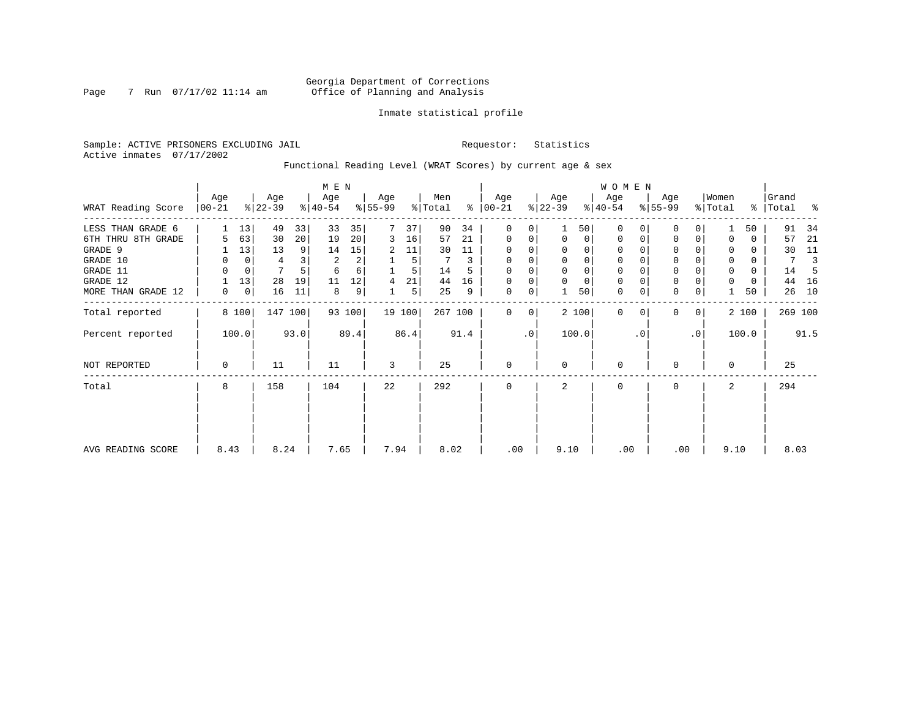### Georgia Department of Corrections<br>7 Run 07/17/02 11:14 am 6ffice of Planning and Analysis Page 7 Run 07/17/02 11:14 am Office of Planning and Analysis

### Inmate statistical profile

Sample: ACTIVE PRISONERS EXCLUDING JAIL **Requestor:** Statistics Active inmates 07/17/2002

Functional Reading Level (WRAT Scores) by current age & sex

|                    |                 |       |                  |         | M E N            |        |                  |        |                |      |                 |           |                  |          | <b>WOMEN</b>     |           |                  |             |                  |       |                 |      |
|--------------------|-----------------|-------|------------------|---------|------------------|--------|------------------|--------|----------------|------|-----------------|-----------|------------------|----------|------------------|-----------|------------------|-------------|------------------|-------|-----------------|------|
| WRAT Reading Score | Age<br>$ 00-21$ |       | Age<br>$ 22-39 $ |         | Age<br>$ 40-54 $ |        | Age<br>$ 55-99 $ |        | Men<br>% Total | ႜႂ   | Age<br>$ 00-21$ |           | Age<br>$ 22-39 $ |          | Age<br>$ 40-54 $ |           | Age<br>$ 55-99 $ |             | Women<br>% Total | ွေ    | Grand<br> Total | ႜ    |
| LESS THAN GRADE 6  |                 | 13    | 49               | 33      | 33               | 35     |                  | 37     | 90             | 34   | 0               | 0         |                  | 50       | 0                |           | 0                |             |                  | 50    | 91              | 34   |
| 6TH THRU 8TH GRADE | 5               | 63    | 30               | 20      | 19               | 20     | 3                | 16     | 57             | 21   | $\mathbf 0$     | 0         | $\mathbf 0$      | 0        | 0                | 0         | 0                | 0           |                  | 0     | 57              | 21   |
| GRADE 9            |                 | 13    | 13               | 9       | 14               | 15     | 2                | 11     | 30             | 11   | $\Omega$        | 0         |                  | 0        |                  |           | $\Omega$         |             |                  | 0     | 30              | 11   |
| GRADE 10           | 0               | 0     | 4                |         | 2                | 2      |                  | 5      |                | 3    | 0               | 0         |                  | $\Omega$ | 0                |           | 0                |             | 0                | 0     | 7               |      |
| GRADE 11           | $\Omega$        | 0     |                  |         | 6                | 6      |                  | 5      | 14             |      | $\Omega$        |           |                  |          |                  |           | $\mathbf 0$      |             | $\Omega$         | 0     | 14              |      |
| GRADE 12           |                 | 13    | 28               | 19      | 11               | 12     | 4                | 21     | 44             | 16   | $\Omega$        | 0         | $\Omega$         | $\Omega$ | 0                |           | 0                |             | $\Omega$         | 0     | 44              | 16   |
| MORE THAN GRADE 12 | 0               | 0     | 16               | 11      | 8                | 9      |                  | 5      | 25             | 9    | $\mathbf 0$     | 0         |                  | 50       | 0                |           | $\mathbf{0}$     | 0           |                  | 50    | 26              | 10   |
| Total reported     |                 | 8 100 |                  | 147 100 |                  | 93 100 |                  | 19 100 | 267 100        |      | $\Omega$        | 0         |                  | 2 100    | 0                | $\Omega$  | $\mathbf 0$      | $\mathbf 0$ |                  | 2 100 | 269 100         |      |
| Percent reported   |                 | 100.0 |                  | 93.0    |                  | 89.4   |                  | 86.4   |                | 91.4 |                 | $\cdot$ 0 | 100.0            |          |                  | $\cdot$ 0 |                  | $\cdot$ 0   |                  | 100.0 |                 | 91.5 |
| NOT REPORTED       | 0               |       | 11               |         | 11               |        | 3                |        | 25             |      | 0               |           | $\Omega$         |          | $\mathbf 0$      |           | 0                |             | $\Omega$         |       | 25              |      |
| Total              | 8               |       | 158              |         | 104              |        | 22               |        | 292            |      | $\mathbf 0$     |           | 2                |          | $\mathbf 0$      |           | $\mathbf 0$      |             | 2                |       | 294             |      |
|                    |                 |       |                  |         |                  |        |                  |        |                |      |                 |           |                  |          |                  |           |                  |             |                  |       |                 |      |
| AVG READING SCORE  | 8.43            |       | 8.24             |         | 7.65             |        | 7.94             |        | 8.02           |      | .00             |           | 9.10             |          | .00              |           | .00              |             | 9.10             |       | 8.03            |      |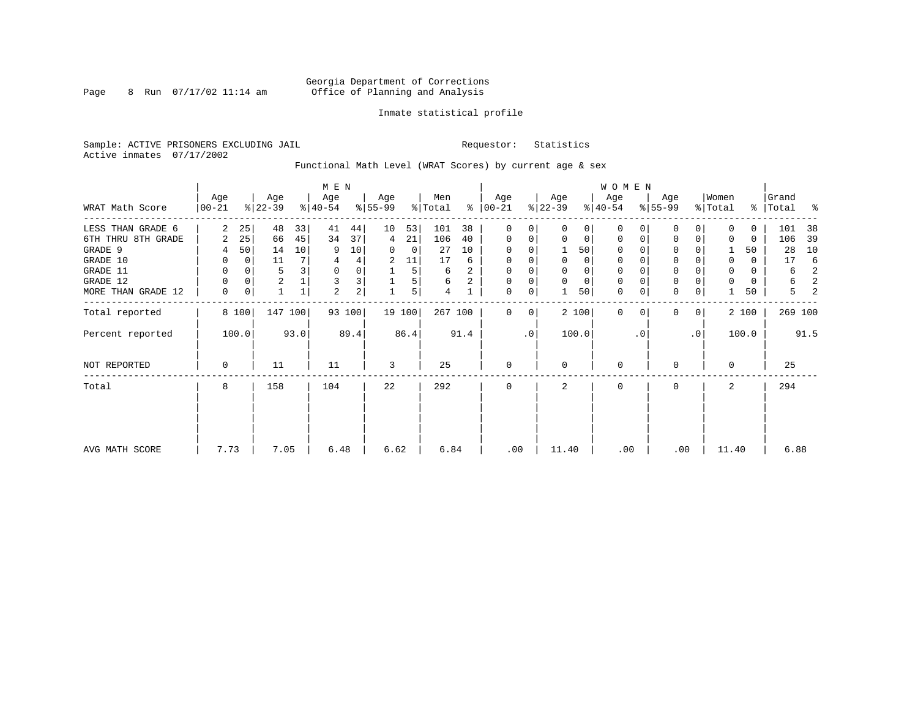### Georgia Department of Corrections Page 8 Run 07/17/02 11:14 am Office of Planning and Analysis

### Inmate statistical profile

Sample: ACTIVE PRISONERS EXCLUDING JAIL **Requestor:** Statistics Active inmates 07/17/2002

Functional Math Level (WRAT Scores) by current age & sex

|                    |                 |             |                  |              | M E N            |        |                  |        |                |      |                      |    |                  |             | <b>WOMEN</b>     |           |                  |                |                  |          |                    |      |
|--------------------|-----------------|-------------|------------------|--------------|------------------|--------|------------------|--------|----------------|------|----------------------|----|------------------|-------------|------------------|-----------|------------------|----------------|------------------|----------|--------------------|------|
| WRAT Math Score    | Age<br>$ 00-21$ |             | Age<br>$ 22-39 $ |              | Age<br>$ 40-54 $ |        | Age<br>$8 55-99$ |        | Men<br>% Total |      | Age<br>$8   00 - 21$ |    | Age<br>$ 22-39 $ |             | Age<br>$ 40-54 $ |           | Age<br>$8 55-99$ |                | Women<br>% Total |          | Grand<br>% Total % |      |
| LESS THAN GRADE 6  | 2               | 25          | 48               | 33           | 41               | 44     | 10               | 53     | 101            | 38   | 0                    | 0  | $\Omega$         | 0           | $\Omega$         | 0         | 0                | 0              | $\Omega$         | 0        | 101                | -38  |
| 6TH THRU 8TH GRADE | 2               | 25          | 66               | 45           | 34               | 37     | 4                | 21     | 106            | 40   | 0                    | 0  | 0                | 0           | 0                |           | $\Omega$         | 0              | 0                | 0        | 106                | 39   |
| GRADE 9            | 4               | 50          | 14               | 10           | 9                | 10     | 0                | 0      | 27             | 10   | 0                    |    |                  | 50          | 0                |           | U                |                |                  | 50       | 28                 | 10   |
| GRADE 10           | 0               | $\mathbf 0$ | 11               | 7            | 4                | 4      | 2                | 11     | 17             | 6    | 0                    |    | 0                | 0           | 0                |           | $\mathbf 0$      |                | 0                | $\Omega$ | 17                 | -6   |
| GRADE 11           | 0               | 0           | 5                |              | 0                | 0      |                  | 5      | 6              | 2    | 0                    |    |                  | 0           | $\Omega$         |           | $\Omega$         |                | 0                | 0        | 6                  | 2    |
| GRADE 12           | 0               | 0           | $\overline{c}$   |              | 3                | 3      |                  | 5      | 6              | 2    | 0                    | 0  | $\Omega$         | $\mathbf 0$ | 0                |           | $\mathbf 0$      |                | $\Omega$         | 0        | 6                  | 2    |
| MORE THAN GRADE 12 | $\mathbf 0$     | 0           |                  | $\mathbf{1}$ | $\overline{2}$   | 2      |                  | 5      | 4              |      | 0                    | 0  |                  | 50          | $\mathbf 0$      | 0         | $\mathbf 0$      | 0              |                  | 50       | 5                  | 2    |
| Total reported     |                 | 8 100       |                  | 147 100      |                  | 93 100 |                  | 19 100 | 267 100        |      | 0                    | 0  |                  | 2 100       | $\Omega$         |           | <sup>0</sup>     | 0 <sup>1</sup> |                  | 2 100    | 269 100            |      |
| Percent reported   |                 | 100.0       |                  | 93.0         |                  | 89.4   |                  | 86.4   |                | 91.4 |                      | .0 |                  | 100.0       |                  | $\cdot$ 0 |                  | $\cdot$ 0      |                  | 100.0    |                    | 91.5 |
| NOT REPORTED       | 0               |             | 11               |              | 11               |        | 3                |        | 25             |      | $\mathbf{0}$         |    | $\Omega$         |             | 0                |           | U                |                | $\Omega$         |          | 25                 |      |
| Total              | 8               |             | 158              |              | 104              |        | 22               |        | 292            |      | 0                    |    | 2                |             | 0                |           | $\mathbf 0$      |                | 2                |          | 294                |      |
|                    |                 |             |                  |              |                  |        |                  |        |                |      |                      |    |                  |             |                  |           |                  |                |                  |          |                    |      |
| AVG MATH SCORE     | 7.73            |             | 7.05             |              | 6.48             |        | 6.62             |        | 6.84           |      | .00                  |    | 11.40            |             | .00              |           | .00              |                | 11.40            |          | 6.88               |      |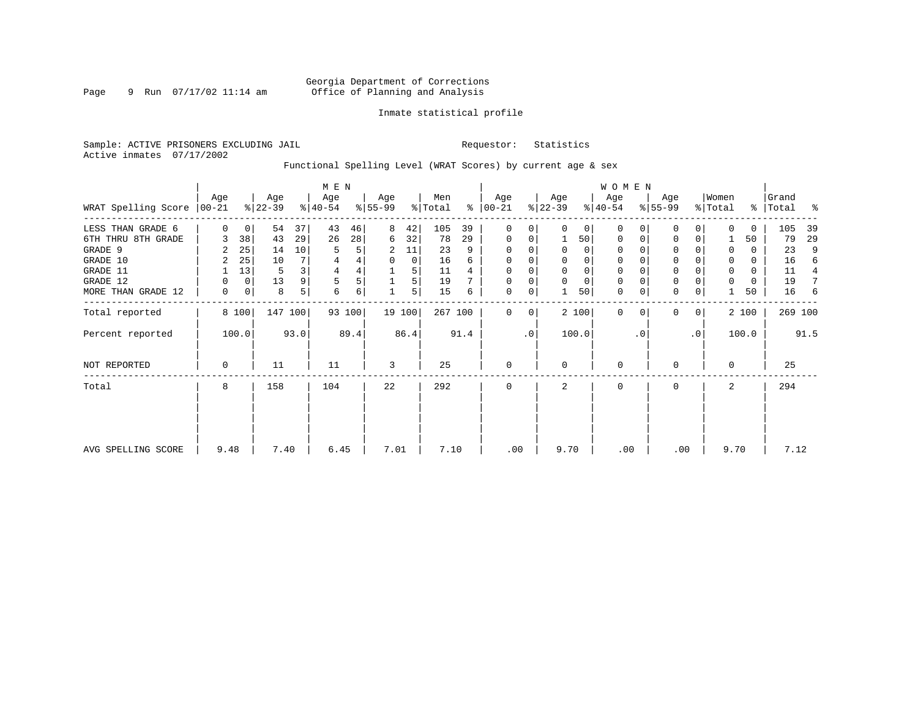### Georgia Department of Corrections Page 9 Run 07/17/02 11:14 am Office of Planning and Analysis

### Inmate statistical profile

Sample: ACTIVE PRISONERS EXCLUDING JAIL **Requestor:** Statistics Active inmates 07/17/2002

Functional Spelling Level (WRAT Scores) by current age & sex

|                             |          |             |                  |                         | M E N            |        |                 |        |                |      |                  |           |                  |             | <b>WOMEN</b>     |           |                  |                 |                  |          |                |      |
|-----------------------------|----------|-------------|------------------|-------------------------|------------------|--------|-----------------|--------|----------------|------|------------------|-----------|------------------|-------------|------------------|-----------|------------------|-----------------|------------------|----------|----------------|------|
| WRAT Spelling Score   00-21 | Age      |             | Age<br>$ 22-39 $ |                         | Age<br>$ 40-54 $ |        | Age<br>$ 55-99$ |        | Men<br>% Total | ွေ   | Age<br>$ 00-21 $ |           | Age<br>$ 22-39 $ |             | Age<br>$ 40-54 $ |           | Age<br>$ 55-99 $ |                 | Women<br>% Total | ိ        | Grand<br>Total | ႜ    |
| LESS THAN GRADE 6           | $\Omega$ | $\mathbf 0$ | 54               | 37                      | 43               | 46     | 8               | 42     | 105            | 39   | 0                | 0         | $\Omega$         | $\Omega$    | $\Omega$         | 0         | U                | 0               | $\Omega$         | $\Omega$ | 105            | 39   |
| 6TH THRU 8TH GRADE          |          | 38          | 43               | 29                      | 26               | 28     | 6               | 32     | 78             | 29   | $\mathbf 0$      | 0         |                  | 50          | 0                | 0         | $\Omega$         | 0               |                  | 50       | 79             | 29   |
| GRADE 9                     |          | 25          | 14               | 10                      | 5                | 5      | 2               | 11     | 23             | 9    | 0                |           |                  | 0           | 0                |           |                  |                 | 0                | 0        | 23             | 9    |
| GRADE 10                    | 2        | 25          | 10               | 7                       | 4                | 4      | 0               | 0      | 16             | 6    | 0                |           | 0                | 0           | 0                |           | $\mathbf 0$      |                 | 0                | 0        | 16             | 6    |
| GRADE 11                    |          | 13          | 5                | $\overline{\mathbf{3}}$ | $\overline{4}$   | 4      |                 | 5      | 11             |      | $\mathbf 0$      |           |                  | $\mathbf 0$ | $\Omega$         |           | $\Omega$         |                 | 0                | 0        | 11             | 4    |
| GRADE 12                    | 0        | $\mathbf 0$ | 13               | 9                       |                  | 5      |                 | 5      | 19             |      | 0                | 0         | $\Omega$         | $\mathbf 0$ | 0                |           | $\mathbf 0$      |                 | 0                | 0        | 19             |      |
| MORE THAN GRADE 12          | 0        | 0           | 8                | 5                       | 6                | 6      |                 | 5      | 15             | 6    | 0                | 0         |                  | 50          | $\mathbf 0$      | 0         | $\mathbf 0$      | 0               |                  | 50       | 16             | 6    |
| Total reported              |          | 8 100       |                  | 147 100                 |                  | 93 100 |                 | 19 100 | 267 100        |      | 0                | 0         |                  | 2 100       | $\mathbf{0}$     | $\Omega$  | $\Omega$         | $\overline{0}$  |                  | 2 100    | 269 100        |      |
| Percent reported            |          | 100.0       |                  | 93.0                    |                  | 89.4   |                 | 86.4   |                | 91.4 |                  | $\cdot$ 0 |                  | 100.0       |                  | $\cdot$ 0 |                  | .0 <sup>1</sup> |                  | 100.0    |                | 91.5 |
| NOT REPORTED                | 0        |             | 11               |                         | 11               |        | 3               |        | 25             |      | $\mathbf 0$      |           | $\Omega$         |             | 0                |           | $\Omega$         |                 | $\Omega$         |          | 25             |      |
| Total                       | 8        |             | 158              |                         | 104              |        | 22              |        | 292            |      | 0                |           | 2                |             | 0                |           | 0                |                 | 2                |          | 294            |      |
|                             |          |             |                  |                         |                  |        |                 |        |                |      |                  |           |                  |             |                  |           |                  |                 |                  |          |                |      |
|                             |          |             |                  |                         |                  |        |                 |        |                |      |                  |           |                  |             |                  |           |                  |                 |                  |          |                |      |
| AVG SPELLING SCORE          | 9.48     |             | 7.40             |                         | 6.45             |        | 7.01            |        | 7.10           |      | .00              |           | 9.70             |             | .00              |           |                  | .00             | 9.70             |          | 7.12           |      |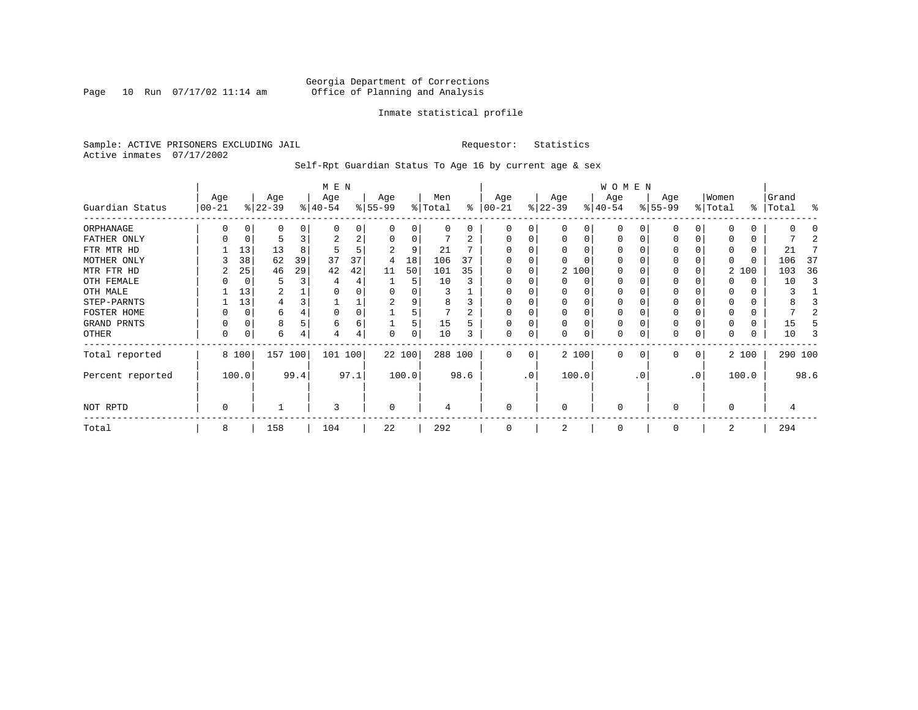### Georgia Department of Corrections<br>Page 10 Run 07/17/02 11:14 am 6ffice of Planning and Analysis Page 10 Run 07/17/02 11:14 am Office of Planning and Analysis

### Inmate statistical profile

Sample: ACTIVE PRISONERS EXCLUDING JAIL **Requestor:** Statistics Active inmates 07/17/2002

Self-Rpt Guardian Status To Age 16 by current age & sex

|                  |                   |       |                  |      | M E N            |      |                 |          |                |      |                 |           |                  |          | WOMEN            |           |                  |                 |                  |       |                |      |
|------------------|-------------------|-------|------------------|------|------------------|------|-----------------|----------|----------------|------|-----------------|-----------|------------------|----------|------------------|-----------|------------------|-----------------|------------------|-------|----------------|------|
| Guardian Status  | Age<br>$ 00 - 21$ |       | Age<br>$ 22-39 $ |      | Age<br>$ 40-54 $ |      | Age<br>$ 55-99$ |          | Men<br>% Total | ႜ    | Age<br>$ 00-21$ |           | Age<br>$ 22-39 $ |          | Age<br>$ 40-54 $ |           | Age<br>$8 55-99$ |                 | Women<br>% Total | ွေ    | Grand<br>Total | န္   |
| ORPHANAGE        |                   |       | 0                |      | $\Omega$         | 0    |                 | O        | 0              | 0    | $\Omega$        | 0         |                  | 0        | $\Omega$         |           |                  |                 | O                | 0     |                |      |
| FATHER ONLY      |                   |       |                  |      | 2                | 2    |                 | $\Omega$ |                | 2    | $\Omega$        | 0         |                  | $\Omega$ | $\Omega$         |           |                  | 0               |                  | 0     |                |      |
| FTR MTR HD       |                   | 13    | 13               | 8    | 5                | 5    |                 | 9        | 21             |      |                 |           |                  |          | O                |           |                  |                 | 0                | 0     | 21             |      |
| MOTHER ONLY      |                   | 38    | 62               | 39   | 37               | 37   | 4               | 18       | 106            | 37   |                 |           |                  |          | O                |           |                  |                 |                  | 0     | 106            | -37  |
| MTR FTR HD       |                   | 25    | 46               | 29   | 42               | 42   | 11              | 50       | 101            | 35   | $\Omega$        | 0         |                  | 2 100    | O                |           |                  |                 |                  | 2 100 | 103            | 36   |
| OTH FEMALE       |                   |       |                  |      |                  | 4    |                 | 5        | 10             |      | 0               |           |                  | $\Omega$ | 0                |           |                  |                 |                  | 0     | 10             |      |
| OTH MALE         |                   | 13    | 2                |      |                  |      |                 |          |                |      | 0               |           |                  |          | 0                |           |                  |                 | 0                | 0     |                |      |
| STEP-PARNTS      |                   | 13    | 4                |      |                  | ᆚ    | 2               |          | 8              | 3    | $\Omega$        | 0         |                  | $\Omega$ | 0                |           | 0                |                 | 0                | 0     |                |      |
| FOSTER HOME      |                   |       | 6                |      |                  | 0    |                 |          |                | ⌒    | $\Omega$        |           |                  | $\Omega$ | 0                |           |                  |                 | 0                | 0     |                |      |
| GRAND PRNTS      |                   | 0     | 8                |      | 6                | 6    |                 | 5        | 15             | 5    | $\Omega$        | 0         | $\Omega$         | $\Omega$ | 0                |           | 0                | 0               | 0                | 0     | 15             |      |
| OTHER            | 0                 |       | 6                |      | 4                | 4    | $\Omega$        | 0        | 10             |      | $\mathbf 0$     | 0         |                  | $\Omega$ | 0                |           | 0                | 0               | 0                | 0     | 10             |      |
| Total reported   |                   | 8 100 | 157 100          |      | 101 100          |      | 22 100          |          | 288 100        |      | $\Omega$        | 0         |                  | 2 100    | 0                |           | $\Omega$         | 0               |                  | 2 100 | 290 100        |      |
| Percent reported |                   | 100.0 |                  | 99.4 |                  | 97.1 |                 | 100.0    |                | 98.6 |                 | $\cdot$ 0 |                  | 100.0    |                  | $\cdot$ 0 |                  | .0 <sup>′</sup> |                  | 100.0 |                | 98.6 |
| NOT RPTD         | 0                 |       |                  |      | 3                |      | 0               |          | 4              |      | $\mathbf 0$     |           | $\Omega$         |          | 0                |           | $\Omega$         |                 | $\Omega$         |       |                |      |
| Total            | 8                 |       | 158              |      | 104              |      | 22              |          | 292            |      | $\Omega$        |           |                  |          | $\Omega$         |           |                  |                 | 2                |       | 294            |      |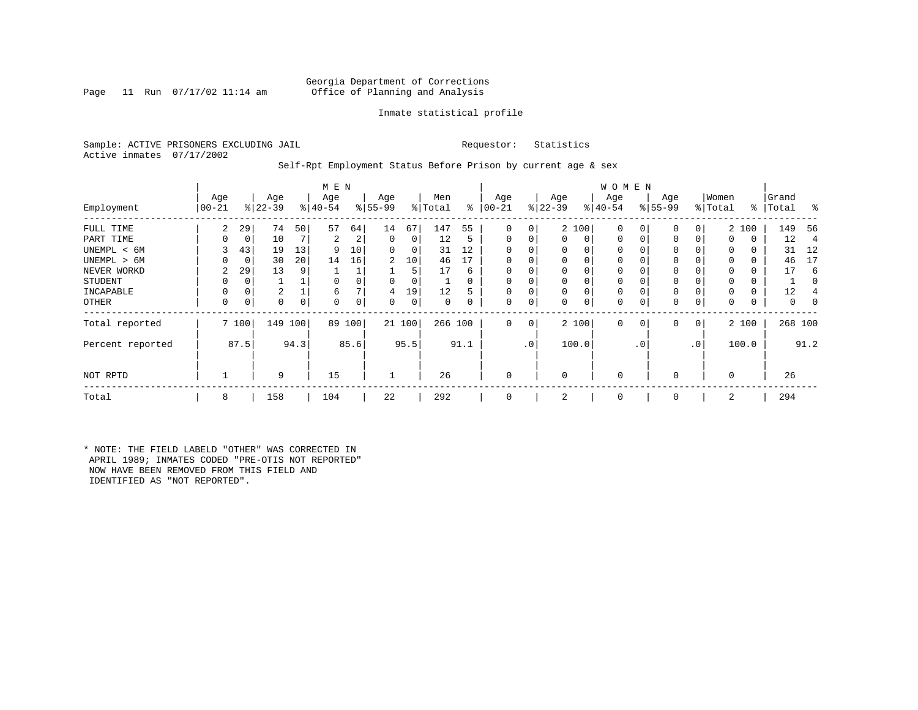### Georgia Department of Corrections<br>Page 11 Run 07/17/02 11:14 am 6ffice of Planning and Analysis Office of Planning and Analysis

### Inmate statistical profile

Sample: ACTIVE PRISONERS EXCLUDING JAIL **Requestor:** Statistics Active inmates 07/17/2002

### Self-Rpt Employment Status Before Prison by current age & sex

|                  |                |       |           |      | M E N     |          |             |        |         |          |          |                 |             |       | <b>WOMEN</b> |             |          |              |          |       |           |      |
|------------------|----------------|-------|-----------|------|-----------|----------|-------------|--------|---------|----------|----------|-----------------|-------------|-------|--------------|-------------|----------|--------------|----------|-------|-----------|------|
|                  | Age            |       | Age       |      | Age       |          | Age         |        | Men     |          | Age      |                 | Age         |       | Age          |             | Age      |              | Women    |       | Grand     |      |
| Employment       | $00 - 21$      |       | $ 22-39 $ |      | $8 40-54$ |          | $ 55-99$    |        | % Total | ွေ       | $ 00-21$ |                 | $ 22-39 $   |       | $ 40-54 $    |             | $ 55-99$ |              | % Total  |       | %   Total | ႜ    |
| FULL TIME        | $\overline{2}$ | 29    | 74        | 50   | 57        | 64       | 14          | 67     | 147     | 55       | $\Omega$ | $\overline{0}$  |             | 2 100 | $\mathbf{0}$ | 0           | 0        | 0            |          | 2 100 | 149       | -56  |
| PART TIME        | 0              | 0     | 10        | 7    | 2         | 2        | $\mathbf 0$ | 0      | 12      | 5        | $\Omega$ | 0               | $\Omega$    | 0     | $\mathbf{0}$ | $\mathbf 0$ | $\Omega$ |              | $\Omega$ | 0     | 12        | 4    |
| UNEMPL < 6M      | 3              | 43    | 19        | 13   | 9         | 10       | 0           | 0      | 31      | 12       |          |                 | 0           | 0     | 0            |             | 0        |              | 0        | 0     | 31        | 12   |
| UNEMPL > 6M      | $\Omega$       | 0     | 30        | 20   | 14        | 16       | 2           | 10     | 46      | 17       | $\Omega$ |                 | $\Omega$    | 0     | 0            |             | $\Omega$ |              | $\Omega$ | 0     | 46        | 17   |
| NEVER WORKD      | 2              | 29    | 13        | 9    |           |          |             | 5      | 17      | 6        | $\Omega$ |                 | $\mathbf 0$ | 0     | $\mathbf 0$  |             | $\Omega$ |              | $\Omega$ | 0     | 17        | 6    |
| <b>STUDENT</b>   | 0              | 0     |           |      | $\Omega$  |          | 0           | 0      |         | $\Omega$ | $\Omega$ |                 | $\mathbf 0$ | 0     | 0            |             | 0        |              | $\Omega$ | 0     |           | 0    |
| INCAPABLE        | 0              | 0     | 2         |      | 6         |          | 4           | 19     | 12      | 5        | $\Omega$ |                 | 0           | 0     | 0            |             | $\Omega$ |              |          | 0     | 12        |      |
| OTHER            | 0              | 0     | 0         | 0    | $\Omega$  | $\Omega$ | 0           | 0      | 0       |          | $\Omega$ | 0               | 0           | 0     | 0            | 0           | 0        | 0            | $\Omega$ | 0     | 0         | 0    |
| Total reported   |                | 7 100 | 149       | 100  | 89        | 100      |             | 21 100 | 266 100 |          | $\Omega$ | 0 <sup>1</sup>  |             | 2 100 | $\mathbf{0}$ | 0           | 0        | $\mathbf{0}$ | 2 100    |       | 268 100   |      |
| Percent reported |                | 87.5  |           | 94.3 |           | 85.6     |             | 95.5   |         | 91.1     |          | .0 <sup>1</sup> |             | 100.0 |              | . 0         |          | $\cdot$ 0    | 100.0    |       |           | 91.2 |
| NOT RPTD         |                |       | 9         |      | 15        |          |             |        | 26      |          |          |                 | $\Omega$    |       | $\mathbf 0$  |             | $\Omega$ |              | $\Omega$ |       | 26        |      |
| Total            | 8              |       | 158       |      | 104       |          | 22          |        | 292     |          |          |                 | 2           |       | 0            |             | $\Omega$ |              | 2        |       | 294       |      |

\* NOTE: THE FIELD LABELD "OTHER" WAS CORRECTED IN APRIL 1989; INMATES CODED "PRE-OTIS NOT REPORTED" NOW HAVE BEEN REMOVED FROM THIS FIELD AND IDENTIFIED AS "NOT REPORTED".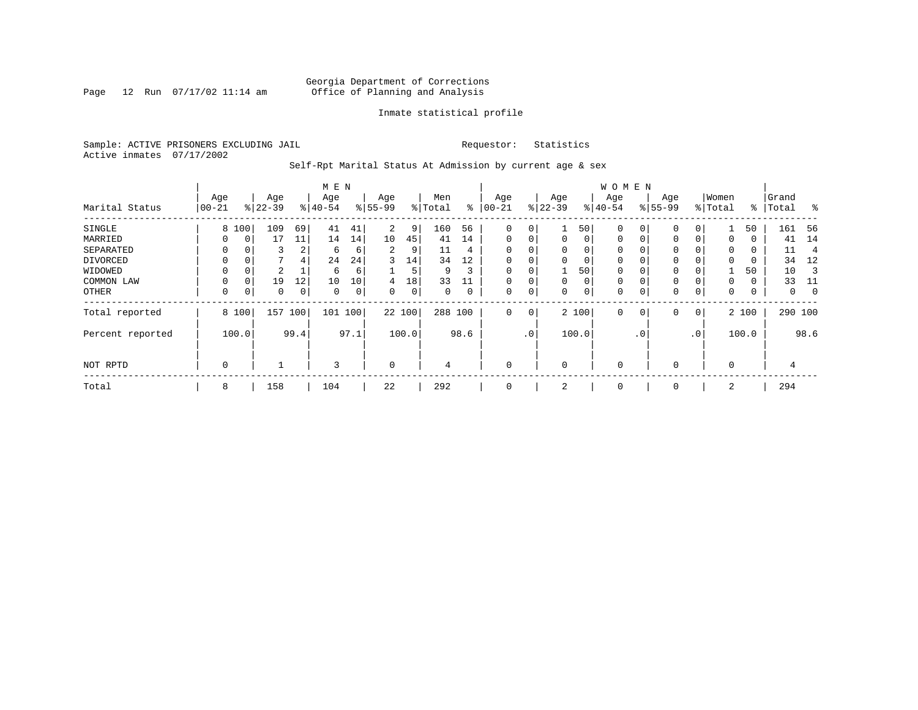Page 12 Run  $07/17/02$  11:14 am

### Inmate statistical profile

Sample: ACTIVE PRISONERS EXCLUDING JAIL **Requestor:** Statistics Active inmates 07/17/2002

Self-Rpt Marital Status At Admission by current age & sex

|                  |          |          | M E N     |      |          |      |                |       | <b>WOMEN</b> |      |              |     |             |          |             |                |             |           |          |       |         |             |
|------------------|----------|----------|-----------|------|----------|------|----------------|-------|--------------|------|--------------|-----|-------------|----------|-------------|----------------|-------------|-----------|----------|-------|---------|-------------|
|                  | Age      |          | Age       |      | Age      |      | Age            |       | Men          |      | Age          |     | Age         |          | Age         |                | Age         |           | Women    |       | Grand   |             |
| Marital Status   | $ 00-21$ |          | $ 22-39 $ |      | $ 40-54$ |      | $8 55-99$      |       | % Total      | ွေ   | $100 - 21$   |     | $ 22-39$    |          | $ 40-54 $   |                | $8 55-99$   |           | % Total  | ႜ     | Total   | ွေ          |
| SINGLE           | 8        | 100      | 109       | 69   | 41       | 41   | $\overline{2}$ | 9     | 160          | 56   | 0            | 0   |             | 50       | 0           | 0              | $\mathbf 0$ | 0         |          | 50    | 161     | -56         |
| MARRIED          | 0        | 0        | 17        | 11   | 14       | 14   | 10             | 45    | 41           | 14   | $\mathbf{0}$ | 0   | $\mathbf 0$ | $\Omega$ | $\mathbf 0$ | 0              | 0           | $\Omega$  | 0        | 0     | 41      | 14          |
| SEPARATED        | 0        |          | 3         | 2    | 6        | 6    | 2              | 9     | 11           | 4    | $\Omega$     | 0   | $\Omega$    | $\Omega$ | $\mathbf 0$ |                | 0           |           | $\Omega$ | 0     | 11      | 4           |
| DIVORCED         | 0        | 0        |           | 4    | 24       | 24   | 3              | 14    | 34           | 12   | 0            | 0   | $\Omega$    | 0        | $\mathbf 0$ |                | 0           |           | $\Omega$ | 0     | 34      | 12          |
| WIDOWED          |          | 0        | 2         |      | 6        | 6    |                | 5     | 9            | 3    | $\mathbf 0$  | 0   |             | 50       | 0           |                | 0           |           |          | 50    | 10      |             |
| COMMON LAW       | 0        | $\Omega$ | 19        | 12   | 10       | 10   | 4              | 18    | 33           |      |              | 0   | $\Omega$    | 0        | $\mathbf 0$ |                | 0           |           | $\Omega$ | 0     | 33      | -11         |
| OTHER            | 0        | 0        | 0         | 0    | 0        | 0    | 0              | 0     | 0            | 0    | $\mathbf 0$  | 0   | 0           | 0        | 0           |                | $\mathbf 0$ | 0         | 0        | 0     | 0       | $\mathbf 0$ |
| Total reported   |          | 8 100    | 157       | 100  | 101      | 100  | 22 100         |       | 288 100      |      | $\mathbf{0}$ | 0   |             | 2 100    | 0           | $\overline{0}$ | 0           | 0         |          | 2 100 | 290 100 |             |
| Percent reported |          | 100.0    |           | 99.4 |          | 97.1 |                | 100.0 |              | 98.6 |              | .0' |             | 100.0    |             | $\cdot$ 0      |             | $\cdot$ 0 |          | 100.0 |         | 98.6        |
| NOT RPTD         | 0        |          |           |      | 3        |      | $\mathbf 0$    |       | 4            |      | $\mathbf 0$  |     | $\Omega$    |          | 0           |                | 0           |           | $\Omega$ |       | 4       |             |
| Total            | 8        |          | 158       |      | 104      |      | 22             |       | 292          |      | 0            |     | 2           |          | 0           |                | 0           |           | 2        |       | 294     |             |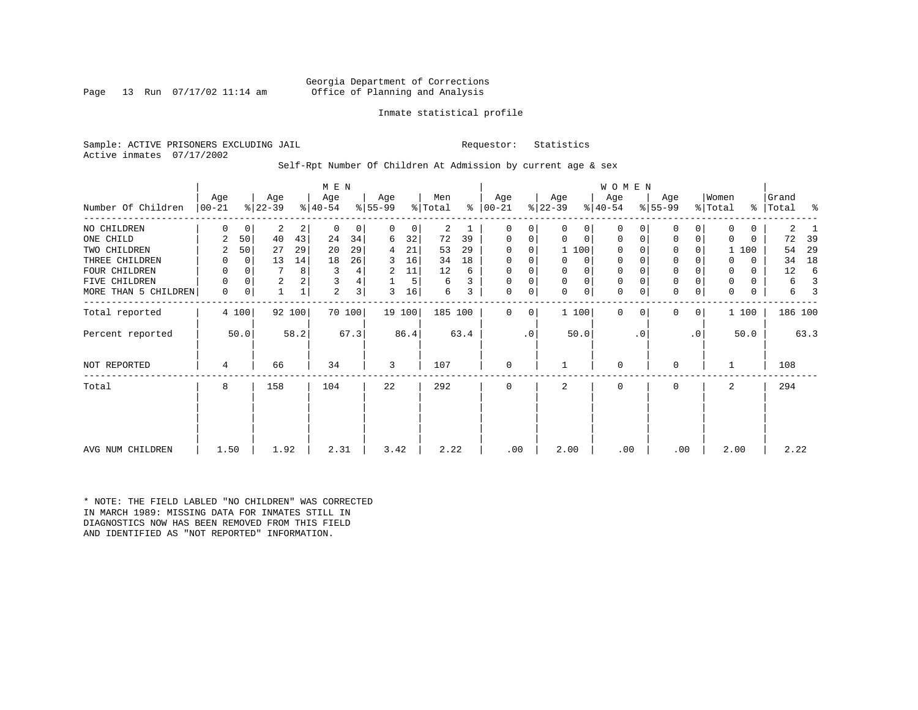### Georgia Department of Corrections<br>Page 13 Run 07/17/02 11:14 am 6ffice of Planning and Analysis Office of Planning and Analysis

### Inmate statistical profile

Sample: ACTIVE PRISONERS EXCLUDING JAIL **Requestor:** Statistics Active inmates 07/17/2002

Self-Rpt Number Of Children At Admission by current age & sex

| Number Of Children   | Age<br>$ 00-21 $ |          | Age<br>$ 22-39 $ |        | M E N<br>Age<br>$ 40-54 $ |        | Age<br>$ 55-99 $ |        | Men<br>% Total |      | Age<br>$8   00 - 21$ |           | Age<br>$ 22-39 $ |             | <b>WOMEN</b><br>Age<br>$8 40-54$ |           | Age<br>$ 55-99 $ |           | Women<br>% Total | ៖            | Grand<br>Total | ႜ    |
|----------------------|------------------|----------|------------------|--------|---------------------------|--------|------------------|--------|----------------|------|----------------------|-----------|------------------|-------------|----------------------------------|-----------|------------------|-----------|------------------|--------------|----------------|------|
|                      |                  |          |                  |        |                           |        |                  |        |                |      |                      |           |                  |             |                                  |           |                  |           |                  |              |                |      |
| NO CHILDREN          | 0                | 0        | 2                | 2      | 0                         | 0      | 0                | 0      | 2              |      | 0                    | 0         | 0                | 0           | $\Omega$                         |           | 0                | 0         | 0                | $\mathbf{0}$ | 2              |      |
| ONE CHILD            | 2                | 50       | 40               | 43     | 24                        | 34     | 6                | 32     | 72             | 39   | 0                    | 0         | 0                | $\mathbf 0$ | 0                                | $\Omega$  | 0                | 0         | 0                | 0            | 72             | 39   |
| TWO CHILDREN         | 2                | 50       | 27               | 29     | 20                        | 29     | 4                | 21     | 53             | 29   | 0                    | 0         |                  | 1 100       | $\Omega$                         |           | 0                | 0         |                  | 1 100        | 54             | 29   |
| THREE CHILDREN       | 0                | 0        | 13               | 14     | 18                        | 26     | 3                | 16     | 34             | 18   | 0                    | 0         | 0                | 0           | $\mathbf 0$                      |           | $\mathbf 0$      | 0         |                  | 0            | 34             | 18   |
| FOUR CHILDREN        | 0                | $\Omega$ | 7                | 8      |                           | 4      | 2                | 11     | 12             | 6    | 0                    |           | 0                | 0           | 0                                |           | $\mathbf 0$      |           | 0                | 0            | 12             | 6    |
| FIVE CHILDREN        | 0                | 0        | $\overline{a}$   | 2      |                           | 4      |                  | 5      | 6              |      | $\mathbf 0$          | 0         | $\mathbf 0$      | $\mathbf 0$ | $\mathbf 0$                      |           | $\mathbf 0$      |           | 0                | 0            | 6              |      |
| MORE THAN 5 CHILDREN | 0                | 0        |                  |        | 2                         | 3      | 3                | 16     | 6              | 3    | 0                    | 0         | $\Omega$         | $\mathbf 0$ | $\Omega$                         |           | $\mathbf 0$      | 0         | 0                | 0            | 6              |      |
| Total reported       |                  | 4 100    |                  | 92 100 |                           | 70 100 |                  | 19 100 | 185 100        |      | 0                    | 0         |                  | 1 100       | $\Omega$                         | $\Omega$  | $\Omega$         | 0         |                  | 1 100        | 186 100        |      |
| Percent reported     |                  | 50.0     |                  | 58.2   |                           | 67.3   |                  | 86.4   |                | 63.4 |                      | $\cdot$ 0 |                  | 50.0        |                                  | $\cdot$ 0 |                  | $\cdot$ 0 |                  | 50.0         |                | 63.3 |
| <b>NOT REPORTED</b>  | 4                |          | 66               |        | 34                        |        | 3                |        | 107            |      | 0                    |           |                  |             | $\mathbf 0$                      |           | $\Omega$         |           |                  |              | 108            |      |
| Total                | 8                |          | 158              |        | 104                       |        | 22               |        | 292            |      | 0                    |           | $\overline{a}$   |             | $\mathbf 0$                      |           | $\mathbf 0$      |           | 2                |              | 294            |      |
|                      |                  |          |                  |        |                           |        |                  |        |                |      |                      |           |                  |             |                                  |           |                  |           |                  |              |                |      |
|                      |                  |          |                  |        |                           |        |                  |        |                |      |                      |           |                  |             |                                  |           |                  |           |                  |              |                |      |
| AVG NUM CHILDREN     | 1.50             |          | 1.92             |        | 2.31                      |        | 3.42             |        | 2.22           |      | .00                  |           | 2.00             |             | .00                              |           | .00              |           | 2.00             |              | 2.22           |      |

\* NOTE: THE FIELD LABLED "NO CHILDREN" WAS CORRECTED IN MARCH 1989: MISSING DATA FOR INMATES STILL IN DIAGNOSTICS NOW HAS BEEN REMOVED FROM THIS FIELD AND IDENTIFIED AS "NOT REPORTED" INFORMATION.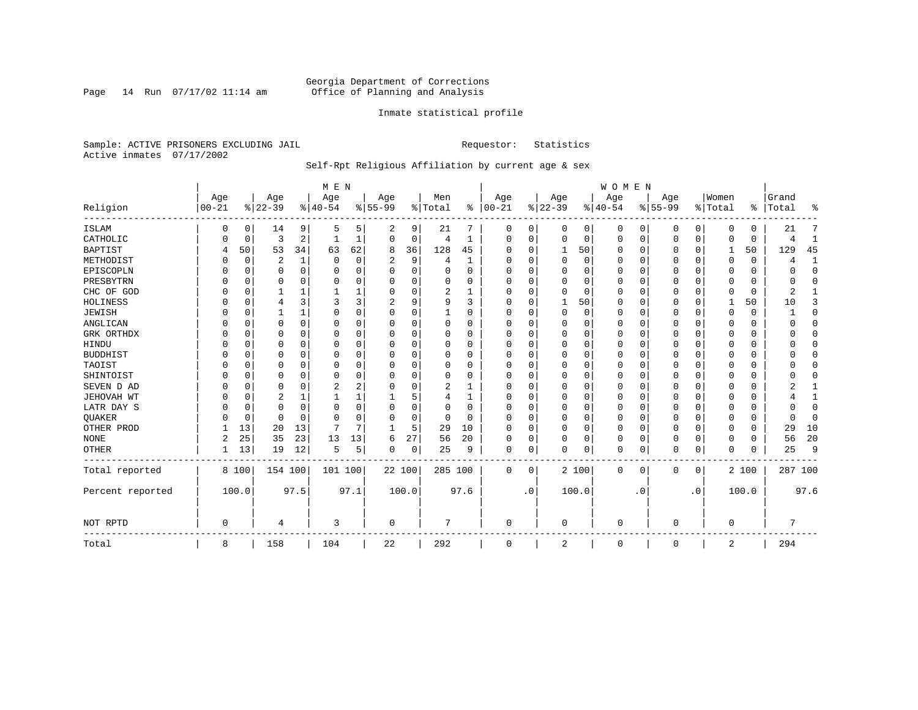Page 14 Run  $07/17/02$  11:14 am

### Inmate statistical profile

Sample: ACTIVE PRISONERS EXCLUDING JAIL **Requestor:** Statistics Active inmates 07/17/2002

### Self-Rpt Religious Affiliation by current age & sex

|                  |            |          |           |          | M E N    |          |           |    |          |          |          |           |             |          | <b>WOMEN</b> |           |           |           |          |          |                |              |
|------------------|------------|----------|-----------|----------|----------|----------|-----------|----|----------|----------|----------|-----------|-------------|----------|--------------|-----------|-----------|-----------|----------|----------|----------------|--------------|
|                  | Age        |          | Age       |          | Age      |          | Age       |    | Men      | ွေ       | Age      |           | Age         |          | Age          |           | Age       |           | Women    |          | Grand          |              |
| Religion         | $ 00 - 21$ |          | $8 22-39$ |          | $ 40-54$ |          | $8 55-99$ |    | % Total  |          | $ 00-21$ |           | $ 22-39$    |          | $ 40-54$     |           | $8 55-99$ |           | % Total  |          | %   Total      | ႜ            |
| <b>ISLAM</b>     | 0          | 0        | 14        | 9        | .5       | 5.       | 2         | 9  | 21       |          | 0        | 0         | 0           | 0        | 0            | 0         | 0         | 0         | $\Omega$ | 0        | 21             |              |
| CATHOLIC         |            | 0        | 3         | 2        |          |          | $\Omega$  | 0  | 4        | 1        | $\Omega$ | 0         | $\mathbf 0$ | 0        | $\Omega$     | 0         | $\Omega$  | 0         | $\Omega$ | $\Omega$ |                | $\mathbf{1}$ |
| <b>BAPTIST</b>   | 4          | 50       | 53        | 34       | 63       | 62       | 8         | 36 | 128      | 45       | O        | $\Omega$  | 1           | 50       | <sup>0</sup> | 0         | 0         | $\Omega$  | 1        | 50       | 129            | 45           |
| METHODIST        |            | 0        | 2         | 1        | $\Omega$ | 0        | 2         | 9  | 4        | 1        | $\Omega$ | $\Omega$  | $\mathbf 0$ | 0        | 0            | $\Omega$  | 0         | 0         | $\Omega$ | 0        |                | 1            |
| EPISCOPLN        |            | $\Omega$ | U         | $\Omega$ | $\Omega$ | $\Omega$ | U         | 0  | 0        | $\Omega$ | $\Omega$ | $\Omega$  | $\mathbf 0$ | $\Omega$ | 0            | $\Omega$  | 0         | $\Omega$  | O        | 0        |                | $\mathbf{0}$ |
| PRESBYTRN        |            | 0        | 0         | 0        | $\Omega$ | $\Omega$ | U         | 0  | $\Omega$ | O        | O        | $\Omega$  | $\mathbf 0$ | $\Omega$ | <sup>0</sup> | $\Omega$  | 0         | 0         | O        | O        |                | $\Omega$     |
| CHC OF GOD       |            | 0        |           | 1        |          |          | 0         | 0  | 2        | -1       | $\Omega$ | $\Omega$  | $\Omega$    | $\Omega$ | 0            | $\Omega$  | $\Omega$  | $\Omega$  | $\Omega$ | $\Omega$ | 2              | 1            |
| HOLINESS         |            | 0        | 4         | 3        | 3        | 3        |           | 9  | 9        | ζ        | $\Omega$ | $\Omega$  |             | 50       | <sup>0</sup> | $\Omega$  | 0         | $\Omega$  |          | 50       | 10             | 3            |
| <b>JEWISH</b>    |            | $\Omega$ |           | 1        | $\Omega$ | $\Omega$ | 0         | 0  |          | 0        | $\Omega$ |           | $\Omega$    | $\Omega$ | 0            | $\Omega$  | 0         | $\Omega$  | $\Omega$ | 0        |                | $\mathbf 0$  |
| ANGLICAN         |            | 0        | 0         | 0        | O        | 0        | U         | 0  | 0        | 0        | $\Omega$ |           | $\Omega$    | 0        | 0            | 0         | 0         | 0         | $\Omega$ | 0        |                | $\mathbf 0$  |
| GRK ORTHDX       |            | 0        | O         | $\Omega$ | O        | O        | U         | U  | $\Omega$ | O        | $\Omega$ | $\Omega$  | C           | $\Omega$ | <sup>0</sup> | $\Omega$  | U         | $\Omega$  | $\Omega$ | 0        |                | $\Omega$     |
| HINDU            |            | $\Omega$ | U         | $\Omega$ | $\cap$   | $\Omega$ | U         | O  | $\Omega$ | $\Omega$ | ∩        | $\Omega$  | $\Omega$    | $\Omega$ | $\Omega$     | $\Omega$  | 0         | 0         | $\Omega$ | $\Omega$ |                | $\Omega$     |
| <b>BUDDHIST</b>  |            | $\Omega$ | 0         | 0        | O        | O        | U         | 0  | $\Omega$ | 0        | $\Omega$ | $\Omega$  | O           | 0        | 0            | $\Omega$  | 0         | 0         | O        | 0        |                | $\Omega$     |
| TAOIST           |            | $\Omega$ |           | $\Omega$ | $\Omega$ | $\Omega$ |           | O  | 0        | O        |          | $\Omega$  | $\Omega$    | $\Omega$ |              | $\Omega$  | 0         | O         |          |          |                | $\Omega$     |
| SHINTOIST        |            | $\Omega$ | U         | $\Omega$ | $\Omega$ | $\Omega$ |           | O  | $\Omega$ | $\Omega$ | O        | $\Omega$  | $\Omega$    | $\Omega$ | O            | $\Omega$  | 0         | $\Omega$  | $\Omega$ | U        |                | $\Omega$     |
| SEVEN D AD       |            | $\Omega$ | U         | $\Omega$ | 2        | 2        | U         | O  | 2        |          | O        | $\Omega$  | $\Omega$    | $\Omega$ | <sup>0</sup> | $\Omega$  | 0         | 0         | $\Omega$ | O        |                |              |
| JEHOVAH WT       |            | $\Omega$ | 2         | 1        |          |          |           | 5  | 4        | 1        | $\Omega$ | $\Omega$  | $\Omega$    | $\Omega$ | $\Omega$     | $\Omega$  | 0         | $\Omega$  | $\Omega$ | $\Omega$ |                | $\mathbf{1}$ |
| LATR DAY S       |            | $\Omega$ | 0         | $\Omega$ | $\Omega$ | $\Omega$ | U         | 0  | 0        | O        | $\Omega$ |           | $\Omega$    | $\Omega$ | 0            | $\Omega$  | 0         | 0         | $\Omega$ |          |                | $\Omega$     |
| QUAKER           |            | 0        | 0         | $\Omega$ | $\cap$   | O        | U         | 0  | 0        | $\Omega$ | ∩        | $\Omega$  | $\Omega$    | $\Omega$ | <sup>0</sup> | 0         | 0         | 0         | $\Omega$ | 0        |                | $\mathbf 0$  |
| OTHER PROD       |            | 13       | 20        | 13       | 7        | 7        | -1        | 5  | 29       | 10       | $\Omega$ | $\Omega$  | $\mathbf 0$ | 0        | $\Omega$     | $\Omega$  | 0         | $\Omega$  | $\Omega$ | 0        | 29             | 10           |
| <b>NONE</b>      | 2          | 25       | 35        | 23       | 13       | 13       | 6         | 27 | 56       | 20       | $\Omega$ | 0         | $\Omega$    | 0        | $\Omega$     | $\Omega$  | 0         | 0         | $\Omega$ | 0        | 56             | 20           |
| <b>OTHER</b>     |            | 13       | 19        | 12       | 5        | 5        | 0         | 0  | 25       | 9        | 0        | 0         | $\Omega$    | 0        | $\Omega$     | 0         | 0         | 0         | $\Omega$ | $\Omega$ | 25             | 9            |
| Total reported   |            | 8 100    | 154 100   |          | 101 100  |          | 22 100    |    | 285 100  |          | 0        | 0         |             | 2 100    | $\Omega$     | 0         | 0         | 0         |          | 2 100    | 287 100        |              |
| Percent reported |            | 100.0    |           | 97.5     |          | 97.1     | 100.0     |    |          | 97.6     |          | $\cdot$ 0 |             | 100.0    |              | $\cdot$ 0 |           | $\cdot$ 0 |          | 100.0    |                | 97.6         |
| NOT RPTD         | $\Omega$   |          | 4         |          | 3        |          | 0         |    | 7        |          | $\Omega$ |           | $\Omega$    |          | $\cap$       |           | 0         |           | $\Omega$ |          | $\overline{ }$ |              |
| Total            | 8          |          | 158       |          | 104      |          | 22        |    | 292      |          | $\Omega$ |           | 2           |          | $\Omega$     |           | 0         |           | 2        |          | 294            |              |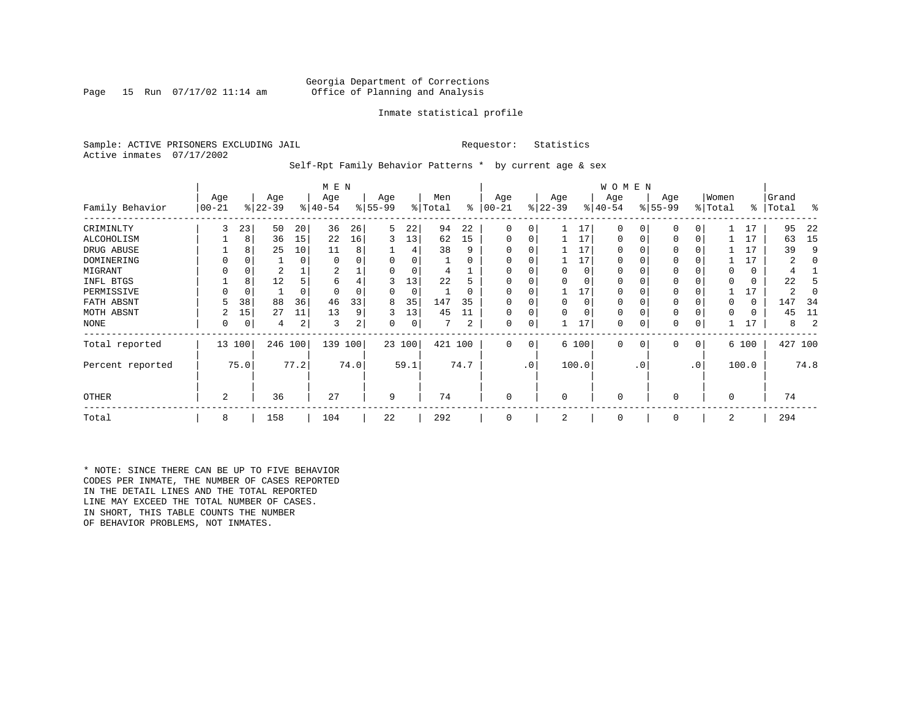### Georgia Department of Corrections<br>Page 15 Run 07/17/02 11:14 am 60fice of Planning and Analysis Office of Planning and Analysis

### Inmate statistical profile

Sample: ACTIVE PRISONERS EXCLUDING JAIL **Requestor:** Statistics Active inmates 07/17/2002

Self-Rpt Family Behavior Patterns \* by current age & sex

|                  |                 |             |                  |      | M E N            |      |                 |          |                |          |                  |                 |                  |          | W O M E N       |           |                 |           |                  |       |                |      |
|------------------|-----------------|-------------|------------------|------|------------------|------|-----------------|----------|----------------|----------|------------------|-----------------|------------------|----------|-----------------|-----------|-----------------|-----------|------------------|-------|----------------|------|
| Family Behavior  | Age<br>$ 00-21$ |             | Age<br>$ 22-39 $ |      | Age<br>$ 40-54 $ |      | Age<br>$ 55-99$ |          | Men<br>% Total | ႜ        | Age<br>$00 - 21$ |                 | Age<br>$ 22-39 $ |          | Age<br>$ 40-54$ |           | Age<br>$ 55-99$ |           | Women<br>% Total | ∻     | Grand<br>Total | ႜ    |
| CRIMINLTY        | 3               | 23          | 50               | 20   | 36               | 26   | 5               | 22       | 94             | 22       | $\Omega$         | 0               |                  | 17       | $\Omega$        | 0         | $\Omega$        | 0         |                  | 17    | 95             | 22   |
| ALCOHOLISM       |                 | 8           | 36               | 15   | 22               | 16   | 3               | 13       | 62             | 15       | 0                | 0               |                  | 17       | 0               |           | $\Omega$        | 0         |                  | 17    | 63             | 15   |
| DRUG ABUSE       |                 | 8           | 25               | 10   | 11               | 8    |                 |          | 38             | 9        |                  |                 |                  | 17       | U               |           |                 |           |                  | 17    | 39             | 9    |
| DOMINERING       |                 |             |                  | 0    | $\Omega$         |      |                 | $\Omega$ |                | O        |                  |                 |                  | 17       | <sup>0</sup>    |           |                 |           |                  | 17    |                |      |
| MIGRANT          |                 | 0           | 2                |      | 2                |      |                 | 0        |                |          |                  |                 |                  | 0        | 0               |           | $\Omega$        |           |                  | 0     |                |      |
| INFL BTGS        |                 | 8           | 12               |      | 6                | 4    | 3               | 13       | 22             | h        |                  |                 |                  | $\Omega$ | 0               |           | $\Omega$        |           |                  | 0     | 22             |      |
| PERMISSIVE       |                 | $\mathbf 0$ |                  | 0    | $\Omega$         |      | 0               | 0        |                | $\Omega$ | $\Omega$         | 0               |                  | 17       | 0               |           | $\Omega$        |           |                  | 17    | 2              |      |
| FATH ABSNT       |                 | 38          | 88               | 36   | 46               | 33   | 8               | 35       | 147            | 35       |                  |                 |                  | $\Omega$ | 0               |           |                 |           |                  | 0     | 147            | -34  |
| MOTH ABSNT       |                 | 15          | 27               | 11   | 13               | 9    | 3               | 13       | 45             | 11       | 0                | 0               |                  | $\Omega$ | 0               |           | $\Omega$        |           |                  | 0     | 45             | 11   |
| NONE             | 0               | 0           | 4                | 2    | 3                | 2    | 0               | 0        |                | 2        | 0                | 0               |                  | 17       | 0               |           | 0               |           |                  | 17    | 8              |      |
| Total reported   |                 | 13 100      | 246 100          |      | 139              | 100  |                 | 23 100   | 421 100        |          | 0                | 0               |                  | 6 100    | $\mathbf{0}$    | 0         | 0               | 0         |                  | 6 100 | 427 100        |      |
| Percent reported |                 | 75.0        |                  | 77.2 |                  | 74.0 |                 | 59.1     |                | 74.7     |                  | .0 <sup>1</sup> |                  | 100.0    |                 | $\cdot$ 0 |                 | $\cdot$ 0 |                  | 100.0 |                | 74.8 |
| <b>OTHER</b>     | 2               |             | 36               |      | 27               |      | 9               |          | 74             |          | 0                |                 | $\Omega$         |          | $\Omega$        |           | $\Omega$        |           | $\Omega$         |       | 74             |      |
| Total            | 8               |             | 158              |      | 104              |      | 22              |          | 292            |          | 0                |                 | 2                |          | 0               |           | 0               |           | 2                |       | 294            |      |

\* NOTE: SINCE THERE CAN BE UP TO FIVE BEHAVIOR CODES PER INMATE, THE NUMBER OF CASES REPORTED IN THE DETAIL LINES AND THE TOTAL REPORTED LINE MAY EXCEED THE TOTAL NUMBER OF CASES. IN SHORT, THIS TABLE COUNTS THE NUMBER OF BEHAVIOR PROBLEMS, NOT INMATES.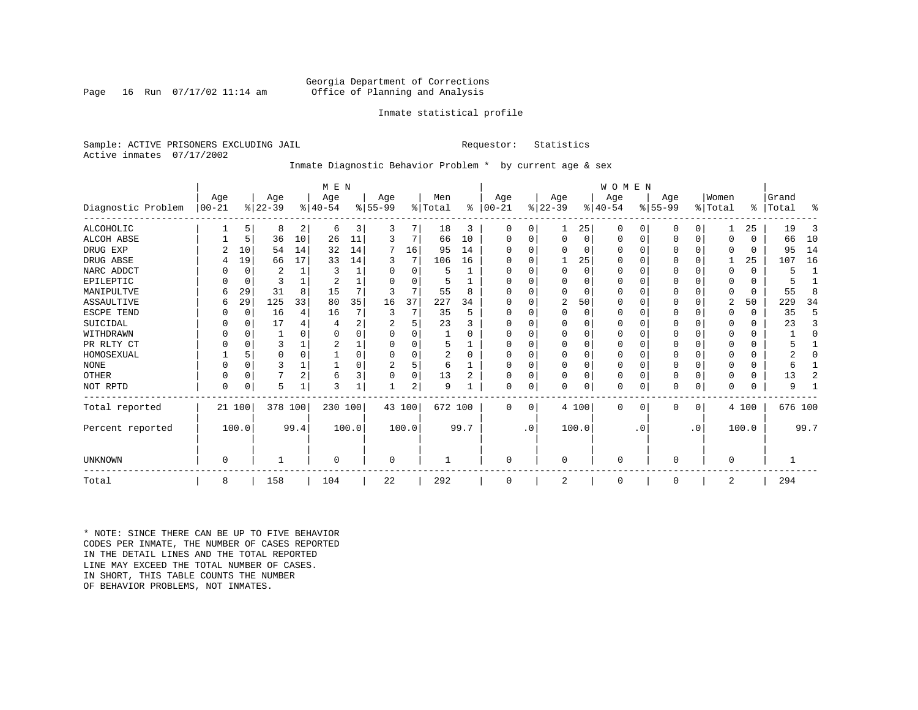### Georgia Department of Corrections<br>Page 16 Run 07/17/02 11:14 am 60fice of Planning and Analysis Office of Planning and Analysis

### Inmate statistical profile

Sample: ACTIVE PRISONERS EXCLUDING JAIL **Requestor:** Statistics Active inmates 07/17/2002

### Inmate Diagnostic Behavior Problem \* by current age & sex

|                    |            |             |           |                | M E N          |                |           |          |         |          |            |           |             |          | WOMEN     |           |           |             |                |          |         |              |
|--------------------|------------|-------------|-----------|----------------|----------------|----------------|-----------|----------|---------|----------|------------|-----------|-------------|----------|-----------|-----------|-----------|-------------|----------------|----------|---------|--------------|
|                    | Age        |             | Age       |                | Age            |                | Age       |          | Men     |          | Age        |           | Age         |          | Age       |           | Age       |             | Women          |          | Grand   |              |
| Diagnostic Problem | $ 00 - 21$ |             | $ 22-39 $ |                | $ 40-54$       |                | $8 55-99$ |          | % Total | ⊱        | $ 00 - 21$ |           | $ 22-39 $   |          | $ 40-54 $ |           | $ 55-99 $ |             | % Total        | ႜ        | Total   | ፠            |
| <b>ALCOHOLIC</b>   |            | 5           | 8         | 2              | 6              | 3              | 3         | 7        | 18      | 3        | 0          | 0         |             | 25       | 0         | 0         | O         | 0           |                | 25       | 19      | 3            |
| <b>ALCOH ABSE</b>  |            | 5           | 36        | 10             | 26             | 11             | 3         | 7        | 66      | 10       | $\Omega$   | $\Omega$  | $\Omega$    | $\Omega$ | $\Omega$  | 0         | 0         | 0           | $\Omega$       | $\Omega$ | 66      | 10           |
| DRUG EXP           |            | 10          | 54        | 14             | 32             | 14             | 7         | 16       | 95      | 14       |            |           | $\Omega$    | 0        | $\Omega$  | 0         | 0         | $\Omega$    | $\Omega$       | $\Omega$ | 95      | 14           |
| DRUG ABSE          | 4          | 19          | 66        | 17             | 33             | 14             | 3         | 7        | 106     | 16       | U          |           |             | 25       | $\Omega$  | $\Omega$  | 0         | $\Omega$    |                | 25       | 107     | 16           |
| NARC ADDCT         |            | 0           | 2         |                | 3              |                |           | $\Omega$ | 5       |          |            |           | $\Omega$    | 0        | $\Omega$  | $\Omega$  | 0         | $\Omega$    | $\Omega$       | $\Omega$ | 5       | $\mathbf{1}$ |
| EPILEPTIC          |            | $\mathbf 0$ | 3         |                | $\overline{c}$ |                |           | $\Omega$ |         |          | U          |           | $\Omega$    | 0        | $\Omega$  | $\Omega$  | 0         | $\Omega$    | $\Omega$       | $\Omega$ |         |              |
| MANIPULTVE         | 6          | 29          | 31        | 8              | 15             |                | 3         | 7        | 55      | 8        |            |           | $\Omega$    | 0        | $\Omega$  | 0         | 0         | 0           | $\Omega$       | $\Omega$ | 55      | 8            |
| ASSAULTIVE         | 6          | 29          | 125       | 33             | 80             | 35             | 16        | 37       | 227     | 34       | ∩          |           | 2           | 50       | $\Omega$  | 0         | 0         | 0           | $\overline{2}$ | 50       | 229     | 34           |
| ESCPE TEND         |            | $\mathbf 0$ | 16        | 4              | 16             |                | 3         | 7        | 35      | 5        |            |           | $\Omega$    | 0        | 0         | $\Omega$  | Ω         | $\Omega$    | $\Omega$       | $\Omega$ | 35      | 5            |
| SUICIDAL           |            | $\Omega$    | 17        |                |                | $\overline{2}$ |           | 5        | 23      | 3        |            |           | $\Omega$    | U        | O         | O         |           | $\Omega$    | ∩              | $\Omega$ | 23      | 3            |
| WITHDRAWN          |            | $\Omega$    |           | U              |                |                |           | U        |         | O        |            |           | $\Omega$    | O        | O         | $\Omega$  | U         | O           | $\Omega$       | $\Omega$ |         | $\Omega$     |
| PR RLTY CT         |            | $\Omega$    | 3         |                |                |                |           | U        | 5       |          | U          |           | $\Omega$    | O        | $\Omega$  | $\Omega$  | U         | $\Omega$    | $\Omega$       | $\Omega$ |         |              |
| HOMOSEXUAL         |            | 5           | $\Omega$  | $\Omega$       |                |                |           | U        | 2       | $\Omega$ | U          |           | $\Omega$    | O        | $\Omega$  | $\Omega$  | 0         | $\Omega$    | $\Omega$       | U        |         | $\Omega$     |
| <b>NONE</b>        |            | $\Omega$    | 3         |                |                |                | 2         | 5        | 6       |          | ∩          |           | $\Omega$    | 0        | $\Omega$  | O         | U         | 0           | ∩              | $\Omega$ | 6       |              |
| <b>OTHER</b>       |            | $\Omega$    | 7         | $\overline{2}$ | 6              | 3              |           | 0        | 13      | 2        | U          |           | $\Omega$    | 0        | 0         | $\Omega$  | 0         | $\Omega$    | $\Omega$       | $\Omega$ | 13      | 2            |
| NOT RPTD           | $\Omega$   | 0           | 5         |                | 3              |                |           | 2        | 9       |          | 0          | 0         | $\Omega$    | 0        | $\Omega$  | 0         | 0         | $\mathbf 0$ | $\Omega$       | $\Omega$ | 9       |              |
| Total reported     |            | 21 100      | 378 100   |                | 230 100        |                |           | 43 100   | 672 100 |          | $\Omega$   | 0         |             | 4 100    | 0         | 0         | 0         | 0           |                | 4 100    | 676 100 |              |
| Percent reported   |            | 100.0       |           | 99.4           |                | 100.0          |           | 100.0    |         | 99.7     |            | $\cdot$ 0 |             | 100.0    |           | $\cdot$ 0 |           | $\cdot$ 0   |                | 100.0    |         | 99.7         |
|                    |            |             |           |                |                |                |           |          |         |          |            |           |             |          |           |           |           |             |                |          |         |              |
| UNKNOWN            | $\Omega$   |             |           |                | $\Omega$       |                | 0         |          |         |          | $\Omega$   |           | $\mathbf 0$ |          | $\Omega$  |           | 0         |             | $\mathbf 0$    |          |         |              |
| Total              | 8          |             | 158       |                | 104            |                | 22        |          | 292     |          | $\Omega$   |           | 2           |          | 0         |           | 0         |             | 2              |          | 294     |              |

\* NOTE: SINCE THERE CAN BE UP TO FIVE BEHAVIOR CODES PER INMATE, THE NUMBER OF CASES REPORTED IN THE DETAIL LINES AND THE TOTAL REPORTED LINE MAY EXCEED THE TOTAL NUMBER OF CASES.IN SHORT, THIS TABLE COUNTS THE NUMBER OF BEHAVIOR PROBLEMS, NOT INMATES.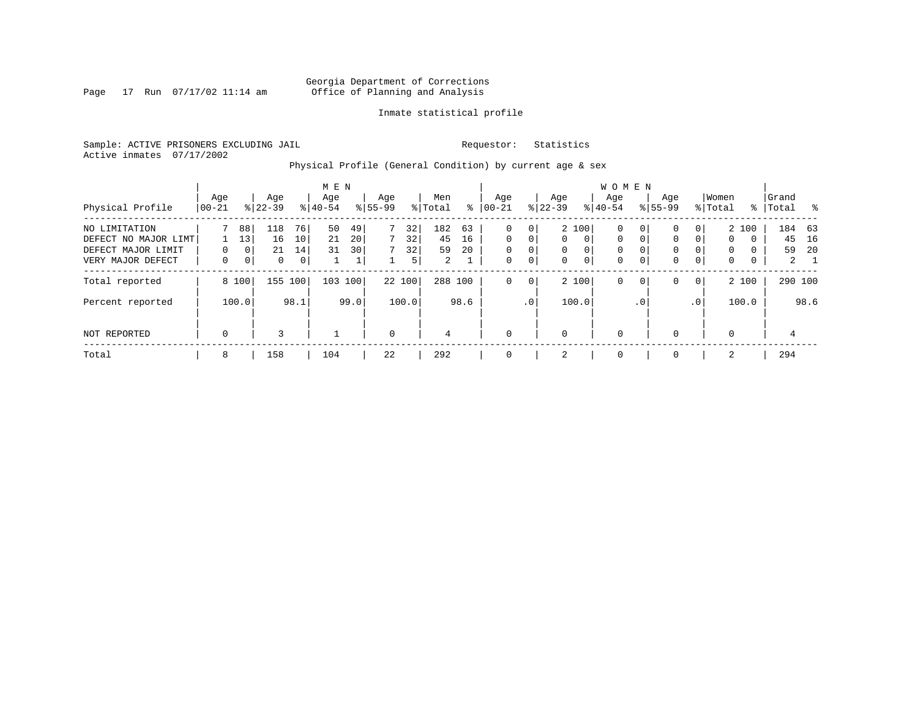Page 17 Run  $07/17/02$  11:14 am

### Inmate statistical profile

Sample: ACTIVE PRISONERS EXCLUDING JAIL **Requestor:** Statistics Active inmates 07/17/2002

Physical Profile (General Condition) by current age & sex

|                                                                                  |                 |                                              |                      |                     | M E N            |                     |                    |                     |                                   |                |                                                       |                  |                                  |                                                       | W O M E N                            |                                     |                                                 |                              |                  |                             |                    |                           |
|----------------------------------------------------------------------------------|-----------------|----------------------------------------------|----------------------|---------------------|------------------|---------------------|--------------------|---------------------|-----------------------------------|----------------|-------------------------------------------------------|------------------|----------------------------------|-------------------------------------------------------|--------------------------------------|-------------------------------------|-------------------------------------------------|------------------------------|------------------|-----------------------------|--------------------|---------------------------|
| Physical Profile                                                                 | Age<br>$ 00-21$ |                                              | Age<br>$8 22-39$     |                     | Age<br>$8 40-54$ |                     | Age<br>$8155 - 99$ |                     | Men<br>% Total                    | ႜ              | Age<br>$ 00-21$                                       |                  | Age<br>$ 22-39 $                 |                                                       | Age<br>$8 40-54$                     |                                     | Age<br>$8155 - 99$                              |                              | Women<br>% Total | ႜႜ                          | Grand<br>Total     | $\sim$ 8                  |
| NO LIMITATION<br>DEFECT NO MAJOR LIMT<br>DEFECT MAJOR LIMIT<br>VERY MAJOR DEFECT | $\Omega$<br>0   | 88<br>13<br>0 <sup>1</sup><br>0 <sup>1</sup> | 118<br>16<br>21<br>0 | 76<br>10<br>14<br>0 | 50<br>21<br>31   | 49<br>20<br>30<br>⊥ |                    | 32<br>32<br>32<br>5 | 182<br>45<br>59<br>$\overline{2}$ | 63<br>16<br>20 | $\mathbf 0$<br>$\Omega$<br>$\mathbf 0$<br>$\mathbf 0$ | 0<br>0<br>0<br>0 | $\Omega$<br>$\Omega$<br>$\Omega$ | 2 100<br>$\Omega$<br>$\overline{0}$<br>$\overline{0}$ | 0<br>$\mathbf 0$<br>0<br>$\mathbf 0$ | $\mathbf{0}$<br>0 <sup>1</sup><br>0 | $\mathbf{0}$<br>$\mathbf 0$<br>0<br>$\mathbf 0$ | 0<br>$\Omega$<br>$\mathbf 0$ | 0<br>0<br>0      | 2 100<br>$\Omega$<br>0<br>0 | 184 63<br>45<br>59 | 16<br>-20<br>$\mathbf{2}$ |
| Total reported<br>Percent reported                                               |                 | 8 100<br>100.0                               | 155                  | 100<br>98.1         | 103              | 100<br>99.0         |                    | 22 100<br>100.0     | 288 100                           | 98.6           | $\mathbf 0$                                           | 0<br>$\cdot$ 0   |                                  | 2 100<br>100.0                                        | 0                                    | $\mathbf{0}$<br>$\cdot$ 0           | $\mathbf{0}$                                    | $\mathbf 0$<br>.0'           |                  | 2 100<br>100.0              | 290 100            | 98.6                      |
| NOT REPORTED                                                                     | $\mathbf 0$     |                                              | 3                    |                     |                  |                     | $\mathbf 0$        |                     | 4                                 |                | $\Omega$                                              |                  | $\Omega$                         |                                                       | $\mathbf 0$                          |                                     | $\mathbf{0}$                                    |                              | $\Omega$         |                             | 4                  |                           |
| Total                                                                            | 8               |                                              | 158                  |                     | 104              |                     | 22                 |                     | 292                               |                | $\mathbf 0$                                           |                  | 2                                |                                                       | 0                                    |                                     | $\mathbf 0$                                     |                              | 2                |                             | 294                |                           |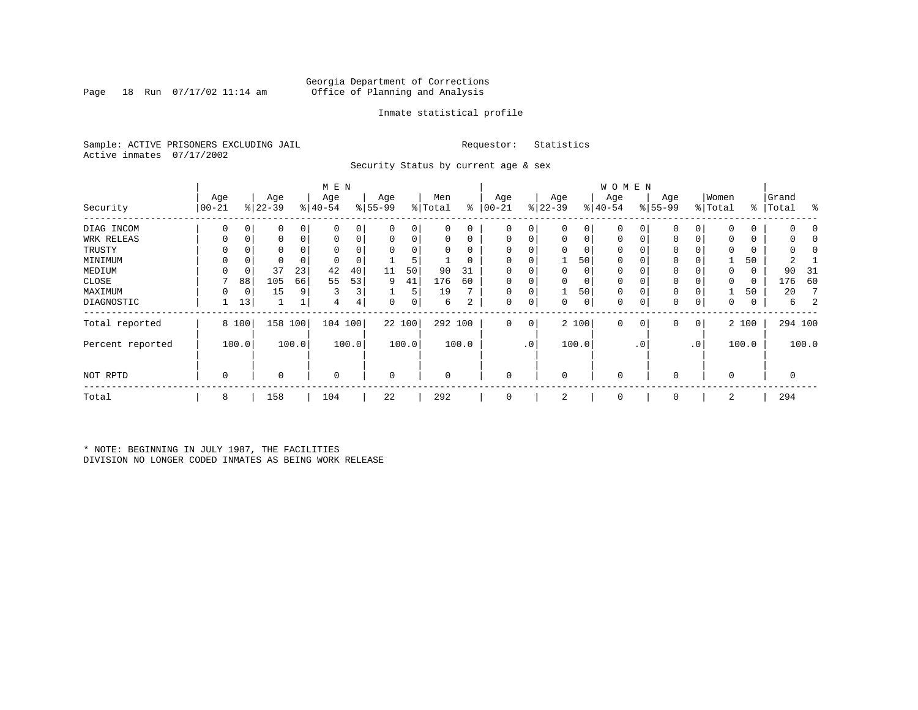### Georgia Department of Corrections<br>Page 18 Run 07/17/02 11:14 am 6ffice of Planning and Analysis Page 18 Run 07/17/02 11:14 am Office of Planning and Analysis

### Inmate statistical profile

Sample: ACTIVE PRISONERS EXCLUDING JAIL **Requestor:** Statistics Active inmates 07/17/2002

Security Status by current age & sex

|                  |           |       |           |       | M E N       |                |             |        |          |          |             |                 |           |       | <b>WOMEN</b> |             |          |           |              |       |           |            |
|------------------|-----------|-------|-----------|-------|-------------|----------------|-------------|--------|----------|----------|-------------|-----------------|-----------|-------|--------------|-------------|----------|-----------|--------------|-------|-----------|------------|
|                  | Age       |       | Age       |       | Age         |                | Age         |        | Men      |          | Age         |                 | Age       |       | Age          |             | Age      |           | Women        |       | Grand     |            |
| Security         | $00 - 21$ |       | $ 22-39 $ |       | $ 40-54 $   |                | $8 55-99$   |        | % Total  | ႜ        | $ 00 - 21$  |                 | $ 22-39 $ |       | $ 40-54 $    |             | $ 55-99$ |           | % Total      |       | %   Total | ႜ          |
| DIAG INCOM       | $\Omega$  | 0     |           | 0     | $\Omega$    |                | 0           | 0      | 0        | 0        | $\Omega$    | 0               | 0         | 0     | 0            | 0           | $\Omega$ |           | <sup>0</sup> | 0     |           |            |
| WRK RELEAS       |           | 0     | 0         | 0     |             | 0              | 0           | 0      | 0        | 0        | $\Omega$    | 0               | 0         | 0     | 0            | 0           | $\Omega$ |           |              | 0     |           |            |
| TRUSTY           |           |       |           |       |             |                | $\Omega$    | 0      |          | $\Omega$ |             |                 | $\Omega$  | 0     | $\mathbf 0$  | O           | $\Omega$ |           |              |       |           | $\sqrt{2}$ |
| MINIMUM          | $\Omega$  | 0     |           |       |             |                |             | 5      |          | 0        |             |                 |           | 50    | $\mathbf 0$  | $\Omega$    | 0        |           |              | 50    |           |            |
| MEDIUM           |           | 0     | 37        | 23    | 42          | 40             | 11          | 50     | 90       | 31       |             |                 | 0         | 0     | $\mathbf 0$  | $\Omega$    | 0        |           | $\Omega$     | 0     | 90        | -31        |
| CLOSE            |           | 88    | 105       | 66    | 55          | 53             | 9           | 41     | 176      | 60       |             |                 | 0         | 0     | $\mathbf 0$  |             | 0        |           |              | 0     | 176       | 60         |
| MAXIMUM          | $\Omega$  | 0     | 15        | 9     | 3           | 3 <sub>1</sub> |             | 5      | 19       |          | $\Omega$    | 0               |           | 50    | $\mathbf 0$  | $\Omega$    | 0        |           |              | 50    | 20        |            |
| DIAGNOSTIC       |           | 13    |           |       | 4           | 4              | 0           | 0      | 6        | 2        | 0           | 0               | 0         | 0     | $\mathbf 0$  | 0           | 0        | 0         | 0            | 0     | 6         |            |
| Total reported   |           | 8 100 | 158       | 100   | 104 100     |                |             | 22 100 | 292 100  |          | 0           | 0               |           | 2 100 | $\mathbf 0$  | $\mathbf 0$ | 0        | 0         |              | 2 100 |           | 294 100    |
| Percent reported |           | 100.0 |           | 100.0 |             | 100.0          |             | 100.0  |          | 100.0    |             | .0 <sup>1</sup> |           | 100.0 |              | . 0         |          | $\cdot$ 0 |              | 100.0 |           | 100.0      |
| NOT RPTD         | 0         |       | 0         |       | $\mathbf 0$ |                | $\mathbf 0$ |        | $\Omega$ |          | 0           |                 | 0         |       | $\mathbf 0$  |             | $\Omega$ |           | $\Omega$     |       | 0         |            |
| Total            | 8         |       | 158       |       | 104         |                | 22          |        | 292      |          | $\mathbf 0$ |                 | 2         |       | 0            |             | 0        |           | 2            |       | 294       |            |

\* NOTE: BEGINNING IN JULY 1987, THE FACILITIES DIVISION NO LONGER CODED INMATES AS BEING WORK RELEASE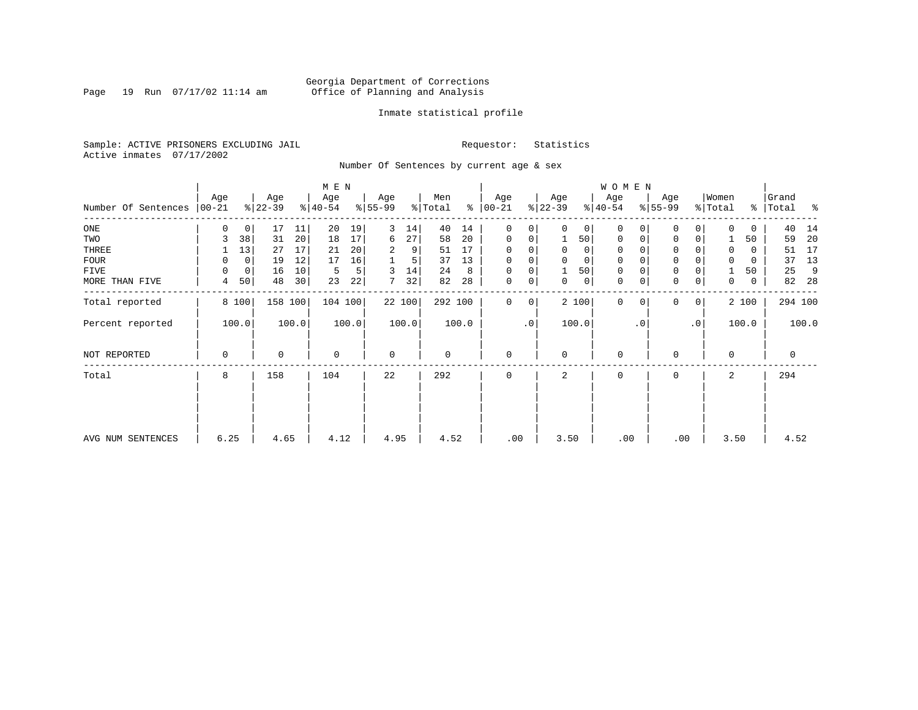Page 19 Run  $07/17/02$  11:14 am

### Inmate statistical profile

Sample: ACTIVE PRISONERS EXCLUDING JAIL **Requestor:** Statistics Active inmates 07/17/2002

Number Of Sentences by current age & sex

|                     |                  |             |                  |       | M E N            |       |                 |        |                |       |                      |           |                  |          | W O M E N        |           |                 |                 |                  |          |                 |       |
|---------------------|------------------|-------------|------------------|-------|------------------|-------|-----------------|--------|----------------|-------|----------------------|-----------|------------------|----------|------------------|-----------|-----------------|-----------------|------------------|----------|-----------------|-------|
| Number Of Sentences | Age<br>$ 00-21 $ |             | Age<br>$ 22-39 $ |       | Age<br>$ 40-54 $ |       | Age<br>$ 55-99$ |        | Men<br>% Total |       | Age<br>$8   00 - 21$ |           | Age<br>$ 22-39 $ |          | Age<br>$8 40-54$ |           | Age<br>$ 55-99$ |                 | Women<br>% Total | ွေ       | Grand<br> Total | ႜ     |
| $_{\rm ONE}$        | 0                | 0           | 17               | 11    | 20               | 19    | 3               | 14     | 40             | 14    | $\mathbf 0$          | 0         | $\Omega$         | 0        | $\Omega$         | 0         | 0               | 0               | $\Omega$         | 0        | 40              | 14    |
| TWO                 | 3                | 38          | 31               | 20    | 18               | 17    | 6               | 27     | 58             | 20    | $\mathbf 0$          | 0         |                  | 50       | $\Omega$         | 0         | $\Omega$        | 0               |                  | 50       | 59              | 20    |
| THREE               |                  | 13          | 27               | 17    | 21               | 20    | 2               | 9      | 51             | 17    | $\Omega$             |           | $\Omega$         | 0        | 0                |           | 0               |                 | 0                | 0        | 51              | 17    |
| <b>FOUR</b>         | 0                | $\mathbf 0$ | 19               | 12    | 17               | 16    |                 |        | 37             | 13    | $\Omega$             | 0         | $\Omega$         | $\Omega$ | $\Omega$         |           | $\Omega$        |                 | $\Omega$         | $\Omega$ | 37              | 13    |
| FIVE                | 0                | $\mathbf 0$ | 16               | 10    | 5                | 5     | 3               | 14     | 24             | 8     | 0                    | 0         |                  | 50       | $\mathbf 0$      |           | $\mathbf 0$     |                 |                  | 50       | 25              | 9     |
| MORE THAN FIVE      | 4                | 50          | 48               | 30    | 23               | 22    |                 | 32     | 82             | 28    | $\mathbf 0$          | 0         | 0                | 0        | $\mathbf 0$      | 0         | $\mathbf 0$     | 0               | 0                | 0        | 82              | -28   |
| Total reported      |                  | 8 100       | 158              | 100   | 104 100          |       |                 | 22 100 | 292 100        |       | 0                    | 0         |                  | 2 100    | $\Omega$         | $\Omega$  | $\Omega$        | 0               |                  | 2 100    | 294 100         |       |
| Percent reported    |                  | 100.0       |                  | 100.0 |                  | 100.0 |                 | 100.0  |                | 100.0 |                      | $\cdot$ 0 |                  | 100.0    |                  | $\cdot$ 0 |                 | .0 <sup>1</sup> |                  | 100.0    |                 | 100.0 |
| NOT REPORTED        | $\mathbf 0$      |             | $\mathbf 0$      |       | $\mathbf 0$      |       | $\mathbf 0$     |        | 0              |       | $\mathbf 0$          |           | $\Omega$         |          | $\mathbf 0$      |           | $\Omega$        |                 | 0                |          | 0               |       |
| Total               | 8                |             | 158              |       | 104              |       | 22              |        | 292            |       | $\Omega$             |           | 2                |          | $\Omega$         |           | $\Omega$        |                 | $\overline{a}$   |          | 294             |       |
|                     |                  |             |                  |       |                  |       |                 |        |                |       |                      |           |                  |          |                  |           |                 |                 |                  |          |                 |       |
| AVG NUM SENTENCES   | 6.25             |             | 4.65             |       | 4.12             |       | 4.95            |        | 4.52           |       | .00                  |           | 3.50             |          | .00              |           | .00             |                 | 3.50             |          | 4.52            |       |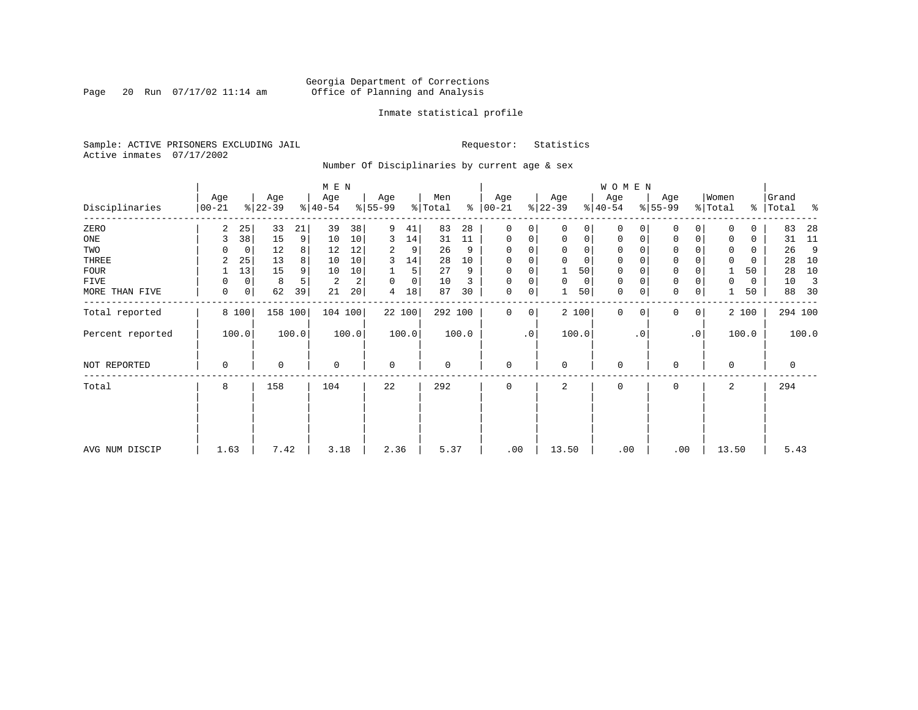### Georgia Department of Corrections<br>Page 20 Run 07/17/02 11:14 am 6ffice of Planning and Analysis Page 20 Run 07/17/02 11:14 am Office of Planning and Analysis

### Inmate statistical profile

Sample: ACTIVE PRISONERS EXCLUDING JAIL **Requestor:** Statistics Active inmates 07/17/2002

Number Of Disciplinaries by current age & sex

| Age<br>$00 - 21$ |    | Age                    |                | Age                      |           | Age                        |                     | Men                     |         | Age                      |               | Age         |                | Age            |                                       | Age                 |                    | Women       |          | Grand<br>Total                | ႜ       |
|------------------|----|------------------------|----------------|--------------------------|-----------|----------------------------|---------------------|-------------------------|---------|--------------------------|---------------|-------------|----------------|----------------|---------------------------------------|---------------------|--------------------|-------------|----------|-------------------------------|---------|
| 2                | 25 | 33                     | 21             | 39                       | 38        | 9                          | 41                  | 83                      | 28      | $\mathbf 0$              | 0             | $\Omega$    |                | $\Omega$       | 0                                     | $\mathbf{0}$        | $\Omega$           | $\Omega$    | $\Omega$ | 83                            | 28      |
| 3                | 38 | 15                     | 9 <sup>1</sup> | 10                       | 10        | 3                          | 14                  | 31                      | 11      | $\mathbf 0$              | 0             | $\mathbf 0$ | $\overline{0}$ | 0              | 0                                     | $\mathbf 0$         | 0                  | 0           | 0        | 31                            | 11      |
|                  | 0  | 12                     | 8              | 12                       | 12        | 2                          | 9                   | 26                      | 9       | $\mathbf 0$              | $\Omega$      |             | $\Omega$       | 0              |                                       | 0                   |                    |             | 0        | 26                            | 9       |
| 2                | 25 | 13                     | 8              | 10                       | 10        | 3                          | 14                  | 28                      | 10      | $\mathbf 0$              | 0             |             | $\Omega$       | 0              |                                       | $\mathbf 0$         |                    | $\mathbf 0$ | 0        | 28                            | 10      |
|                  | 13 | 15                     | 9              | 10                       | 10        |                            | 5                   | 27                      | 9       | $\Omega$                 | 0             |             | 50             | 0              |                                       | $\mathbf 0$         |                    |             | 50       | 28                            | 10      |
| $\Omega$         | 0  | 8                      |                | $\overline{c}$           | 2         | $\Omega$                   | 0                   | 10                      |         | $\mathbf 0$              | 0             | $\Omega$    | 0              | 0              |                                       | $\mathbf 0$         |                    | 0           | 0        | 10                            | 3       |
| 0                | 0  | 62                     | 39             | 21                       | 20        | 4                          | 18                  | 87                      | 30      | 0                        | 0             |             |                | $\mathbf 0$    | 0                                     | $\mathsf{O}\xspace$ | 0                  |             | 50       | 88                            | 30      |
|                  |    |                        |                |                          |           |                            |                     |                         |         | $\mathbf 0$              | 0             |             |                | $\mathbf 0$    | $\Omega$                              | $\mathbf 0$         | $\mathbf 0$        |             |          |                               | 294 100 |
|                  |    |                        |                |                          |           |                            |                     |                         |         |                          | $\cdot$ 0     |             |                |                | $\cdot$ 0                             |                     | $\cdot$ 0          |             |          |                               | 100.0   |
| $\mathbf 0$      |    | 0                      |                | $\mathbf 0$              |           | $\mathbf 0$                |                     | 0                       |         | $\mathbf 0$              |               | $\Omega$    |                | $\mathbf 0$    |                                       | 0                   |                    | $\Omega$    |          | 0                             |         |
| 8                |    | 158                    |                | 104                      |           | 22                         |                     | 292                     |         | $\mathbf 0$              |               | 2           |                | 0              |                                       | $\mathbf 0$         |                    | 2           |          | 294                           |         |
|                  |    |                        |                |                          |           |                            |                     |                         |         |                          |               |             |                |                |                                       |                     |                    |             |          |                               |         |
|                  |    |                        |                |                          |           |                            |                     |                         |         |                          |               |             |                |                |                                       |                     |                    |             |          |                               |         |
|                  |    | 8 100<br>100.0<br>1.63 | $ 22-39 $      | 158 100<br>100.0<br>7.42 | $ 40-54 $ | $M$ E $N$<br>100.0<br>3.18 | $ 55-99$<br>104 100 | 22 100<br>100.0<br>2.36 | % Total | 292 100<br>100.0<br>5.37 | $8   00 - 21$ | .00         | $ 22-39 $      | 100.0<br>13.50 | $ 40-54 $<br>$\Omega$<br>50 <br>2 100 | .00                 | WOMEN<br>$ 55-99 $ | .00         | % Total  | ွေ<br>2 100<br>100.0<br>13.50 | 5.43    |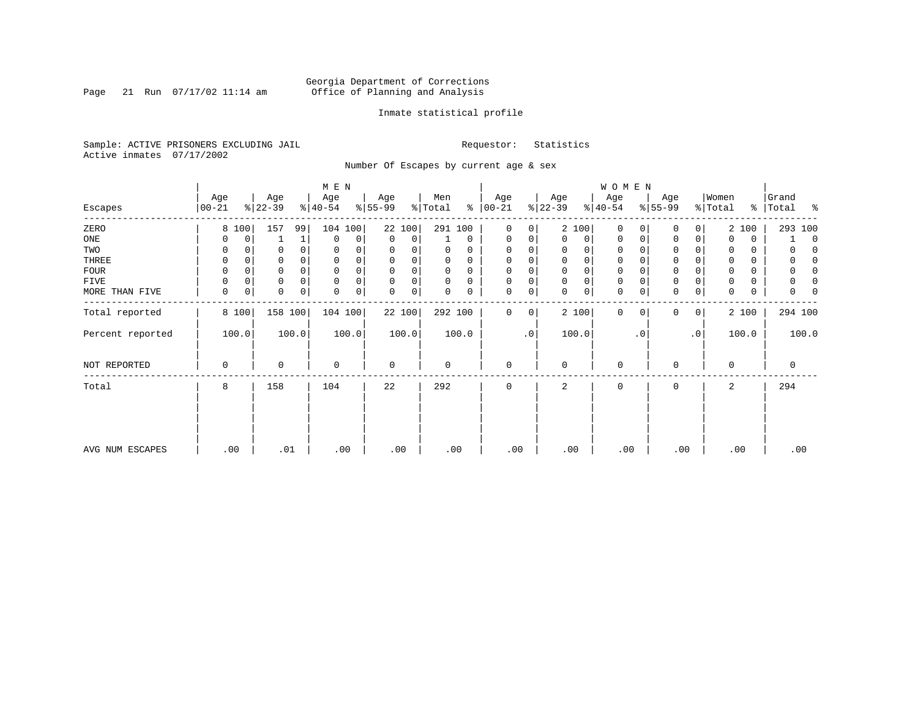Page 21 Run  $07/17/02$  11:14 am

### Inmate statistical profile

Sample: ACTIVE PRISONERS EXCLUDING JAIL **Requestor:** Statistics Active inmates 07/17/2002

Number Of Escapes by current age & sex

|                  |                  |          |                  |          | M E N            |       |                  |       |                |          |                  |             |                 |             | WOMEN            |           |                  |                |                  |       |                |              |
|------------------|------------------|----------|------------------|----------|------------------|-------|------------------|-------|----------------|----------|------------------|-------------|-----------------|-------------|------------------|-----------|------------------|----------------|------------------|-------|----------------|--------------|
| Escapes          | Age<br>$00 - 21$ |          | Age<br>$ 22-39 $ |          | Age<br>$ 40-54 $ |       | Age<br>$8 55-99$ |       | Men<br>% Total | ៖        | Age<br>$00 - 21$ |             | Age<br>$ 22-39$ |             | Age<br>$ 40-54 $ |           | Age<br>$ 55-99 $ |                | Women<br>% Total | ွေ    | Grand<br>Total | ႜ            |
| ZERO             |                  | 8 100    | 157              | 99       | 104              | 100   | 22 100           |       | 291 100        |          | $\mathbf 0$      | 0           | 2 100           |             | $\mathbf 0$      | 0         | 0                | 0              |                  | 2 100 |                | 293 100      |
| ONE              | 0                | 0        |                  | 1        | $\mathbf{0}$     | 0     | 0                | 0     |                | 0        | 0                | 0           | $\Omega$        | 0           | 0                | 0         | 0                | 0              | 0                | 0     |                | $\mathbf 0$  |
| TWO              | 0                |          |                  |          | 0                |       | 0                | 0     | 0              | 0        | 0                |             | $\Omega$        | 0           | 0                |           | 0                |                | 0                | 0     |                |              |
| THREE            | 0                |          |                  |          | 0                |       | 0                | 0     | U              | $\Omega$ | 0                |             | $\mathbf 0$     | 0           | 0                |           | 0                |                | 0                | 0     |                |              |
| <b>FOUR</b>      | $\Omega$         | $\Omega$ |                  | $\Omega$ | 0                | 0     | $\Omega$         | 0     | 0              | $\Omega$ | 0                | $\Omega$    | $\Omega$        | $\mathbf 0$ | 0                |           | $\Omega$         |                | $\Omega$         | 0     |                | <sup>0</sup> |
| FIVE             |                  | 0        | 0                |          | $\mathbf 0$      | 0     | 0                | 0     | 0              | 0        | 0                | 0           | $\Omega$        | $\mathsf 0$ | 0                |           | $\Omega$         |                | 0                | 0     |                |              |
| MORE THAN FIVE   | 0                | 0        | 0                | 0        | 0                | 0     | 0                | 0     | 0              | 0        | 0                | 0           | $\Omega$        | 0           | $\mathbf 0$      | 0         | $\Omega$         | 0              | $\Omega$         | 0     |                |              |
| Total reported   |                  | 8 100    | 158 100          |          | 104 100          |       | 22 100           |       | 292 100        |          | $\mathbf 0$      | $\mathbf 0$ | 2 100           |             | $\mathbf{0}$     | 0         | 0                | $\overline{0}$ |                  | 2 100 |                | 294 100      |
| Percent reported |                  | 100.0    |                  | 100.0    |                  | 100.0 |                  | 100.0 |                | 100.0    |                  | $\cdot$ 0   | 100.0           |             |                  | $\cdot$ 0 |                  | $\cdot$ 0      |                  | 100.0 |                | 100.0        |
| NOT REPORTED     | 0                |          | 0                |          | 0                |       | 0                |       | 0              |          | 0                |             | $\mathbf 0$     |             | 0                |           | $\Omega$         |                | $\mathbf 0$      |       | 0              |              |
| Total            | 8                |          | 158              |          | 104              |       | 22               |       | 292            |          | 0                |             | 2               |             | 0                |           | 0                |                | 2                |       | 294            |              |
|                  |                  |          |                  |          |                  |       |                  |       |                |          |                  |             |                 |             |                  |           |                  |                |                  |       |                |              |
| AVG NUM ESCAPES  | .00              |          | .01              |          | .00              |       | .00              |       | .00            |          | .00              |             | .00             |             | .00              |           | .00              |                |                  | .00   |                | .00          |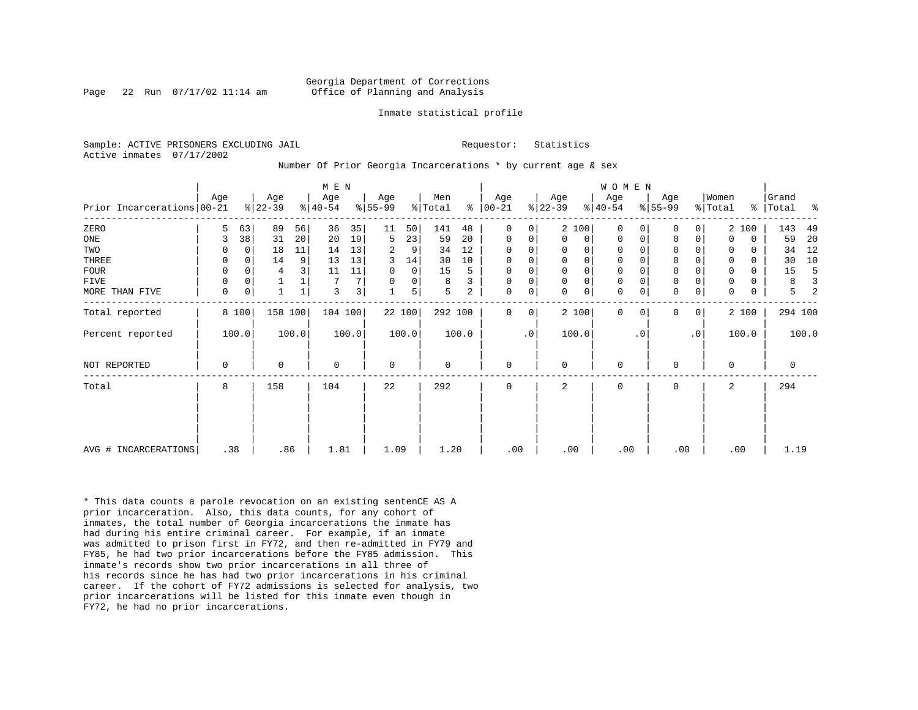Page 22 Run  $07/17/02$  11:14 am

#### Inmate statistical profile

Sample: ACTIVE PRISONERS EXCLUDING JAIL **Requestor:** Statistics Active inmates 07/17/2002

Number Of Prior Georgia Incarcerations \* by current age & sex

|                              |          |          |                  |       | M E N            |                |                  |        |                |       |                      |           |                  |             | <b>WOMEN</b>     |           |                  |           |                  |          |                    |       |
|------------------------------|----------|----------|------------------|-------|------------------|----------------|------------------|--------|----------------|-------|----------------------|-----------|------------------|-------------|------------------|-----------|------------------|-----------|------------------|----------|--------------------|-------|
| Prior Incarcerations   00-21 | Age      |          | Age<br>$ 22-39 $ |       | Age<br>$ 40-54 $ |                | Age<br>$ 55-99 $ |        | Men<br>% Total |       | Age<br>$8   00 - 21$ |           | Age<br>$ 22-39 $ |             | Age<br>$8 40-54$ |           | Age<br>$ 55-99 $ |           | Women<br>% Total |          | Grand<br>%   Total | ႜ     |
| ZERO                         | 5        | 63       | 89               | 56    | 36               | 35             | 11               | 50     | 141            | 48    | $\Omega$             | 0         |                  | 2 100       | $\Omega$         |           | $\Omega$         | 0         |                  | 2 100    | 143                | 49    |
| ONE                          | 3        | 38       | 31               | 20    | 20               | 19             | 5                | 23     | 59             | 20    | $\mathbf 0$          | 0         | $\mathbf 0$      | 0           | $\mathbf 0$      | 0         | 0                | 0         | $\Omega$         | 0        | 59                 | 20    |
| TWO                          |          | $\Omega$ | 18               | 11    | 14               | 13             | 2                | 9      | 34             | 12    | 0                    | 0         | 0                | $\mathbf 0$ | $\mathbf 0$      |           | 0                |           |                  | 0        | 34                 | 12    |
| THREE                        | $\Omega$ | $\Omega$ | 14               | 9     | 13               | 13             | 3                | 14     | 30             | 10    | $\mathbf 0$          | 0         | $\mathbf 0$      | $\mathsf 0$ | $\mathbf 0$      |           | $\mathbf 0$      |           |                  | $\Omega$ | 30                 | 10    |
| FOUR                         | 0        | $\Omega$ | 4                |       | 11               | 11             | 0                | 0      | 15             | 5     | $\mathbf 0$          | 0         | 0                | $\mathbf 0$ | $\mathbf 0$      |           | $\mathbf 0$      |           |                  | 0        | 15                 |       |
| FIVE                         | 0        | $\Omega$ |                  |       |                  | 7 <sup>1</sup> |                  | 0      | 8              | 3     | $\mathbf 0$          | 0         | $\mathbf 0$      | $\mathsf 0$ | $\mathbf 0$      |           | $\mathbf 0$      |           |                  | 0        | 8                  |       |
| MORE THAN FIVE               | 0        | 0        |                  |       | 3                | 3 <sup>1</sup> |                  | 5      | 5              | 2     | 0                    | 0         | $\Omega$         | $\mathbf 0$ | $\mathbf 0$      |           | $\mathbf 0$      | 0         | $\Omega$         | 0        | 5                  |       |
| Total reported               |          | 8 100    | 158 100          |       | 104 100          |                |                  | 22 100 | 292 100        |       | $\Omega$             | 0         |                  | 2 100       | $\Omega$         | 0         | 0                | 0         |                  | 2 100    | 294 100            |       |
| Percent reported             |          | 100.0    |                  | 100.0 |                  | 100.0          |                  | 100.0  |                | 100.0 |                      | $\cdot$ 0 |                  | 100.0       |                  | $\cdot$ 0 |                  | $\cdot$ 0 |                  | 100.0    |                    | 100.0 |
| NOT REPORTED                 | 0        |          | 0                |       | $\mathbf 0$      |                | $\mathbf 0$      |        | 0              |       | $\mathbf 0$          |           | 0                |             | $\mathbf 0$      |           | $\mathbf 0$      |           | $\Omega$         |          | 0                  |       |
| Total                        | 8        |          | 158              |       | 104              |                | 22               |        | 292            |       | 0                    |           | 2                |             | 0                |           | $\mathbf 0$      |           | 2                |          | 294                |       |
|                              |          |          |                  |       |                  |                |                  |        |                |       |                      |           |                  |             |                  |           |                  |           |                  |          |                    |       |
| AVG # INCARCERATIONS         | .38      |          | .86              |       | 1.81             |                | 1.09             |        | 1.20           |       | .00                  |           | .00              |             | .00              |           | .00              |           |                  | .00      | 1.19               |       |

\* This data counts a parole revocation on an existing sentenCE AS A prior incarceration. Also, this data counts, for any cohort of inmates, the total number of Georgia incarcerations the inmate has had during his entire criminal career. For example, if an inmate was admitted to prison first in FY72, and then re-admitted in FY79 and FY85, he had two prior incarcerations before the FY85 admission. This inmate's records show two prior incarcerations in all three of his records since he has had two prior incarcerations in his criminal career. If the cohort of FY72 admissions is selected for analysis, two prior incarcerations will be listed for this inmate even though in FY72, he had no prior incarcerations.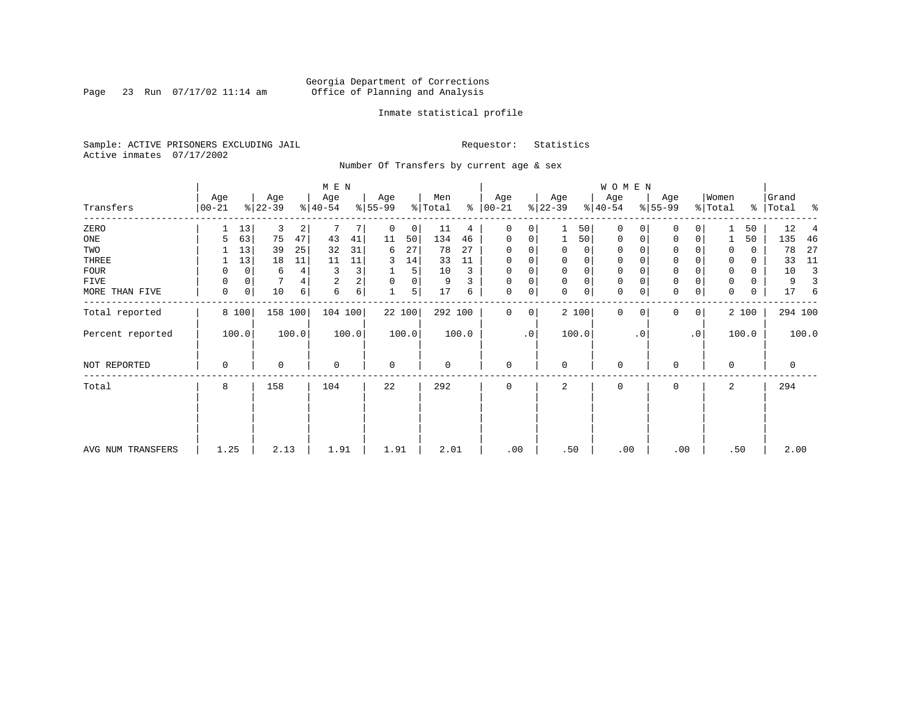Page 23 Run  $07/17/02$  11:14 am

### Inmate statistical profile

Sample: ACTIVE PRISONERS EXCLUDING JAIL **Requestor:** Statistics Active inmates 07/17/2002

Number Of Transfers by current age & sex

|                   |                  |    |                  |       | M E N            |       |                          |        |                |       |                  |             |                 |             | WOMEN            |           |                  |                |                  |       |                |       |
|-------------------|------------------|----|------------------|-------|------------------|-------|--------------------------|--------|----------------|-------|------------------|-------------|-----------------|-------------|------------------|-----------|------------------|----------------|------------------|-------|----------------|-------|
| Transfers         | Age<br>$00 - 21$ |    | Age<br>$ 22-39 $ |       | Age<br>$ 40-54 $ |       | Age<br>$\frac{8}{55-99}$ |        | Men<br>% Total | ွေ    | Age<br>$00 - 21$ |             | Age<br>$ 22-39$ |             | Age<br>$ 40-54 $ |           | Age<br>$ 55-99 $ |                | Women<br>% Total | ိ     | Grand<br>Total | ႜ     |
| ZERO              |                  | 13 | 3                | 2     |                  |       | 0                        | 0      | 11             | 4     | 0                | 0           |                 | 50          | $\mathbf 0$      |           | 0                | 0              |                  | 50    | 12             |       |
| ONE               | 5                | 63 | 75               | 47    | 43               | 41    | 11                       | 50     | 134            | 46    | 0                | 0           | $\mathbf{1}$    | 50          | 0                | 0         | $\mathbf 0$      | 0              |                  | 50    | 135            | 46    |
| TWO               |                  | 13 | 39               | 25    | 32               | 31    | 6                        | 27     | 78             | 27    | 0                |             | 0               | 0           | 0                |           | 0                |                | 0                | 0     | 78             | 27    |
| THREE             |                  | 13 | 18               | 11    | 11               | 11    | 3                        | 14     | 33             | 11    | 0                |             | 0               | 0           | 0                |           | 0                |                | 0                | 0     | 33             | 11    |
| <b>FOUR</b>       | 0                | 0  | 6                | 4     | 3                | 3     |                          | 5      | 10             | 3     | 0                | $\Omega$    | $\Omega$        | $\mathbf 0$ | 0                |           | $\Omega$         |                | $\Omega$         | 0     | 10             | 3     |
| FIVE              | 0                | 0  |                  |       | $\overline{2}$   | 2     | 0                        | 0      | 9              | 3     | 0                | 0           | $\Omega$        | $\mathsf 0$ | 0                |           | $\Omega$         |                | 0                | 0     | 9              |       |
| MORE THAN FIVE    | 0                | 0  | 10               | 6     | 6                | 6     | 1                        | 5      | 17             | 6     | 0                | 0           | $\Omega$        | 0           | $\mathbf 0$      | 0         | $\Omega$         | 0              | $\Omega$         | 0     | 17             | 6     |
| Total reported    | 8 100            |    | 158 100          |       | 104 100          |       |                          | 22 100 | 292 100        |       | 0                | $\mathbf 0$ |                 | 2 100       | $\mathbf{0}$     | $\Omega$  | $\Omega$         | $\overline{0}$ |                  | 2 100 | 294 100        |       |
| Percent reported  | 100.0            |    |                  | 100.0 |                  | 100.0 |                          | 100.0  |                | 100.0 |                  | $\cdot$ 0   |                 | 100.0       |                  | $\cdot$ 0 |                  | $\cdot$ 0      |                  | 100.0 |                | 100.0 |
| NOT REPORTED      | 0                |    | 0                |       | $\mathbf 0$      |       | $\mathbf 0$              |        | 0              |       | 0                |             | $\mathbf 0$     |             | 0                |           | $\Omega$         |                | $\mathbf 0$      |       | 0              |       |
| Total             | 8                |    | 158              |       | 104              |       | 22                       |        | 292            |       | 0                |             | 2               |             | 0                |           | 0                |                | 2                |       | 294            |       |
|                   |                  |    |                  |       |                  |       |                          |        |                |       |                  |             |                 |             |                  |           |                  |                |                  |       |                |       |
| AVG NUM TRANSFERS | 1.25             |    | 2.13             |       | 1.91             |       | 1.91                     |        | 2.01           |       | .00              |             | .50             |             | .00              |           | .00              |                |                  | .50   | 2.00           |       |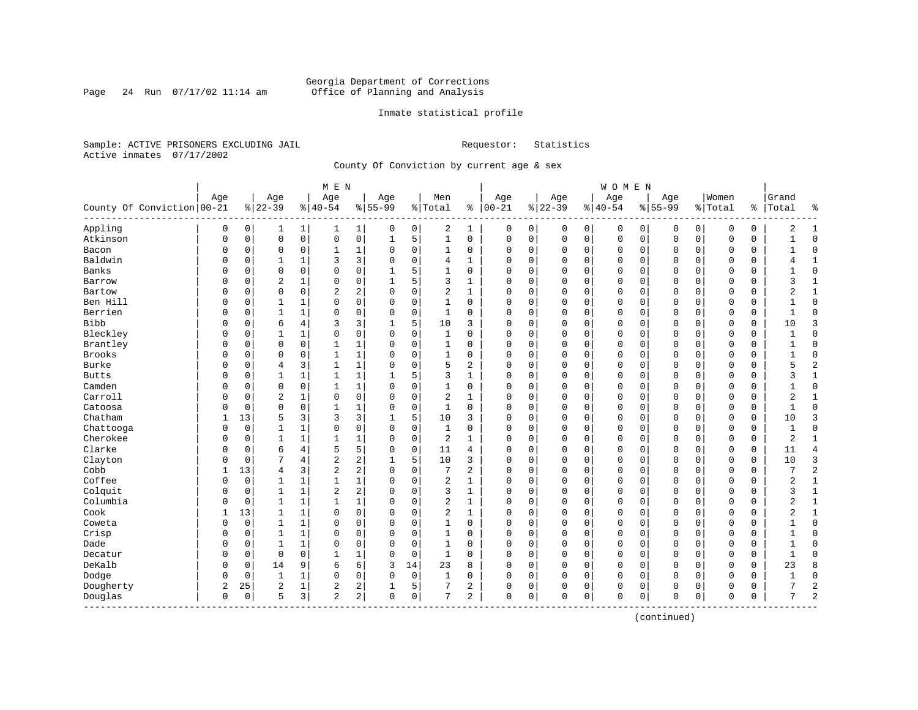### Georgia Department of Corrections<br>Page 24 Run 07/17/02 11:14 am 6ffice of Planning and Analysis Page 24 Run 07/17/02 11:14 am Office of Planning and Analysis

### Inmate statistical profile

Sample: ACTIVE PRISONERS EXCLUDING JAIL **Requestor:** Statistics Active inmates 07/17/2002

County Of Conviction by current age & sex

|                              |          |             |                |                | M E N          |              |             |             |                |                |               |   |             |             | WOMEN     |             |             |             |             |             |                |                |
|------------------------------|----------|-------------|----------------|----------------|----------------|--------------|-------------|-------------|----------------|----------------|---------------|---|-------------|-------------|-----------|-------------|-------------|-------------|-------------|-------------|----------------|----------------|
|                              | Age      |             | Age            |                | Age            |              | Age         |             | Men            |                | Age           |   | Age         |             | Age       |             | Age         |             | Women       |             | Grand          |                |
| County Of Conviction   00-21 |          |             | $8 22-39$      |                | $8 40-54$      |              | $8 55-99$   |             | % Total        |                | $8   00 - 21$ |   | $ 22-39$    |             | $8 40-54$ |             | $8155 - 99$ |             | % Total     | ႜ           | Total          | ႜ              |
| Appling                      | 0        | 0           | 1              | 1              | 1              | $\mathbf{1}$ | 0           | 0           | 2              | 1              | 0             | 0 | 0           | 0           | 0         | 0           | 0           | $\mathbf 0$ | 0           | 0           | 2              | $\mathbf{1}$   |
| Atkinson                     | 0        | 0           | $\mathbf 0$    | $\mathsf 0$    | 0              | 0            | $\mathbf 1$ | 5           | $\mathbf 1$    | 0              | $\mathbf 0$   | 0 | $\mathbf 0$ | $\mathbf 0$ | 0         | $\mathbf 0$ | $\Omega$    | $\mathbf 0$ | O           | 0           | $\mathbf{1}$   | $\mathbf 0$    |
| Bacon                        | $\Omega$ | 0           | $\Omega$       | 0              | 1              | 1            | $\Omega$    | 0           | 1              | 0              | $\Omega$      | 0 | 0           | 0           | 0         | $\mathbf 0$ | $\Omega$    | 0           | O           | 0           | $\mathbf{1}$   | $\mathbf 0$    |
| Baldwin                      | 0        | $\Omega$    |                |                | 3              | 3            | $\Omega$    | $\mathbf 0$ | 4              | $\mathbf{1}$   | $\Omega$      | 0 | $\Omega$    | $\Omega$    | 0         | $\mathbf 0$ | $\Omega$    | $\Omega$    | $\mathbf 0$ | 0           | 4              | $\mathbf{1}$   |
| Banks                        | N        | $\Omega$    | $\Omega$       | $\Omega$       | $\Omega$       | 0            | -1          | 5           | $\mathbf{1}$   | $\Omega$       | $\Omega$      | 0 | $\Omega$    | $\Omega$    | 0         | $\Omega$    | $\Omega$    | $\Omega$    | $\cap$      | 0           |                | $\mathbf 0$    |
| Barrow                       | 0        | $\Omega$    | $\overline{c}$ | 1              | $\Omega$       | 0            | 1           | 5           | 3              | 1              | $\Omega$      | 0 | $\Omega$    | $\mathbf 0$ | 0         | $\mathbf 0$ | $\Omega$    | $\mathbf 0$ | $\Omega$    | 0           | 3              | $\mathbf{1}$   |
| Bartow                       | 0        | 0           | $\mathbf 0$    | $\mathbf 0$    | $\overline{c}$ | 2            | $\Omega$    | 0           | $\overline{c}$ | $\mathbf{1}$   | $\Omega$      | 0 | $\Omega$    | $\mathsf 0$ | 0         | 0           | $\Omega$    | $\mathbf 0$ | O           | 0           | 2              | $\mathbf{1}$   |
| Ben Hill                     | 0        | $\Omega$    | 1              | $\mathbf{1}$   | $\Omega$       | 0            | $\Omega$    | $\mathbf 0$ | $\mathbf{1}$   | 0              | $\Omega$      | 0 | $\Omega$    | $\mathbf 0$ | $\Omega$  | $\mathbf 0$ | $\Omega$    | $\Omega$    | $\Omega$    | 0           | $\mathbf{1}$   | $\mathbf 0$    |
| Berrien                      | O        | 0           | 1              | 1              | $\Omega$       | 0            | $\Omega$    | $\mathbf 0$ | $\mathbf{1}$   | $\Omega$       | $\Omega$      | 0 | $\Omega$    | 0           | $\Omega$  | $\mathbf 0$ | $\Omega$    | $\Omega$    | $\Omega$    | 0           | $\mathbf{1}$   | $\Omega$       |
| <b>Bibb</b>                  | O        | 0           | 6              | $\overline{4}$ | 3              | 3            |             | 5           | 10             | 3              | $\Omega$      | 0 | $\Omega$    | 0           | 0         | 0           | $\Omega$    | 0           | 0           | 0           | 10             | 3              |
| Bleckley                     | N        | $\mathbf 0$ | 1              | $\mathbf{1}$   | $\Omega$       | 0            | $\Omega$    | $\Omega$    | 1              | $\Omega$       | $\Omega$      | 0 | $\Omega$    | 0           | 0         | $\Omega$    | $\Omega$    | $\Omega$    | $\Omega$    | 0           | $\mathbf{1}$   | $\mathbf 0$    |
| Brantley                     | 0        | $\Omega$    | $\mathbf 0$    | $\mathbf 0$    | 1              | 1            | 0           | 0           | 1              | 0              | $\Omega$      | 0 | $\Omega$    | 0           | 0         | $\mathbf 0$ | $\Omega$    | 0           | $\Omega$    | 0           | 1              | $\mathbf 0$    |
| Brooks                       | 0        | 0           | 0              | $\mathbf 0$    | $\mathbf{1}$   | 1            | $\Omega$    | $\mathbf 0$ | 1              | 0              | 0             | 0 | $\Omega$    | $\mathbf 0$ | 0         | $\mathbf 0$ | 0           | $\mathbf 0$ | O           | 0           | 1              | $\mathbf 0$    |
| Burke                        | 0        | $\Omega$    | $\overline{4}$ | 3              | $\mathbf 1$    | $\mathbf 1$  | $\Omega$    | $\mathbf 0$ | 5              | 2              | $\Omega$      | 0 | $\Omega$    | $\mathbf 0$ | $\Omega$  | $\mathbf 0$ | $\Omega$    | $\mathbf 0$ | $\Omega$    | 0           | 5              | $\overline{c}$ |
| <b>Butts</b>                 | 0        | $\Omega$    | 1              | 1              | $\mathbf{1}$   | $\mathbf 1$  |             | 5           | 3              | 1              | $\Omega$      | 0 | $\Omega$    | 0           | 0         | $\mathbf 0$ | $\Omega$    | 0           | $\Omega$    | 0           | 3              | $\mathbf{1}$   |
| Camden                       | 0        | 0           | $\Omega$       | 0              | 1              | 1            | O           | 0           | 1              | 0              | 0             | 0 | $\Omega$    | 0           | 0         | 0           | 0           | 0           | O           | 0           |                | $\mathbf 0$    |
| Carroll                      | 0        | $\mathbf 0$ | 2              | $\mathbf{1}$   | 0              | 0            | $\Omega$    | 0           | $\overline{2}$ | 1              | $\Omega$      | 0 | $\Omega$    | 0           | 0         | $\Omega$    | $\Omega$    | 0           | $\Omega$    | 0           | 2              | 1              |
| Catoosa                      | 0        | $\Omega$    | $\Omega$       | $\Omega$       | $\mathbf{1}$   | $\mathbf{1}$ | $\Omega$    | $\Omega$    | $\mathbf{1}$   | $\Omega$       | $\Omega$      | 0 | $\Omega$    | $\Omega$    | $\Omega$  | $\Omega$    | $\Omega$    | $\Omega$    | $\Omega$    | 0           | $\mathbf{1}$   | $\Omega$       |
| Chatham                      | 1        | 13          | 5              | 3              | 3              | 3            | 1           | 5           | 10             | 3              | $\Omega$      | 0 | $\Omega$    | $\mathbf 0$ | 0         | $\mathbf 0$ | $\Omega$    | $\Omega$    | $\Omega$    | $\mathbf 0$ | 10             | 3              |
| Chattooga                    | $\Omega$ | $\mathbf 0$ | 1              | $\mathbf{1}$   | $\Omega$       | 0            | $\Omega$    | $\mathbf 0$ | $\mathbf{1}$   | 0              | $\Omega$      | 0 | $\Omega$    | 0           | $\Omega$  | 0           | $\Omega$    | $\mathbf 0$ | $\Omega$    | 0           | 1              | $\mathbf 0$    |
| Cherokee                     | 0        | 0           | 1              | 1              | $\mathbf{1}$   | 1            | $\Omega$    | 0           | 2              | 1              | $\Omega$      | 0 | $\Omega$    | 0           | 0         | 0           | $\Omega$    | 0           | $\Omega$    | 0           | $\overline{2}$ | $\mathbf{1}$   |
| Clarke                       | 0        | 0           | 6              | 4              | 5              | 5            | $\Omega$    | 0           | 11             | 4              | $\mathbf 0$   | 0 | $\Omega$    | 0           | 0         | $\mathbf 0$ | $\Omega$    | $\Omega$    | $\Omega$    | 0           | 11             | 4              |
| Clayton                      | 0        | $\mathbf 0$ | 7              | 4              | $\overline{2}$ | 2            |             | 5           | 10             | 3              | $\Omega$      | 0 | $\Omega$    | $\mathbf 0$ | $\Omega$  | $\mathbf 0$ | $\Omega$    | $\Omega$    | $\mathbf 0$ | $\Omega$    | 10             | 3              |
| Cobb                         | 1        | 13          | $\overline{4}$ | 3              | $\overline{2}$ | 2            | $\Omega$    | $\Omega$    | 7              | $\overline{a}$ | $\Omega$      | 0 | $\Omega$    | $\Omega$    | 0         | $\Omega$    | $\Omega$    | $\Omega$    | $\mathbf 0$ | 0           | 7              | $\overline{2}$ |
| Coffee                       | 0        | $\mathbf 0$ | 1              | 1              | $\mathbf 1$    | 1            | O           | $\mathbf 0$ | $\overline{c}$ | 1              | 0             | 0 | $\Omega$    | $\mathbf 0$ | 0         | 0           | 0           | $\mathbf 0$ | O           | 0           | 2              | $\mathbf{1}$   |
| Colquit                      | 0        | 0           | 1              | $\mathbf{1}$   | $\overline{c}$ | 2            | $\Omega$    | $\mathbf 0$ | 3              | $\mathbf{1}$   | $\Omega$      | 0 | $\Omega$    | 0           | 0         | 0           | $\Omega$    | 0           | O           | 0           | 3              | $\mathbf{1}$   |
| Columbia                     | 0        | $\Omega$    | 1              | 1              | $\mathbf{1}$   | $\mathbf 1$  | $\Omega$    | 0           | $\overline{2}$ | 1              | $\Omega$      | 0 | $\Omega$    | 0           | 0         | 0           | $\Omega$    | 0           | $\Omega$    | 0           | 2              | $\mathbf{1}$   |
| Cook                         |          | 13          | 1              | 1              | $\Omega$       | 0            | $\Omega$    | $\mathbf 0$ | 2              | 1              | $\Omega$      | 0 | $\Omega$    | 0           | 0         | 0           | $\Omega$    | 0           | O           | 0           | 2              | $\mathbf{1}$   |
| Coweta                       | O        | 0           | 1              | 1              | $\Omega$       | 0            | n           | $\mathbf 0$ | $\mathbf{1}$   | 0              | $\Omega$      | 0 | $\Omega$    | 0           | 0         | $\mathbf 0$ | $\Omega$    | $\Omega$    | $\Omega$    | 0           |                | $\mathbf 0$    |
| Crisp                        | 0        | 0           | 1              | 1              | $\Omega$       | 0            | O           | $\Omega$    | 1              | 0              | $\Omega$      | 0 | $\Omega$    | 0           | 0         | $\Omega$    | $\Omega$    | $\Omega$    | $\Omega$    | 0           | 1              | $\mathbf 0$    |
| Dade                         | 0        | 0           | 1              | 1              | $\Omega$       | 0            | $\Omega$    | $\mathbf 0$ | 1              | 0              | 0             | 0 | $\Omega$    | 0           | 0         | $\mathbf 0$ | 0           | 0           | 0           | 0           | 1              | $\mathbf 0$    |
| Decatur                      | 0        | $\mathbf 0$ | $\Omega$       | $\Omega$       | $\mathbf{1}$   | $\mathbf{1}$ | 0           | $\mathbf 0$ | $\mathbf{1}$   | $\Omega$       | $\Omega$      | 0 | $\Omega$    | $\mathbf 0$ | $\Omega$  | $\mathbf 0$ | $\Omega$    | $\mathbf 0$ | $\Omega$    | 0           | $\mathbf{1}$   | $\Omega$       |
| DeKalb                       | 0        | 0           | 14             | 9              | 6              | 6            | 3           | 14          | 23             | 8              | $\mathbf 0$   | 0 | $\Omega$    | 0           | 0         | 0           | $\Omega$    | $\Omega$    | $\Omega$    | 0           | 23             | 8              |
| Dodge                        | 0        | 0           | 1              | 1              | $\Omega$       | 0            | $\Omega$    | 0           | 1              | 0              | $\mathbf 0$   | 0 | $\Omega$    | 0           | 0         | 0           | $\Omega$    | 0           | 0           | 0           | 1              | $\mathbf 0$    |
| Dougherty                    | 2        | 25          | $\overline{2}$ | 1              | 2              | 2            |             | 5           | 7              | 2              | 0             | 0 | $\Omega$    | 0           | 0         | 0           | $\Omega$    | 0           | 0           | 0           |                | $\overline{2}$ |
| Douglas<br>-----------       | 0        | 0           | 5              | 3              | $\overline{a}$ | 2            | $\mathbf 0$ | 0           | 7              | 2              | $\mathbf 0$   | 0 | $\Omega$    | 0           | 0         | 0           | $\Omega$    | 0           | $\mathbf 0$ | 0           | 7              | $\overline{2}$ |

(continued)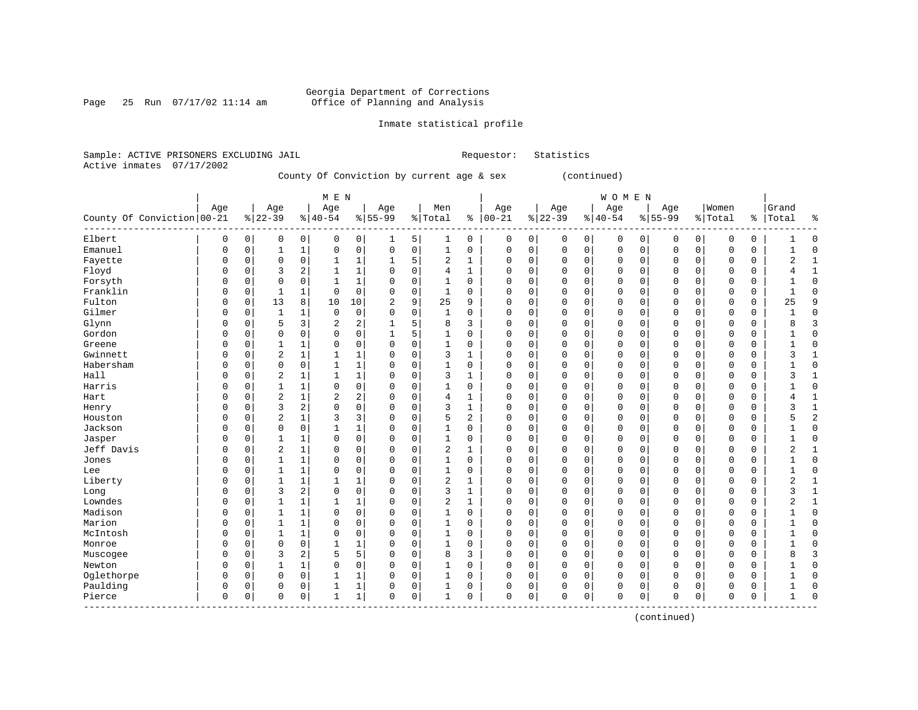Page 25 Run  $07/17/02$  11:14 am

### Inmate statistical profile

Sample: ACTIVE PRISONERS EXCLUDING JAIL Requestor: Statistics Active inmates 07/17/2002

County Of Conviction by current age & sex (continued)

|                             |             |             |                |                | M E N          |                |                |             |                |              |            |   |          |             | <b>WOMEN</b> |             |             |             |             |               |                |                |
|-----------------------------|-------------|-------------|----------------|----------------|----------------|----------------|----------------|-------------|----------------|--------------|------------|---|----------|-------------|--------------|-------------|-------------|-------------|-------------|---------------|----------------|----------------|
|                             | Age         |             | Age            |                | Age            |                | Age            |             | Men            |              | Age        |   | Age      |             | Age          |             | Age         |             | Women       |               | Grand          |                |
| County Of Conviction 00-21  |             |             | $8 22-39$      |                | $8 40-54$      |                | $8155 - 99$    |             | % Total        |              | $% 100-21$ |   | $ 22-39$ |             | $8 40-54$    |             | $8155 - 99$ |             | % Total     | $\frac{8}{6}$ | Total          | ႜ              |
| Elbert                      | 0           | 0           | 0              | $\mathbf 0$    | 0              | 0              | 1              | 5           | 1              | 0            | 0          | 0 | 0        | 0           | 0            | 0           | 0           | $\mathbf 0$ | 0           | 0             |                | $\mathbf 0$    |
| Emanuel                     | 0           | 0           | 1              | $\mathbf{1}$   | 0              | $\mathsf 0$    | 0              | $\mathsf 0$ | 1              | 0            | 0          | 0 | $\Omega$ | $\mathbf 0$ | 0            | $\mathbf 0$ | $\Omega$    | $\mathbf 0$ | 0           | 0             |                | $\Omega$       |
| Fayette                     | $\Omega$    | $\mathbf 0$ | $\mathbf 0$    | $\mathbf 0$    | $\mathbf{1}$   | $\mathbf{1}$   | 1              | 5           | 2              | $\mathbf{1}$ | 0          | 0 | $\Omega$ | 0           | 0            | $\mathbf 0$ | $\Omega$    | 0           | $\mathbf 0$ | 0             | $\overline{2}$ | $\mathbf{1}$   |
| Floyd                       | $\Omega$    | 0           | 3              | $\overline{a}$ | $\mathbf{1}$   | $\mathbf{1}$   | $\Omega$       | $\mathbf 0$ | 4              | $\mathbf{1}$ | $\Omega$   | 0 | $\Omega$ | $\Omega$    | 0            | $\mathbf 0$ | $\Omega$    | $\Omega$    | $\Omega$    | $\Omega$      | 4              | $\mathbf{1}$   |
| Forsyth                     | $\Omega$    | 0           | $\mathbf 0$    | 0              | $\mathbf{1}$   | $\mathbf{1}$   | 0              | $\mathbf 0$ | $\mathbf{1}$   | 0            | $\Omega$   | 0 | $\Omega$ | 0           | 0            | $\mathbf 0$ | $\Omega$    | 0           | 0           | 0             |                | $\mathbf{0}$   |
| Franklin                    | $\Omega$    | 0           | 1              | 1              | 0              | $\mathbf 0$    | 0              | $\mathbf 0$ | 1              | 0            | 0          | 0 | $\Omega$ | 0           | 0            | $\mathbf 0$ | 0           | 0           | 0           | 0             |                | $\Omega$       |
| Fulton                      | 0           | 0           | 13             | 8              | 10             | 10             | $\overline{2}$ | 9           | 25             | 9            | $\Omega$   | 0 | $\Omega$ | 0           | 0            | 0           | $\Omega$    | 0           | 0           | 0             | 25             | 9              |
| Gilmer                      | $\Omega$    | 0           | 1              | 1              | $\mathbf 0$    | $\mathbf 0$    | 0              | $\mathbf 0$ | $\mathbf{1}$   | $\Omega$     | $\Omega$   | 0 | $\Omega$ | 0           | 0            | $\Omega$    | $\Omega$    | $\Omega$    | $\Omega$    | 0             | $\mathbf{1}$   | $\Omega$       |
| Glynn                       | 0           | $\Omega$    | 5              | 3              | $\overline{2}$ | $\overline{2}$ | 1              | 5           | 8              | 3            | $\Omega$   | 0 | $\Omega$ | $\Omega$    | 0            | $\Omega$    | $\Omega$    | $\Omega$    | $\Omega$    | $\Omega$      | 8              | 3              |
| Gordon                      | $\Omega$    | $\Omega$    | $\mathbf 0$    | $\Omega$       | $\Omega$       | $\mathbf 0$    | 1              | 5           | 1              | $\Omega$     | 0          | 0 | $\Omega$ | $\Omega$    | 0            | $\Omega$    | $\Omega$    | $\Omega$    | $\Omega$    | 0             |                | $\Omega$       |
| Greene                      | $\Omega$    | $\mathbf 0$ | 1              | $\mathbf{1}$   | $\mathbf 0$    | $\mathsf 0$    | $\Omega$       | $\mathsf 0$ | $\mathbf{1}$   | 0            | 0          | 0 | $\Omega$ | 0           | 0            | $\mathbf 0$ | $\Omega$    | $\Omega$    | $\Omega$    | 0             |                | $\Omega$       |
| Gwinnett                    | $\Omega$    | 0           | $\overline{2}$ | $\mathbf{1}$   | $\mathbf{1}$   | $\mathbf 1$    | $\Omega$       | $\mathbf 0$ | 3              | $\mathbf{1}$ | 0          | 0 | $\Omega$ | 0           | 0            | $\Omega$    | $\Omega$    | $\Omega$    | $\Omega$    | 0             | 3              | $\mathbf{1}$   |
| Habersham                   | $\Omega$    | 0           | $\mathbf 0$    | $\mathbf 0$    | $\mathbf{1}$   | $1\,$          | $\Omega$       | $\mathbf 0$ | $\mathbf{1}$   | 0            | $\Omega$   | 0 | $\Omega$ | 0           | 0            | $\mathbf 0$ | 0           | 0           | $\mathbf 0$ | 0             |                | $\Omega$       |
| Hall                        | $\Omega$    | 0           | $\overline{c}$ | 1              | $\mathbf{1}$   | $\mathbf 1$    | 0              | $\mathbf 0$ | 3              | 1            | $\Omega$   | 0 | $\Omega$ | 0           | 0            | $\mathbf 0$ | $\Omega$    | 0           | 0           | 0             | ς              | $\mathbf{1}$   |
| Harris                      | $\Omega$    | 0           | 1              | 1              | 0              | 0              | $\Omega$       | $\mathbf 0$ | $\mathbf{1}$   | 0            | $\Omega$   | 0 | $\Omega$ | 0           | 0            | $\mathbf 0$ | $\Omega$    | $\Omega$    | $\Omega$    | 0             |                | $\Omega$       |
| Hart                        | $\Omega$    | 0           | $\overline{c}$ | $\mathbf{1}$   | $\overline{2}$ | $\sqrt{2}$     | $\Omega$       | $\mathbf 0$ | 4              | 1            | $\Omega$   | 0 | $\Omega$ | 0           | 0            | $\Omega$    | $\Omega$    | $\Omega$    | $\Omega$    | 0             |                | $\mathbf{1}$   |
| Henry                       | $\Omega$    | $\Omega$    | 3              | 2              | $\Omega$       | $\mathbf 0$    | $\Omega$       | $\mathbf 0$ | 3              | 1            | $\Omega$   | 0 | $\Omega$ | $\Omega$    | 0            | $\Omega$    | $\Omega$    | $\Omega$    | $\Omega$    | 0             | ζ              | $\mathbf{1}$   |
| Houston                     | 0           | $\Omega$    | $\overline{2}$ | $\mathbf{1}$   | 3              | 3              | $\Omega$       | $\mathbf 0$ | 5              | 2            | $\Omega$   | 0 | $\Omega$ | $\Omega$    | 0            | $\Omega$    | $\Omega$    | $\Omega$    | $\Omega$    | 0             |                | $\overline{2}$ |
| Jackson                     | $\Omega$    | $\Omega$    | $\mathbf 0$    | $\mathbf 0$    | $\mathbf{1}$   | $\mathbf 1$    | $\Omega$       | $\mathbf 0$ | 1              | $\Omega$     | $\Omega$   | 0 | $\Omega$ | 0           | 0            | $\Omega$    | $\Omega$    | $\Omega$    | $\Omega$    | 0             |                | $\Omega$       |
| Jasper                      | $\Omega$    | 0           | 1              | $\mathbf{1}$   | $\mathbf 0$    | 0              | $\Omega$       | $\mathbf 0$ | $\mathbf{1}$   | 0            | 0          | 0 | $\Omega$ | 0           | 0            | $\mathbf 0$ | $\Omega$    | $\Omega$    | $\Omega$    | 0             |                | $\Omega$       |
| Jeff Davis                  | $\Omega$    | 0           | $\sqrt{2}$     | $\mathbf{1}$   | 0              | 0              | $\Omega$       | $\mathbf 0$ | 2              | $\mathbf{1}$ | 0          | 0 | $\Omega$ | 0           | 0            | $\Omega$    | $\Omega$    | 0           | 0           | 0             | $\overline{2}$ | $\mathbf{1}$   |
| Jones                       | $\Omega$    | 0           | 1              | $\mathbf{1}$   | 0              | $\mathsf 0$    | $\Omega$       | $\mathbf 0$ | $\mathbf{1}$   | $\Omega$     | $\Omega$   | 0 | $\Omega$ | $\Omega$    | 0            | $\mathbf 0$ | $\Omega$    | $\Omega$    | 0           | 0             |                | $\Omega$       |
| Lee                         | $\Omega$    | 0           | 1              | $\mathbf{1}$   | 0              | 0              | $\Omega$       | 0           | $\mathbf{1}$   | $\Omega$     | $\Omega$   | 0 | $\Omega$ | $\Omega$    | 0            | $\mathbf 0$ | $\Omega$    | 0           | $\Omega$    | 0             |                | $\Omega$       |
| Liberty                     | $\Omega$    | 0           | 1              | 1              | $\mathbf{1}$   | $\mathbf 1$    | $\Omega$       | $\mathbf 0$ | $\overline{2}$ | $\mathbf{1}$ | 0          | 0 | $\Omega$ | 0           | 0            | $\mathbf 0$ | $\Omega$    | $\Omega$    | $\Omega$    | 0             | 2              | $\mathbf{1}$   |
| Long                        | $\Omega$    | $\Omega$    | 3              | 2              | $\Omega$       | $\mathbf 0$    | $\Omega$       | $\mathbf 0$ | 3              | $\mathbf{1}$ | $\Omega$   | 0 | $\Omega$ | $\Omega$    | 0            | $\Omega$    | $\Omega$    | $\Omega$    | $\Omega$    | 0             | 3              | $\mathbf{1}$   |
| Lowndes                     | $\Omega$    | $\Omega$    | $\mathbf{1}$   | 1              | $\mathbf{1}$   | $\mathbf 1$    | $\Omega$       | $\Omega$    | $\overline{2}$ | $\mathbf{1}$ | $\Omega$   | 0 | $\Omega$ | $\Omega$    | 0            | $\Omega$    | $\Omega$    | $\Omega$    | $\Omega$    | $\Omega$      | 2              | 1              |
| Madison                     | $\Omega$    | $\Omega$    | 1              | $\mathbf{1}$   | $\Omega$       | $\mathbf 0$    | $\Omega$       | 0           | $\mathbf{1}$   | $\Omega$     | $\Omega$   | 0 | $\Omega$ | $\Omega$    | 0            | $\Omega$    | $\Omega$    | $\Omega$    | $\Omega$    | 0             |                | $\Omega$       |
| Marion                      | $\Omega$    | 0           | 1              | 1              | 0              | 0              | $\Omega$       | $\mathbf 0$ | 1              | $\Omega$     | $\Omega$   | 0 | $\Omega$ | 0           | 0            | $\mathbf 0$ | $\Omega$    | $\Omega$    | $\Omega$    | 0             |                | $\Omega$       |
| McIntosh                    | 0           | 0           | 1              | $\mathbf{1}$   | 0              | 0              | $\Omega$       | $\mathbf 0$ | 1              | $\Omega$     | 0          | 0 | $\Omega$ | 0           | 0            | $\mathbf 0$ | $\Omega$    | 0           | $\Omega$    | 0             |                | $\Omega$       |
| Monroe                      | $\Omega$    | 0           | $\mathbf 0$    | $\mathbf 0$    | $\mathbf{1}$   | $\mathbf 1$    | 0              | $\mathbf 0$ | $\mathbf{1}$   | $\Omega$     | $\Omega$   | 0 | $\Omega$ | 0           | 0            | $\Omega$    | $\Omega$    | $\Omega$    | $\Omega$    | 0             |                | $\Omega$       |
| Muscogee                    | 0           | 0           | 3              | 2              | 5              | 5              | $\Omega$       | $\mathbf 0$ | 8              | 3            | $\Omega$   | 0 | $\Omega$ | $\Omega$    | 0            | $\mathbf 0$ | $\mathbf 0$ | 0           | $\Omega$    | 0             | 8              | 3              |
| Newton                      | $\Omega$    | 0           | 1              | 1              | 0              | 0              | $\Omega$       | 0           | $\mathbf{1}$   | 0            | $\Omega$   | 0 | $\Omega$ | 0           | 0            | $\mathbf 0$ | $\Omega$    | 0           | 0           | 0             |                | $\Omega$       |
| Oglethorpe                  | $\Omega$    | 0           | 0              | 0              | 1              | $\mathbf 1$    | $\Omega$       | 0           | 1              | $\Omega$     | $\Omega$   | 0 | $\Omega$ | 0           | 0            | 0           | 0           | 0           | 0           | 0             |                | $\Omega$       |
| Paulding                    | 0           | $\Omega$    | 0              | 0              | $\mathbf{1}$   | 1              | 0              | 0           | $\mathbf{1}$   | 0            | 0          | 0 | $\Omega$ | 0           | 0            | 0           | $\Omega$    | 0           | $\Omega$    | 0             |                | $\Omega$       |
| Pierce<br>. _ _ _ _ _ _ _ _ | $\mathbf 0$ | 0           | $\mathbf 0$    | 0              | 1              | $\mathbf{1}$   | $\Omega$       | $\mathbf 0$ | 1              | 0            | $\Omega$   | 0 | $\Omega$ | $\mathbf 0$ | $\Omega$     | 0           | $\Omega$    | 0           | $\mathbf 0$ | 0             | 1              | $\Omega$       |
|                             |             |             |                |                |                |                |                |             |                |              |            |   |          |             |              |             |             |             |             |               |                |                |

(continued)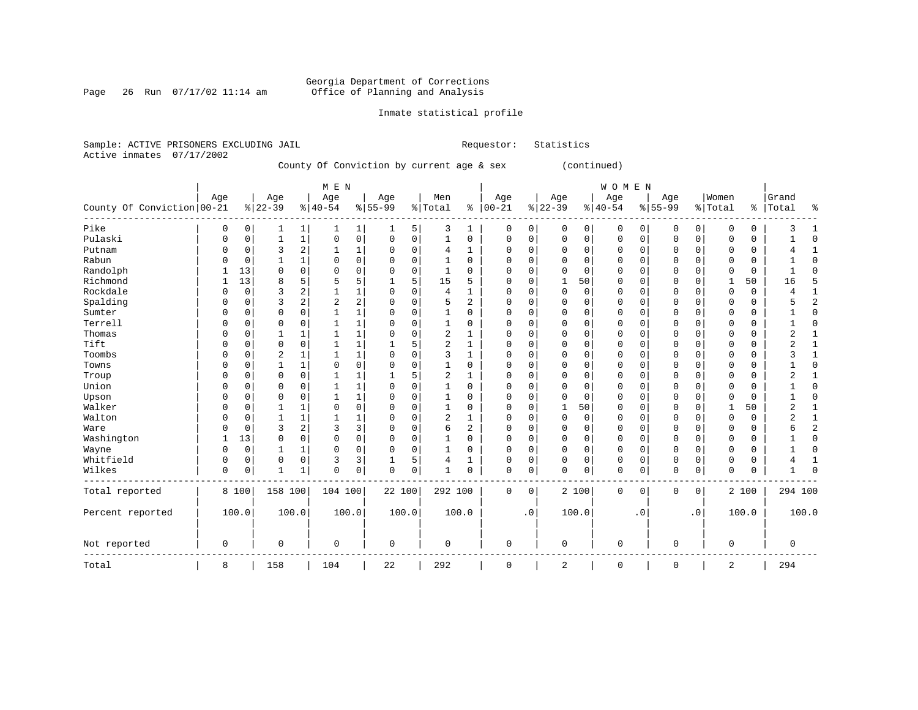### Georgia Department of Corrections<br>Page 26 Run 07/17/02 11:14 am 6ffice of Planning and Analysis Page 26 Run 07/17/02 11:14 am Office of Planning and Analysis

### Inmate statistical profile

Sample: ACTIVE PRISONERS EXCLUDING JAIL **Requestor:** Statistics Active inmates 07/17/2002

County Of Conviction by current age & sex (continued)

|                            |     |          |                |                | M E N          |              |             |             |                |                |              |           |             |             | WOMEN       |             |             |             |              |       |           |                |
|----------------------------|-----|----------|----------------|----------------|----------------|--------------|-------------|-------------|----------------|----------------|--------------|-----------|-------------|-------------|-------------|-------------|-------------|-------------|--------------|-------|-----------|----------------|
|                            | Age |          | Age            |                | Age            |              | Age         |             | Men            |                | Age          |           | Age         |             | Age         |             | Age         |             | Women        |       | Grand     |                |
| County Of Conviction 00-21 |     |          | $8 22-39$      |                | $8 40-54$      |              | $8 55-99$   |             | %   Total      | ి              | $ 00-21$     |           | $ 22-39$    |             | $ 40-54$    |             | $8 55-99$   |             | % Total      |       | %   Total | နွ             |
| Pike                       | 0   | 0        | 1              | $\mathbf{1}$   |                | $\mathbf{1}$ |             | 5           | 3              | 1              | $\mathbf 0$  | 0         | $\mathbf 0$ | 0           | 0           | 0           | $\mathbf 0$ | 0           | 0            | 0     |           |                |
| Pulaski                    | 0   | 0        | 1              | $\mathbf 1$    | 0              | 0            | $\Omega$    | $\mathbf 0$ | $\mathbf{1}$   | 0              | $\mathbf 0$  | 0         | $\mathbf 0$ | $\mathbf 0$ | 0           | 0           | $\mathbf 0$ | $\mathbf 0$ | 0            | 0     |           | $\Omega$       |
| Putnam                     |     | 0        | 3              | 2              | 1              | 1            |             | 0           | 4              | 1              | 0            | 0         | $\mathbf 0$ | 0           | $\Omega$    | 0           | 0           | $\mathbf 0$ | 0            | 0     |           | 1              |
| Rabun                      |     | 0        |                | 1              | $\Omega$       | 0            |             | 0           |                | 0              | 0            | 0         | $\Omega$    | 0           | 0           | 0           | $\Omega$    | 0           | 0            | 0     |           | $\Omega$       |
| Randolph                   |     | 13       | $\Omega$       | 0              | $\Omega$       | 0            |             | $\mathbf 0$ | 1              | 0              | 0            | 0         | 0           | $\mathbf 0$ | 0           | 0           | 0           | 0           | 0            | 0     |           | $\Omega$       |
| Richmond                   |     | 13       | 8              | 5              | 5              | 5            |             | 5           | 15             | 5              | 0            | 0         |             | 50          | 0           | $\Omega$    | $\Omega$    | $\Omega$    | $\mathbf{1}$ | 50    | 16        | 5              |
| Rockdale                   |     | 0        | 3              | 2              | $\mathbf{1}$   | 1            |             | $\Omega$    | 4              | 1              | 0            | 0         | $\mathbf 0$ | $\mathbf 0$ | 0           | $\Omega$    | $\Omega$    | $\Omega$    | $\Omega$     | 0     |           |                |
| Spalding                   |     | 0        | 3              | $\overline{a}$ | $\overline{2}$ | 2            |             | $\mathbf 0$ | 5              | 2              | 0            | 0         | $\mathbf 0$ | 0           | 0           | $\Omega$    | $\Omega$    | $\Omega$    | 0            | 0     |           | $\overline{2}$ |
| Sumter                     |     | 0        | $\Omega$       | $\Omega$       |                | $\mathbf 1$  |             | $\Omega$    |                | $\Omega$       | 0            | 0         | $\Omega$    | $\Omega$    | 0           | $\Omega$    | $\Omega$    | $\Omega$    | $\Omega$     | 0     |           | $\Omega$       |
| Terrell                    |     | 0        | 0              | $\Omega$       |                | 1            |             | $\Omega$    |                | 0              | 0            | 0         | 0           | $\Omega$    | 0           | $\Omega$    | $\Omega$    | $\Omega$    | $\Omega$     | 0     |           | $\Omega$       |
| Thomas                     |     | O        |                |                |                | 1            |             | $\Omega$    | 2              | 1              | $\Omega$     | O         | $\mathbf 0$ | $\Omega$    | $\Omega$    | $\Omega$    | $\Omega$    | $\Omega$    | $\Omega$     | 0     |           |                |
| Tift                       |     | $\Omega$ | $\mathbf 0$    | $\Omega$       |                | 1            |             | 5           | 2              | 1              | $\Omega$     | 0         | $\mathbf 0$ | $\Omega$    | 0           | $\Omega$    | $\Omega$    | $\Omega$    | $\Omega$     | 0     |           |                |
| Toombs                     |     | 0        | $\overline{2}$ | 1              |                | $\mathbf{1}$ | O           | $\Omega$    | 3              | $\mathbf{1}$   | 0            | 0         | $\mathbf 0$ | 0           | 0           | $\Omega$    | $\Omega$    | $\Omega$    | $\Omega$     | 0     |           |                |
| Towns                      |     | 0        | 1              | $\mathbf{1}$   | $\Omega$       | 0            | 0           | $\Omega$    | 1              | $\Omega$       | $\Omega$     | 0         | $\Omega$    | $\Omega$    | 0           | $\Omega$    | $\Omega$    | $\Omega$    | $\Omega$     | 0     |           | $\Omega$       |
| Troup                      | U   | 0        | $\Omega$       | $\Omega$       |                | 1            |             | 5           | 2              | $\mathbf{1}$   | $\Omega$     | $\Omega$  | $\Omega$    | $\Omega$    | 0           | $\Omega$    | $\Omega$    | $\Omega$    | $\Omega$     | 0     | 2         |                |
| Union                      | U   | U        | $\Omega$       | $\Omega$       |                | 1            | O           | $\Omega$    | 1              | $\Omega$       | $\Omega$     | 0         | $\Omega$    | $\Omega$    | 0           | $\mathbf 0$ | $\Omega$    | $\Omega$    | $\Omega$     | 0     |           | $\Omega$       |
| Upson                      | U   | 0        | $\Omega$       | $\Omega$       | 1              | 1            | U           | $\Omega$    | 1              | 0              | $\Omega$     | 0         | $\Omega$    | $\Omega$    | $\Omega$    | $\Omega$    | $\Omega$    | $\Omega$    | $\Omega$     | 0     |           | ∩              |
| Walker                     | U   | O        |                | $\mathbf{1}$   | $\Omega$       | 0            | O           | $\Omega$    | 1              | 0              | $\Omega$     | $\Omega$  | 1           | 50          | $\Omega$    | $\mathbf 0$ | $\Omega$    | $\Omega$    | 1            | 50    | 2         | 1              |
| Walton                     | U   | $\Omega$ | -1             | $\mathbf{1}$   | 1              | 1            | $\Omega$    | $\Omega$    | $\overline{2}$ | 1              | $\Omega$     | O         | $\Omega$    | 0           | $\Omega$    | $\mathbf 0$ | $\Omega$    | $\Omega$    | $\Omega$     | 0     |           | $\mathbf{1}$   |
| Ware                       | U   | $\Omega$ | 3              | 2              | 3              | 3            | $\Omega$    | 0           | 6              | $\overline{a}$ | $\Omega$     | 0         | $\mathbf 0$ | $\Omega$    | 0           | $\mathbf 0$ | $\Omega$    | $\Omega$    | $\Omega$     | 0     |           | $\overline{c}$ |
| Washington                 |     | 13       | $\mathbf 0$    | $\mathbf 0$    | 0              | 0            | $\Omega$    | $\mathbf 0$ | $\mathbf{1}$   | 0              | $\Omega$     | 0         | $\mathbf 0$ | 0           | $\mathbf 0$ | $\mathbf 0$ | $\mathbf 0$ | 0           | $\Omega$     | 0     |           | $\Omega$       |
| Wayne                      | O   | 0        | 1              | 1              | $\Omega$       | 0            | $\Omega$    | 0           | 1              | 0              | $\Omega$     | 0         | $\mathbf 0$ | 0           | 0           | $\mathbf 0$ | 0           | 0           | $\Omega$     | 0     |           | $\Omega$       |
| Whitfield                  | 0   | 0        | $\mathbf 0$    | 0              | 3              | 3            |             | 5           | 4              | 1              | $\Omega$     | 0         | $\mathbf 0$ | 0           | 0           | $\mathbf 0$ | $\mathbf 0$ | 0           | $\mathbf 0$  | 0     |           | $\mathbf{1}$   |
| Wilkes                     | 0   | 0        | $\mathbf{1}$   | 1              | 0              | 0            | $\mathbf 0$ | 0           | $\mathbf{1}$   | 0              | $\mathbf{0}$ | 0         | $\mathbf 0$ | 0           | $\mathbf 0$ | 0           | $\mathbf 0$ | 0           | $\mathbf 0$  | 0     |           | $\Omega$       |
| Total reported             |     | 8 100    | 158 100        |                | 104 100        |              | 22 100      |             | 292 100        |                | 0            | 0         |             | 2 100       | 0           | 0           | 0           | 0           |              | 2 100 | 294 100   |                |
| Percent reported           |     | 100.0    | 100.0          |                | 100.0          |              | 100.0       |             | 100.0          |                |              | $\cdot$ 0 |             | 100.0       |             | . 0         |             | $\cdot$ 0   |              | 100.0 |           | 100.0          |
| Not reported               | 0   |          | $\mathbf 0$    |                | 0              |              | $\mathbf 0$ |             | 0              |                | $\mathbf 0$  |           | $\mathbf 0$ |             | $\mathbf 0$ |             | $\mathbf 0$ |             | $\mathbf 0$  |       | 0         |                |
| Total                      | 8   |          | 158            |                | 104            |              | 22          |             | 292            |                | $\mathbf 0$  |           | 2           |             | $\mathbf 0$ |             | 0           |             | 2            |       | 294       |                |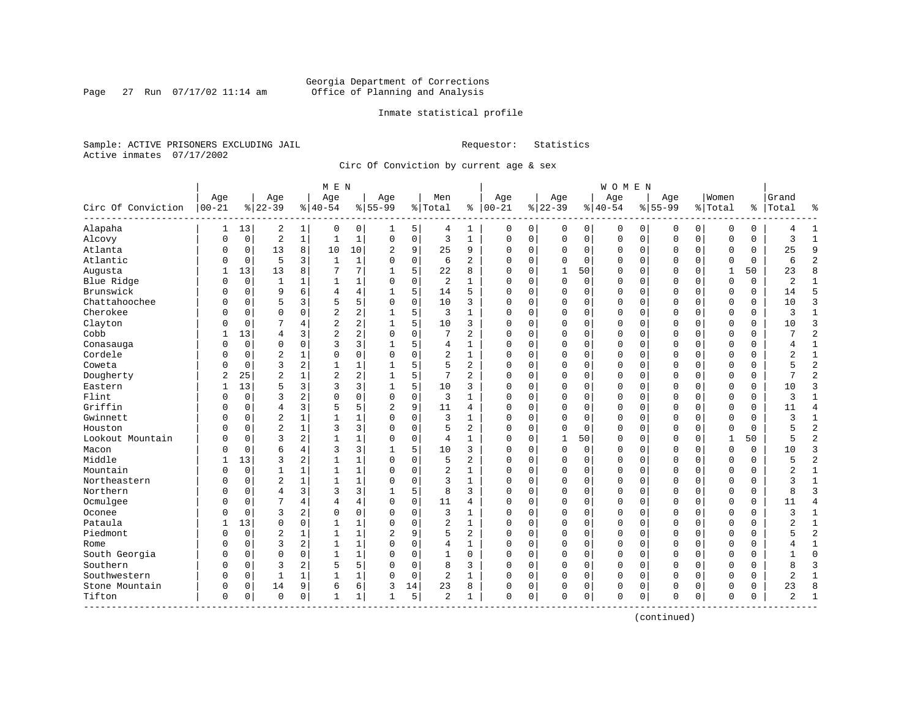### Georgia Department of Corrections<br>Page 27 Run 07/17/02 11:14 am 6ffice of Planning and Analysis Page 27 Run 07/17/02 11:14 am Office of Planning and Analysis

### Inmate statistical profile

Sample: ACTIVE PRISONERS EXCLUDING JAIL **Requestor:** Statistics Active inmates 07/17/2002

Circ Of Conviction by current age & sex

| Age<br>Circ Of Conviction<br>$ 00 - 21$<br>Alapaha<br>Alcovy | 13<br>1<br>$\mathbf 0$<br>0<br>$\mathbf 0$<br>0<br>$\mathbf 0$<br>$\Omega$<br>13 | Age<br>$ 22-39$<br>2<br>$\overline{2}$<br>13<br>5 | $\mathbf{1}$<br>$\mathbf{1}$<br>8 | Age<br>$8 40-54$<br>0<br>$\mathbf{1}$ | 0            | Age<br>$8 55-99$<br>1 |             | Men<br>% Total | နွ             | Age<br>$ 00 - 21$ |             | Age<br>$ 22-39$ |             | Age<br>$8 40-54$ |             | Age<br>$8155 - 99$ |             | Women<br>% Total |             | Grand<br>%   Total | ٩,             |
|--------------------------------------------------------------|----------------------------------------------------------------------------------|---------------------------------------------------|-----------------------------------|---------------------------------------|--------------|-----------------------|-------------|----------------|----------------|-------------------|-------------|-----------------|-------------|------------------|-------------|--------------------|-------------|------------------|-------------|--------------------|----------------|
|                                                              |                                                                                  |                                                   |                                   |                                       |              |                       |             |                |                |                   |             |                 |             |                  |             |                    |             |                  |             |                    |                |
|                                                              |                                                                                  |                                                   |                                   |                                       |              |                       |             |                |                |                   |             |                 |             |                  |             |                    |             |                  |             |                    |                |
|                                                              |                                                                                  |                                                   |                                   |                                       |              |                       | 5           | 4              | $\mathbf{1}$   | 0                 | 0           | 0               | 0           | 0                | 0           | 0                  | 0           | 0                | 0           |                    | 1              |
|                                                              |                                                                                  |                                                   |                                   |                                       | $\mathbf{1}$ | 0                     | $\mathsf 0$ | 3              | $\mathbf{1}$   | $\mathbf 0$       | 0           | 0               | 0           | $\mathsf 0$      | $\mathsf 0$ | $\mathsf 0$        | 0           | $\mathbf 0$      | $\mathbf 0$ | ζ                  | $\mathbf{1}$   |
| Atlanta                                                      |                                                                                  |                                                   |                                   | 10                                    | 10           | 2                     | 9           | 25             | 9              | $\mathbf 0$       | 0           | 0               | 0           | 0                | 0           | 0                  | 0           | $\mathbf 0$      | 0           | 25                 | 9              |
| Atlantic                                                     |                                                                                  |                                                   | 3                                 | $\mathbf{1}$                          | $\mathbf{1}$ | $\Omega$              | $\mathbf 0$ | 6              | $\overline{a}$ | $\Omega$          | $\Omega$    | $\Omega$        | $\mathbf 0$ | $\Omega$         | $\mathbf 0$ | $\Omega$           | $\Omega$    | $\mathbf 0$      | $\Omega$    | 6                  | $\overline{2}$ |
| Augusta                                                      |                                                                                  | 13                                                | 8                                 | 7                                     | 7            | 1                     | 5           | 22             | 8              | $\Omega$          | $\Omega$    | $\overline{1}$  | 50          | $\Omega$         | $\Omega$    | $\Omega$           | $\Omega$    | $\mathbf{1}$     | 50          | 23                 | $\mathsf{R}$   |
| Blue Ridge                                                   | $\mathbf 0$<br>0                                                                 | 1                                                 | 1                                 | 1                                     | 1            | $\Omega$              | 0           | 2              | 1              | $\mathbf 0$       | $\Omega$    | $\Omega$        | $\mathbf 0$ | 0                | 0           | 0                  | $\Omega$    | $\mathbf 0$      | $\Omega$    | $\overline{2}$     | $\mathbf{1}$   |
| Brunswick                                                    | $\mathbf 0$<br>U                                                                 | 9                                                 | 6                                 | $\overline{4}$                        | 4            |                       | 5           | 14             | 5              | $\mathbf 0$       | $\mathbf 0$ | 0               | 0           | $\Omega$         | $\mathbf 0$ | $\mathbf 0$        | $\mathbf 0$ | $\mathbf 0$      | 0           | 14                 | 5              |
| Chattahoochee                                                | 0<br>$\mathbf 0$                                                                 | 5                                                 | 3                                 | 5                                     | 5            | $\Omega$              | 0           | 10             | 3              | $\Omega$          | $\mathbf 0$ | $\Omega$        | $\mathbf 0$ | $\Omega$         | $\mathbf 0$ | $\mathbf 0$        | $\Omega$    | $\mathbf 0$      | 0           | 10                 | 3              |
| Cherokee                                                     | O<br>$\mathbf 0$                                                                 | $\Omega$                                          | $\Omega$                          | $\overline{2}$                        | 2            | 1                     | 5           | 3              | $\mathbf{1}$   | $\Omega$          | $\mathbf 0$ | $\mathbf 0$     | $\mathbf 0$ | 0                | $\mathbf 0$ | $\mathbf 0$        | $\Omega$    | $\mathbf 0$      | 0           | 3                  | $\mathbf{1}$   |
| Clayton                                                      | $\mathbf 0$<br>U                                                                 | 7                                                 | 4                                 | $\overline{2}$                        | 2            |                       | 5           | 10             | 3              | $\Omega$          | 0           | 0               | $\mathbf 0$ | $\Omega$         | 0           | $\mathbf 0$        | $\Omega$    | $\mathbf 0$      | 0           | 10                 | 3              |
| Cobb                                                         | 13                                                                               | 4                                                 | 3                                 | $\overline{a}$                        | 2            | $\Omega$              | $\Omega$    | 7              | 2              | $\mathbf 0$       | $\Omega$    | $\Omega$        | $\Omega$    | $\Omega$         | $\mathbf 0$ | $\Omega$           | $\Omega$    | $\Omega$         | $\Omega$    |                    | $\overline{2}$ |
| Conasauga                                                    | $\mathbf 0$<br>0                                                                 | $\Omega$                                          | $\Omega$                          | 3                                     | 3            | 1                     | 5           | 4              | 1              | $\mathbf 0$       | 0           | 0               | $\mathbf 0$ | 0                | 0           | 0                  | $\Omega$    | $\mathbf 0$      | 0           | 4                  | 1              |
| Cordele                                                      | $\mathbf 0$<br>U                                                                 | $\overline{2}$                                    | 1                                 | 0                                     | 0            | $\Omega$              | 0           | 2              | $\mathbf{1}$   | $\mathbf 0$       | $\mathbf 0$ | $\Omega$        | $\mathbf 0$ | 0                | 0           | $\mathbf 0$        | $\mathbf 0$ | $\mathbf 0$      | 0           | 2                  | $\mathbf{1}$   |
| Coweta                                                       | $\Omega$<br>U                                                                    | 3                                                 | 2                                 | $\mathbf{1}$                          | 1            |                       | 5           | 5              | 2              | $\Omega$          | $\Omega$    | $\mathbf 0$     | $\Omega$    | $\Omega$         | $\mathbf 0$ | $\mathbf 0$        | $\Omega$    | $\mathbf 0$      | $\Omega$    |                    | $\overline{2}$ |
| Dougherty                                                    | 25<br>2                                                                          | $\overline{a}$                                    | 1                                 | $\overline{2}$                        | 2            |                       | 5           | 7              | $\overline{a}$ | $\Omega$          | 0           | 0               | $\mathbf 0$ | $\Omega$         | 0           | 0                  | 0           | $\mathbf 0$      | 0           | 7                  | $\overline{2}$ |
| Eastern                                                      | 13                                                                               | 5                                                 | 3                                 | 3                                     | 3            |                       | 5           | 10             | 3              | $\mathbf 0$       | 0           | 0               | 0           | 0                | 0           | 0                  | 0           | 0                | 0           | 10                 | 3              |
| Flint                                                        | $\mathbf 0$<br>$\Omega$                                                          | 3                                                 | 2                                 | $\Omega$                              | 0            | $\Omega$              | $\mathbf 0$ | 3              | 1              | $\mathbf 0$       | 0           | 0               | 0           | $\Omega$         | $\mathbf 0$ | 0                  | $\Omega$    | $\mathbf 0$      | 0           | 3                  | 1              |
| Griffin                                                      | $\Omega$<br>0                                                                    | 4                                                 | 3                                 | 5                                     | 5            | $\overline{2}$        | 9           | 11             | 4              | $\Omega$          | $\Omega$    | $\Omega$        | $\Omega$    | $\Omega$         | $\Omega$    | $\Omega$           | $\Omega$    | $\Omega$         | $\Omega$    | 11                 | $\overline{4}$ |
| Gwinnett                                                     | $\mathbf 0$<br>U                                                                 | $\overline{2}$                                    | $\mathbf 1$                       | $\mathbf{1}$                          | $\mathbf{1}$ | $\Omega$              | $\mathbf 0$ | 3              | $\mathbf{1}$   | $\mathbf 0$       | $\Omega$    | $\Omega$        | $\mathbf 0$ | $\Omega$         | $\mathbf 0$ | $\mathbf 0$        | $\Omega$    | $\mathbf 0$      | $\Omega$    | 3                  | $\mathbf{1}$   |
| Houston                                                      | $\mathbf 0$<br>O                                                                 | $\overline{2}$                                    | $\mathbf{1}$                      | 3                                     | 3            | $\Omega$              | $\mathbf 0$ | 5              | 2              | $\Omega$          | $\mathbf 0$ | $\Omega$        | $\mathbf 0$ | $\Omega$         | $\mathbf 0$ | $\mathbf 0$        | $\mathbf 0$ | $\mathbf 0$      | $\Omega$    |                    | $\overline{2}$ |
| Lookout Mountain                                             | O<br>$\mathbf 0$                                                                 | 3                                                 | 2                                 | $\mathbf{1}$                          | 1            | $\Omega$              | $\mathbf 0$ | 4              | 1              | $\Omega$          | 0           | $\mathbf{1}$    | 50          | 0                | 0           | 0                  | 0           | $\mathbf{1}$     | 50          |                    | $\overline{2}$ |
| Macon                                                        | $\Omega$<br>O                                                                    | 6                                                 | 4                                 | 3                                     | 3            |                       | 5           | 10             | 3              | $\Omega$          | $\Omega$    | 0               | 0           | $\Omega$         | 0           | 0                  | $\Omega$    | $\mathbf 0$      | 0           | 10                 | 3              |
| Middle                                                       | 13                                                                               | 3                                                 | 2                                 | $\mathbf{1}$                          | 1            | $\Omega$              | $\Omega$    | 5              | 2              | $\Omega$          | 0           | $\Omega$        | $\Omega$    | $\Omega$         | $\mathbf 0$ | $\Omega$           | $\Omega$    | $\mathbf 0$      | $\Omega$    |                    | $\overline{2}$ |
| Mountain                                                     | $\Omega$<br>U                                                                    | 1                                                 | $\mathbf{1}$                      | $\mathbf{1}$                          | $\mathbf{1}$ | $\Omega$              | 0           | $\overline{2}$ | $\mathbf{1}$   | $\Omega$          | $\Omega$    | $\Omega$        | $\Omega$    | 0                | $\mathbf 0$ | $\Omega$           | $\Omega$    | $\mathbf 0$      | $\Omega$    | 2                  | $\mathbf{1}$   |
| Northeastern                                                 | $\mathbf 0$<br>U                                                                 | $\overline{c}$                                    | $\mathbf 1$                       | $\mathbf{1}$                          | $\mathbf 1$  | $\Omega$              | $\mathbf 0$ | 3              | $\mathbf{1}$   | $\mathbf 0$       | $\mathbf 0$ | 0               | $\mathbf 0$ | $\Omega$         | 0           | $\mathbf 0$        | $\Omega$    | $\mathbf 0$      | 0           | 3                  | $\mathbf{1}$   |
| Northern                                                     | $\mathbf 0$<br>U                                                                 | $\overline{4}$                                    | 3                                 | 3                                     | 3            |                       | 5           | 8              | 3              | $\mathbf 0$       | $\mathbf 0$ | $\Omega$        | $\mathbf 0$ | $\Omega$         | $\mathbf 0$ | $\mathbf 0$        | 0           | $\mathbf 0$      | 0           | 8                  | $\overline{3}$ |
| Ocmulgee                                                     | $\mathbf 0$<br>$\Omega$                                                          | 7                                                 | 4                                 | 4                                     | 4            | $\Omega$              | 0           | 11             | 4              | $\mathbf 0$       | 0           | $\Omega$        | 0           | $\Omega$         | 0           | 0                  | 0           | $\mathbf 0$      | 0           | 11                 | $\overline{4}$ |
| Oconee                                                       | $\Omega$<br>U                                                                    | 3                                                 | 2                                 | $\Omega$                              | 0            | $\Omega$              | $\mathbf 0$ | 3              | 1              | $\Omega$          | $\Omega$    | 0               | $\mathbf 0$ | $\Omega$         | 0           | 0                  | $\Omega$    | $\mathbf 0$      | 0           | ζ                  | $\mathbf{1}$   |
| Pataula                                                      | 13                                                                               | $\Omega$                                          | $\Omega$                          | $\mathbf{1}$                          | 1            | $\Omega$              | $\mathbf 0$ | 2              | $\mathbf{1}$   | $\mathbf 0$       | 0           | $\Omega$        | $\mathbf 0$ | 0                | $\mathbf 0$ | 0                  | $\Omega$    | $\mathbf 0$      | $\Omega$    |                    | $\mathbf 1$    |
| Piedmont                                                     | $\Omega$<br>U                                                                    | $\overline{c}$                                    | 1                                 | 1                                     | $\mathbf{1}$ | 2                     | 9           | 5              | 2              | $\Omega$          | $\Omega$    | $\Omega$        | $\Omega$    | 0                | $\mathbf 0$ | $\mathbf 0$        | $\Omega$    | $\Omega$         | $\Omega$    |                    | $\overline{2}$ |
| Rome                                                         | $\mathbf 0$<br>U                                                                 | 3                                                 | 2                                 | $\mathbf{1}$                          | $\mathbf 1$  | $\Omega$              | 0           | 4              | 1              | $\mathbf 0$       | $\mathbf 0$ | 0               | $\mathbf 0$ | $\Omega$         | 0           | 0                  | 0           | $\mathbf 0$      | 0           |                    | $\mathbf{1}$   |
| South Georgia                                                | $\mathbf 0$<br>$\Omega$                                                          | $\Omega$                                          | $\Omega$                          | $\mathbf{1}$                          | 1            | $\Omega$              | $\mathbf 0$ | $\mathbf{1}$   | $\Omega$       | $\Omega$          | $\mathbf 0$ | $\mathbf 0$     | $\mathbf 0$ | $\Omega$         | $\mathbf 0$ | $\Omega$           | $\Omega$    | $\mathbf 0$      | $\Omega$    |                    | $\Omega$       |
| Southern                                                     | $\mathbf 0$<br>U                                                                 | 3                                                 | 2                                 | 5                                     | 5            | $\Omega$              | $\mathbf 0$ | 8              | 3              | $\Omega$          | 0           | 0               | $\mathbf 0$ | 0                | $\mathbf 0$ | 0                  | $\Omega$    | $\mathbf 0$      | $\Omega$    | R                  | $\overline{3}$ |
| Southwestern                                                 | 0<br>0                                                                           | 1                                                 | 1                                 |                                       | 1            | $\Omega$              | $\mathbf 0$ | 2              | 1              | $\mathbf 0$       | 0           | 0               | 0           | 0                | 0           | 0                  | 0           | $\mathbf 0$      | 0           | 2                  | $\mathbf{1}$   |
| Stone Mountain                                               | 0<br>0                                                                           | 14                                                | 9                                 | 6                                     | 6            | 3                     | 14          | 23             | 8              | 0                 | 0           | 0               | 0           | 0                | 0           | 0                  | 0           | 0                | 0           | 23                 | 8              |
| Tifton<br>--------------------                               | 0<br>$\mathbf 0$                                                                 | $\mathbf 0$                                       | 0                                 | $\mathbf{1}$                          | $\mathbf{1}$ | 1                     | 5           | 2              | $\mathbf{1}$   | $\mathbf 0$       | 0           | 0               | 0           | 0                | $\mathbf 0$ | 0                  | 0           | $\Omega$         | 0           | 2                  | $\mathbf{1}$   |

(continued)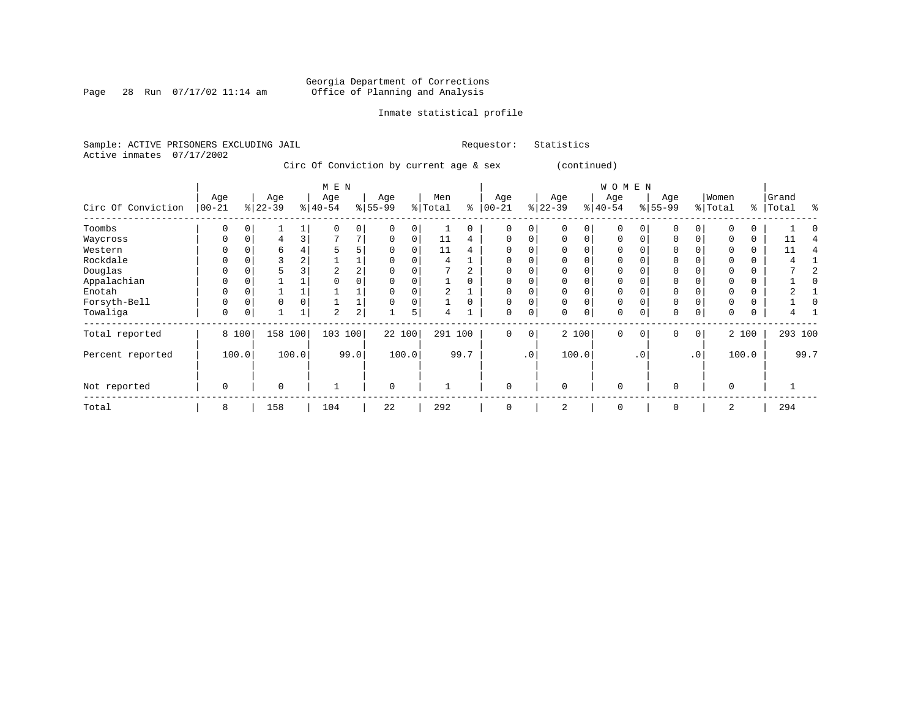### Georgia Department of Corrections Page 28 Run 07/17/02 11:14 am Office of Planning and Analysis

### Inmate statistical profile

Sample: ACTIVE PRISONERS EXCLUDING JAIL **Requestor:** Statistics Active inmates 07/17/2002

Circ Of Conviction by current age & sex (continued)

|                    |            |          |          |       | M E N     |                |             |       |         |          |           |           |           |          | W O M E N   |           |             |                 |          |       |         |      |
|--------------------|------------|----------|----------|-------|-----------|----------------|-------------|-------|---------|----------|-----------|-----------|-----------|----------|-------------|-----------|-------------|-----------------|----------|-------|---------|------|
|                    | Age        |          | Age      |       | Age       |                | Age         |       | Men     |          | Age       |           | Age       |          | Age         |           | Age         |                 | Women    |       | Grand   |      |
| Circ Of Conviction | $ 00 - 21$ |          | $ 22-39$ |       | $ 40-54 $ |                | $8 55-99$   |       | % Total | နွ       | $00 - 21$ |           | $ 22-39 $ |          | $ 40-54 $   |           | $8 55-99$   |                 | % Total  | ွေ    | Total   | ႜ    |
| Toombs             | 0          |          |          |       |           | $\overline{0}$ |             |       |         | 0        | $\Omega$  | 0         |           | 0        | $\mathbf 0$ |           |             | $\Omega$        |          |       |         |      |
| Waycross           | 0          | $\Omega$ | 4        |       |           | 7              | $\Omega$    | 0     | 11      | 4        | $\Omega$  | $\Omega$  | $\Omega$  | $\Omega$ | $\Omega$    |           | $\Omega$    |                 |          | 0     | 11      |      |
| Western            |            |          | b        |       | 5         | 5              |             |       | 11      | 4        | $\Omega$  |           |           |          | 0           |           |             |                 |          |       | 11      |      |
| Rockdale           | 0          |          |          | 2     |           |                |             |       | 4       |          | 0         | 0         |           |          | 0           |           |             |                 |          | 0     |         |      |
| Douglas            |            |          |          |       | 2         | 2              |             |       |         |          | $\Omega$  |           |           |          | $\Omega$    |           |             |                 |          |       |         |      |
| Appalachian        |            |          |          |       |           |                |             |       |         |          | $\Omega$  |           |           |          | $\Omega$    |           |             |                 |          |       |         |      |
| Enotah             | 0          |          |          |       |           |                |             |       | 2       |          | $\Omega$  | 0         |           |          | 0           |           |             |                 |          | 0     |         |      |
| Forsyth-Bell       | 0          | 0        | $\Omega$ |       |           |                |             |       |         | $\Omega$ | $\Omega$  | $\Omega$  | $\Omega$  | $\Omega$ | $\Omega$    |           | $\mathbf 0$ |                 |          | 0     |         |      |
| Towaliga           | 0          | 0        |          |       | 2         | 2              |             | 5     | 4       |          | 0         | 0         | $\Omega$  | 0        | 0           |           | 0           | 0               | 0        | 0     |         |      |
| Total reported     |            | 8 100    | 158      | 100   | 103       | 100            | 22 100      |       | 291 100 |          | $\Omega$  | 0         |           | 2 100    | $\Omega$    | $\Omega$  | $\Omega$    | 0 <sup>1</sup>  |          | 2 100 | 293 100 |      |
| Percent reported   |            | 100.0    |          | 100.0 |           | 99.0           |             | 100.0 |         | 99.7     |           | $\cdot$ 0 |           | 100.0    |             | $\cdot$ 0 |             | .0 <sup>1</sup> |          | 100.0 |         | 99.7 |
| Not reported       | 0          |          | $\Omega$ |       |           |                | $\mathbf 0$ |       |         |          | 0         |           | $\Omega$  |          | $\mathbf 0$ |           | $\Omega$    |                 | $\Omega$ |       |         |      |
| Total              | 8          |          | 158      |       | 104       |                | 22          |       | 292     |          | $\Omega$  |           | 2         |          | $\Omega$    |           | $\Omega$    |                 | 2        |       | 294     |      |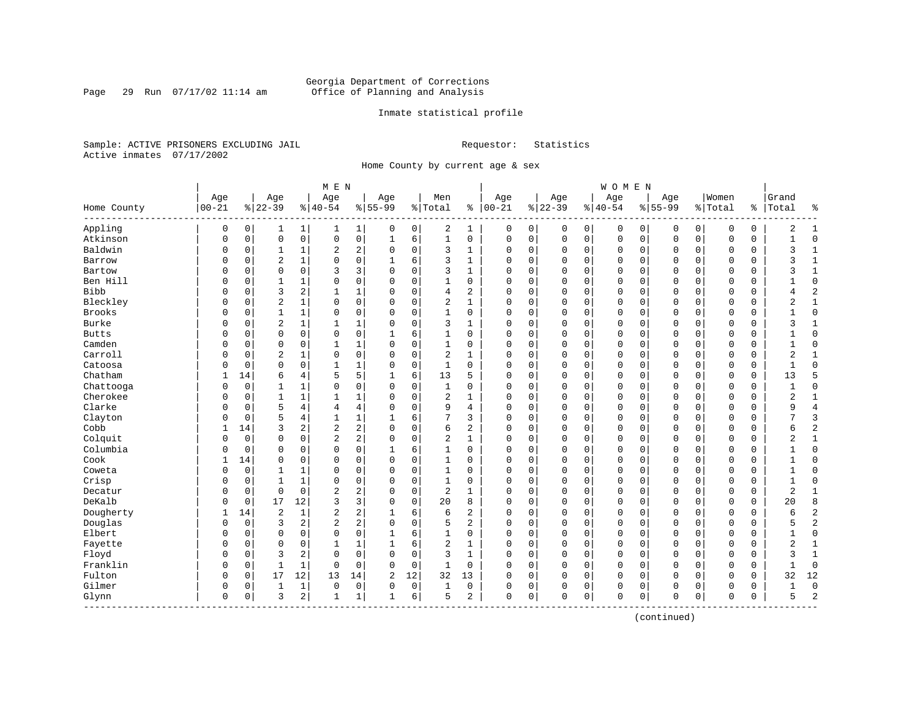### Georgia Department of Corrections<br>Page 29 Run 07/17/02 11:14 am 6ffice of Planning and Analysis Page 29 Run 07/17/02 11:14 am Office of Planning and Analysis

### Inmate statistical profile

Sample: ACTIVE PRISONERS EXCLUDING JAIL **Requestor:** Statistics Active inmates 07/17/2002

Home County by current age & sex

|               |              |          |                |                         | M E N          |                |                |                     |                |                |             |             |             |             | WOMEN     |             |             |             |             |          |              |                |
|---------------|--------------|----------|----------------|-------------------------|----------------|----------------|----------------|---------------------|----------------|----------------|-------------|-------------|-------------|-------------|-----------|-------------|-------------|-------------|-------------|----------|--------------|----------------|
|               | Age          |          | Age            |                         | Age            |                | Age            |                     | Men            |                | Age         |             | Age         |             | Age       |             | Age         |             | Women       |          | Grand        |                |
| Home County   | $00 - 21$    |          | $8 22-39$      |                         | $8 40-54$      |                | $8155 - 99$    |                     | % Total        | နွ             | $ 00-21$    |             | $ 22-39$    |             | $8 40-54$ |             | $8155 - 99$ |             | % Total     | ႜ        | Total        | ႜ              |
| Appling       | $\mathsf 0$  | 0        | 1              | $\mathbf{1}$            | 1              | 1              | 0              | 0                   | 2              | $\mathbf{1}$   | 0           | 0           | 0           | $\mathsf 0$ | 0         | 0           | 0           | 0           | 0           | 0        | 2            | $\mathbf{1}$   |
| Atkinson      | $\mathbf 0$  | 0        | $\mathbf 0$    | $\mathsf{O}$            | $\mathsf 0$    | 0              | $\mathbf{1}$   | 6                   | $\mathbf{1}$   | $\mathbf 0$    | $\mathbf 0$ | 0           | $\mathbf 0$ | $\mathsf 0$ | 0         | $\mathbf 0$ | $\mathbf 0$ | $\mathbf 0$ | $\mathbf C$ | 0        | $\mathbf{1}$ | $\mathbf 0$    |
| Baldwin       | 0            | 0        | $\mathbf{1}$   | 1                       | $\overline{2}$ | 2              | 0              | $\mathbf 0$         | 3              | 1              | $\Omega$    | 0           | $\Omega$    | $\mathbf 0$ | 0         | 0           | $\Omega$    | $\mathbf 0$ | $\Omega$    | 0        | 3            | $\mathbf{1}$   |
| Barrow        | 0            | 0        | $\overline{2}$ | $\mathbf{1}$            | $\mathbf 0$    | 0              | 1              | 6                   | 3              | 1              | $\Omega$    | 0           | $\Omega$    | $\mathbf 0$ | $\Omega$  | $\mathbf 0$ | $\Omega$    | 0           | $\mathbf 0$ | $\Omega$ | 3            | 1              |
| Bartow        | O            | $\Omega$ | $\Omega$       | $\Omega$                | 3              | 3              | $\Omega$       | $\Omega$            | 3              | $\mathbf{1}$   | $\Omega$    | 0           | $\Omega$    | $\Omega$    | $\Omega$  | $\Omega$    | $\Omega$    | $\Omega$    | $\Omega$    | $\Omega$ | 3            | $\mathbf{1}$   |
| Ben Hill      | 0            | $\Omega$ | 1              | $\mathbf{1}$            | $\mathbf 0$    | 0              | $\mathbf 0$    | $\mathbf 0$         | $\mathbf{1}$   | $\Omega$       | $\Omega$    | 0           | $\Omega$    | $\mathbf 0$ | $\Omega$  | $\Omega$    | $\Omega$    | $\Omega$    | $\Omega$    | 0        |              | $\mathbf 0$    |
| <b>Bibb</b>   | 0            | 0        | 3              | $\overline{\mathbf{c}}$ | $\overline{1}$ | 1              | $\Omega$       | $\mathsf{O}\xspace$ | $\overline{4}$ | 2              | $\Omega$    | 0           | $\Omega$    | $\mathbf 0$ | $\Omega$  | $\mathbf 0$ | $\Omega$    | $\mathbf 0$ | $\Omega$    | 0        | 4            | $\overline{2}$ |
| Bleckley      | 0            | 0        | $\overline{2}$ | $\mathbf{1}$            | $\mathbf 0$    | 0              | $\Omega$       | $\mathbf 0$         | $\overline{2}$ | $\mathbf{1}$   | $\Omega$    | $\mathbf 0$ | $\Omega$    | $\mathbf 0$ | 0         | $\mathbf 0$ | $\Omega$    | $\mathbf 0$ | O           | 0        | 2            | $\mathbf{1}$   |
| <b>Brooks</b> | 0            | 0        | 1              | $\mathbf{1}$            | 0              | 0              | $\Omega$       | $\mathbf 0$         | $\mathbf{1}$   | 0              | $\Omega$    | 0           | $\Omega$    | $\mathbf 0$ | $\Omega$  | 0           | $\Omega$    | 0           | $\Omega$    | 0        | $\mathbf{1}$ | $\mathbf 0$    |
| Burke         | $\Omega$     | 0        | $\overline{2}$ | $\mathbf{1}$            | $\mathbf{1}$   | 1              | $\Omega$       | $\mathbf 0$         | 3              | $\mathbf{1}$   | $\Omega$    | 0           | $\Omega$    | $\mathbf 0$ | $\Omega$  | $\mathbf 0$ | $\Omega$    | $\Omega$    | $\Omega$    | $\Omega$ | 3            | $\mathbf{1}$   |
| <b>Butts</b>  | 0            | 0        | $\Omega$       | $\Omega$                | $\Omega$       | 0              | $\mathbf{1}$   | 6                   | $\mathbf{1}$   | $\Omega$       | $\Omega$    | 0           | $\Omega$    | $\Omega$    | $\Omega$  | $\Omega$    | $\Omega$    | $\Omega$    | $\Omega$    | $\Omega$ |              | $\mathbf 0$    |
| Camden        | 0            | $\Omega$ | $\mathbf 0$    | $\mathbf 0$             | $\mathbf{1}$   | 1              | $\mathbf 0$    | $\mathbf 0$         | $\mathbf{1}$   | 0              | $\Omega$    | 0           | $\Omega$    | $\mathbf 0$ | $\Omega$  | $\mathbf 0$ | $\Omega$    | $\Omega$    | $\mathbf 0$ | 0        | $\mathbf{1}$ | $\mathbf 0$    |
| Carroll       | 0            | 0        | $\overline{c}$ | $\mathbf{1}$            | $\mathbf 0$    | 0              | $\Omega$       | $\mathsf{O}\xspace$ | $\sqrt{2}$     | $\mathbf{1}$   | $\Omega$    | 0           | $\Omega$    | $\mathbf 0$ | $\Omega$  | $\mathbf 0$ | $\mathbf 0$ | $\mathbf 0$ | $\mathbf 0$ | 0        | 2            | $\mathbf{1}$   |
| Catoosa       | 0            | 0        | $\mathbf 0$    | $\mathbf 0$             | $\mathbf{1}$   | 1              | $\Omega$       | $\mathbf 0$         | $\mathbf{1}$   | $\Omega$       | $\Omega$    | 0           | $\Omega$    | 0           | 0         | $\mathbf 0$ | $\Omega$    | 0           | 0           | 0        | $\mathbf{1}$ | $\mathbf 0$    |
| Chatham       | 1            | 14       | 6              | 4                       | 5              | 5              | 1              | 6                   | 13             | 5              | $\Omega$    | 0           | $\Omega$    | 0           | 0         | 0           | $\Omega$    | 0           | 0           | 0        | 13           | 5              |
| Chattooga     | 0            | 0        | $\mathbf{1}$   | $\mathbf{1}$            | $\Omega$       | 0              | $\Omega$       | $\mathbf 0$         | $\mathbf{1}$   | 0              | $\Omega$    | 0           | $\Omega$    | $\Omega$    | $\Omega$  | $\mathbf 0$ | $\Omega$    | $\Omega$    | $\mathbf 0$ | 0        |              | $\mathbf 0$    |
| Cherokee      | O            | 0        | $\mathbf{1}$   | $\mathbf{1}$            | $\mathbf{1}$   | 1              | $\Omega$       | $\mathbf 0$         | $\overline{2}$ | $\mathbf{1}$   | $\Omega$    | 0           | $\Omega$    | $\Omega$    | $\Omega$  | $\sqrt{ }$  | $\Omega$    | $\Omega$    | $\Omega$    | $\Omega$ | 2            | $\mathbf{1}$   |
| Clarke        | 0            | 0        | 5              | 4                       | 4              | 4              | $\mathbf 0$    | $\mathbf 0$         | 9              | 4              | $\Omega$    | 0           | $\Omega$    | $\mathbf 0$ | $\Omega$  | $\mathbf 0$ | $\Omega$    | $\Omega$    | $\Omega$    | 0        | 9            | $\overline{4}$ |
| Clayton       | 0            | 0        | 5              | $\overline{4}$          | $\mathbf{1}$   | $\mathbf 1$    | 1              | 6                   | 7              | 3              | $\Omega$    | 0           | $\Omega$    | $\mathbf 0$ | $\Omega$  | $\mathbf 0$ | $\mathbf 0$ | $\mathbf 0$ | $\mathbf 0$ | 0        |              | $\overline{3}$ |
| Cobb          | 1            | 14       | $\overline{3}$ | $\overline{\mathbf{c}}$ | $\sqrt{2}$     | 2              | $\Omega$       | $\mathbf 0$         | 6              | $\overline{c}$ | O           | 0           | $\Omega$    | 0           | 0         | 0           | $\Omega$    | $\Omega$    | 0           | 0        | 6            | $\overline{2}$ |
| Colquit       | 0            | 0        | $\mathbf 0$    | 0                       | 2              | 2              | $\Omega$       | 0                   | $\overline{2}$ | 1              | $\Omega$    | 0           | $\Omega$    | 0           | 0         | 0           | 0           | 0           | $\mathbf 0$ | 0        | 2            | $\mathbf{1}$   |
| Columbia      | O            | 0        | $\mathbf 0$    | 0                       | $\mathbf 0$    | 0              | 1              | 6                   | 1              | $\Omega$       | $\Omega$    | 0           | $\Omega$    | $\mathbf 0$ | $\Omega$  | 0           | $\Omega$    | $\Omega$    | $\mathbf 0$ | 0        |              | $\mathbf 0$    |
| Cook          | $\mathbf{1}$ | 14       | $\mathbf 0$    | $\mathbf 0$             | $\mathbf 0$    | 0              | $\mathbf 0$    | $\mathbf 0$         | $\mathbf{1}$   | $\Omega$       | $\Omega$    | 0           | $\Omega$    | $\mathbf 0$ | $\Omega$  | $\Omega$    | $\Omega$    | $\Omega$    | $\Omega$    | 0        |              | $\mathbf 0$    |
| Coweta        | 0            | 0        | 1              | 1                       | $\mathbf 0$    | 0              | $\mathbf 0$    | $\mathbf 0$         | $\mathbf{1}$   | 0              | $\Omega$    | 0           | $\Omega$    | $\mathbf 0$ | $\Omega$  | $\mathbf 0$ | $\Omega$    | $\mathbf 0$ | $\mathbf 0$ | 0        | $\mathbf{1}$ | $\mathbf 0$    |
| Crisp         | 0            | 0        | 1              | $\mathbf{1}$            | $\mathbf 0$    | 0              | $\mathbf 0$    | $\mathbf 0$         | 1              | $\mathbf 0$    | 0           | 0           | $\Omega$    | $\mathsf 0$ | $\Omega$  | 0           | 0           | $\mathbf 0$ | $\mathbf 0$ | 0        | 1            | $\mathbf 0$    |
| Decatur       | 0            | 0        | $\mathbf 0$    | $\mathbf 0$             | $\sqrt{2}$     | 2              | $\Omega$       | $\mathbf 0$         | $\overline{2}$ | $\mathbf{1}$   | O           | 0           | $\Omega$    | 0           | 0         | $\mathbf 0$ | 0           | 0           | 0           | 0        | 2            | $\mathbf{1}$   |
| DeKalb        | 0            | 0        | 17             | 12                      | 3              | 3              | $\mathbf 0$    | 0                   | 20             | 8              | $\Omega$    | 0           | $\Omega$    | 0           | 0         | $\mathbf 0$ | 0           | 0           | 0           | 0        | 20           | 8              |
| Dougherty     | 1            | 14       | $\overline{2}$ | $\mathbf{1}$            | 2              | 2              | 1              | 6                   | 6              | 2              | $\Omega$    | 0           | $\Omega$    | $\mathbf 0$ | $\Omega$  | $\mathbf 0$ | $\Omega$    | $\Omega$    | $\mathbf 0$ | 0        | 6            | $\overline{c}$ |
| Douglas       | $\Omega$     | 0        | 3              | $\overline{\mathbf{c}}$ | $\overline{2}$ | $\overline{a}$ | $\mathbf 0$    | $\mathbf 0$         | 5              | 2              | $\Omega$    | 0           | $\Omega$    | $\Omega$    | $\Omega$  | $\sqrt{ }$  | $\Omega$    | $\Omega$    | $\Omega$    | 0        | 5            | $\overline{2}$ |
| Elbert        | 0            | 0        | $\mathbf 0$    | $\mathbf 0$             | $\mathbf 0$    | 0              | 1              | 6                   | $\mathbf{1}$   | 0              | $\Omega$    | 0           | $\Omega$    | $\mathbf 0$ | 0         | $\mathbf 0$ | $\Omega$    | $\mathbf 0$ | $\Omega$    | 0        | 1            | $\mathbf 0$    |
| Fayette       | 0            | 0        | $\mathbf 0$    | $\mathbf 0$             | $\mathbf{1}$   | $\mathbf 1$    | 1              | 6                   | $\overline{2}$ | $\mathbf{1}$   | 0           | 0           | $\Omega$    | $\mathbf 0$ | 0         | 0           | 0           | $\mathbf 0$ | 0           | 0        | 2            | $\mathbf{1}$   |
| Floyd         | 0            | 0        | 3              | $\overline{a}$          | 0              | 0              | 0              | $\mathbf 0$         | 3              | $\mathbf{1}$   | O           | 0           | $\Omega$    | 0           | 0         | 0           | $\Omega$    | 0           | 0           | 0        | 3            | $\mathbf{1}$   |
| Franklin      | O            | 0        | $\mathbf{1}$   | $\mathbf{1}$            | $\Omega$       | 0              | $\Omega$       | $\mathbf 0$         | $\mathbf{1}$   | $\mathbf 0$    | $\Omega$    | 0           | $\Omega$    | $\mathbf 0$ | $\Omega$  | 0           | $\Omega$    | $\Omega$    | $\Omega$    | 0        | $\mathbf{1}$ | $\mathbf 0$    |
| Fulton        | 0            | 0        | 17             | 12                      | 13             | 14             | $\overline{2}$ | 12                  | 32             | 13             | $\Omega$    | 0           | $\Omega$    | $\mathbf 0$ | 0         | 0           | $\Omega$    | 0           | $\mathbf 0$ | 0        | 32           | 12             |
| Gilmer        | 0            | 0        | 1              | 1                       | 0              | 0              | $\Omega$       | $\mathbf 0$         | $\mathbf{1}$   | 0              | 0           | 0           | $\Omega$    | 0           | 0         | C           | $\Omega$    | 0           | $\Omega$    | 0        |              | $\mathbf 0$    |
| Glynn         | $\mathsf 0$  | 0        | 3              | $\overline{a}$          | 1              | 1              | 1              | 6                   | 5              | 2              | 0           | 0           | $\Omega$    | $\mathbf 0$ | $\Omega$  | 0           | 0           | $\mathsf 0$ | $\Omega$    | 0        | 5            | $\overline{2}$ |
|               |              |          |                |                         |                |                |                |                     |                |                |             |             |             |             |           |             |             |             |             |          |              |                |

(continued)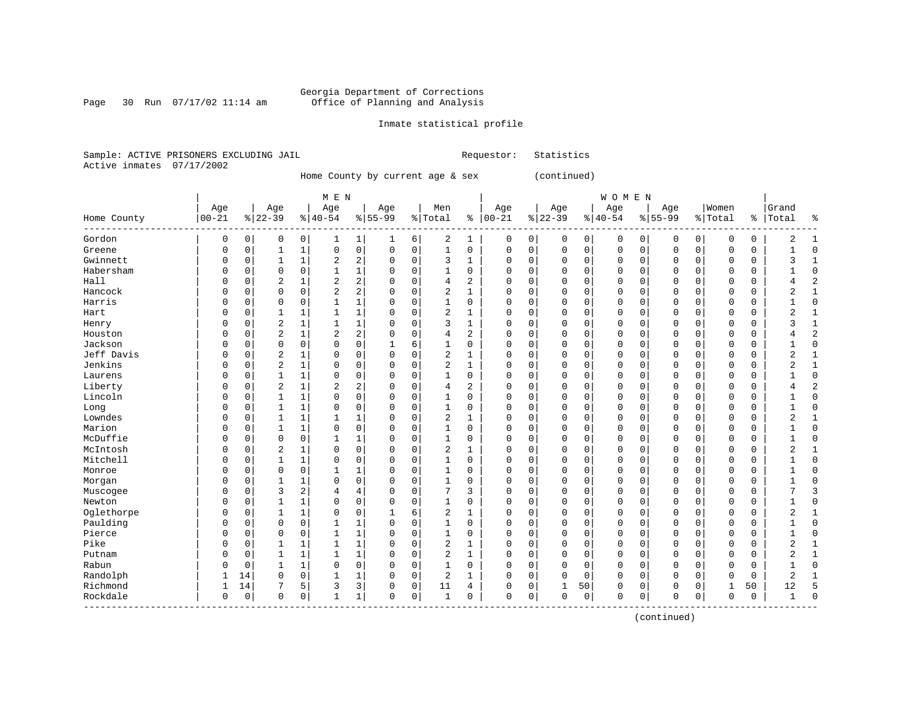Page 30 Run  $07/17/02$  11:14 am

### Inmate statistical profile

Sample: ACTIVE PRISONERS EXCLUDING JAIL Requestor: Statistics Active inmates 07/17/2002

Home County by current age & sex (continued)

|                        |              |             |                |              | M E N          |                |             |             |                |                |          |             |          |             | <b>WOMEN</b> |             |             |             |             |          |                |                |
|------------------------|--------------|-------------|----------------|--------------|----------------|----------------|-------------|-------------|----------------|----------------|----------|-------------|----------|-------------|--------------|-------------|-------------|-------------|-------------|----------|----------------|----------------|
|                        | Age          |             | Age            |              | Age            |                | Age         |             | Men            |                | Age      |             | Age      |             | Age          |             | Age         |             | Women       |          | Grand          |                |
| Home County<br>------- | $00 - 21$    |             | $8 22-39$      |              | $ 40-54$       |                | $8 55-99$   |             | %   Total      | နွ             | $ 00-21$ |             | $ 22-39$ |             | $8 40-54$    |             | $8155 - 99$ |             | % Total     | ႜၟ       | Total          | ႜ              |
| Gordon                 | $\mathbf 0$  | 0           | 0              | 0            |                | 1              | 1           | 6           | 2              | 1              | 0        | 0           | $\Omega$ | 0           | 0            | 0           | 0           | 0           | 0           | 0        | 2              | 1              |
| Greene                 | $\Omega$     | $\mathbf 0$ | 1              | $\mathbf 1$  | $\mathbf 0$    | $\mathbf 0$    | $\mathbf 0$ | $\mathbf 0$ | $\mathbf 1$    | $\mathbf 0$    | 0        | 0           | $\Omega$ | $\mathbf 0$ | 0            | $\mathbf 0$ | 0           | $\mathbf 0$ | $\mathbf 0$ | 0        |                | $\Omega$       |
| Gwinnett               | $\Omega$     | $\mathbf 0$ | 1              | $\mathbf 1$  | 2              | $\overline{2}$ | 0           | $\mathbf 0$ | 3              | $\mathbf{1}$   | 0        | 0           | $\Omega$ | $\mathbf 0$ | 0            | $\mathbf 0$ | 0           | 0           | $\mathbf 0$ | 0        | 3              | $\mathbf{1}$   |
| Habersham              | $\Omega$     | 0           | 0              | 0            | $\mathbf{1}$   | $\mathbf 1$    | $\Omega$    | $\mathbf 0$ | $\mathbf 1$    | $\mathbf 0$    | $\Omega$ | 0           | $\Omega$ | $\mathbf 0$ | 0            | $\mathbf 0$ | $\Omega$    | 0           | $\mathbf 0$ | 0        |                | $\Omega$       |
| Hall                   | $\Omega$     | $\Omega$    | 2              | $\mathbf 1$  | $\overline{2}$ | $\overline{2}$ | $\Omega$    | $\mathbf 0$ | 4              | $\overline{c}$ | $\Omega$ | $\Omega$    | $\Omega$ | $\Omega$    | 0            | $\Omega$    | $\Omega$    | $\Omega$    | $\Omega$    | $\Omega$ | 4              | $\overline{2}$ |
| Hancock                | $\Omega$     | $\Omega$    | $\Omega$       | 0            | $\overline{2}$ | 2              | $\Omega$    | $\mathbf 0$ | $\overline{2}$ | $\mathbf{1}$   | $\Omega$ | 0           | $\Omega$ | $\Omega$    | 0            | $\Omega$    | $\Omega$    | $\Omega$    | $\Omega$    | 0        | 2              | $\mathbf{1}$   |
| Harris                 | $\Omega$     | O           | $\Omega$       | 0            |                | 1              | 0           | $\mathbf 0$ | 1              | 0              | U        | 0           | $\Omega$ | $\Omega$    | 0            | $\Omega$    | $\Omega$    | $\Omega$    | 0           | 0        |                | $\mathbf 0$    |
| Hart                   | $\Omega$     | $\Omega$    | $\mathbf{1}$   | 1            | 1              | 1              | $\Omega$    | 0           | $\overline{2}$ | $\mathbf{1}$   | $\Omega$ | 0           | $\Omega$ | $\Omega$    | 0            | $\Omega$    | $\Omega$    | 0           | $\Omega$    | 0        | 2              | $\mathbf{1}$   |
| Henry                  | $\Omega$     | $\Omega$    | $\overline{2}$ | $\mathbf 1$  | $\mathbf{1}$   | $\mathbf 1$    | $\Omega$    | $\mathbf 0$ | 3              | $\mathbf{1}$   | $\Omega$ | 0           | $\Omega$ | $\Omega$    | 0            | $\Omega$    | $\Omega$    | $\Omega$    | $\Omega$    | 0        | ς              | $\mathbf 1$    |
| Houston                | $\Omega$     | $\Omega$    | $\overline{2}$ | $\mathbf{1}$ | $\overline{2}$ | 2              | $\Omega$    | $\mathbf 0$ | 4              | 2              | $\Omega$ | 0           | $\Omega$ | $\mathbf 0$ | 0            | $\Omega$    | $\Omega$    | $\Omega$    | $\Omega$    | 0        |                | $\overline{2}$ |
| Jackson                | $\Omega$     | $\Omega$    | 0              | 0            | $\Omega$       | $\mathbf 0$    | 1           | 6           | $\mathbf{1}$   | $\mathbf 0$    | 0        | 0           | $\Omega$ | $\mathbf 0$ | 0            | $\Omega$    | $\Omega$    | 0           | $\mathbf 0$ | 0        |                | $\mathbf 0$    |
| Jeff Davis             | $\Omega$     | $\Omega$    | 2              | 1            | 0              | $\mathbf 0$    | 0           | $\mathbf 0$ | $\overline{2}$ | $\mathbf{1}$   | 0        | 0           | $\Omega$ | $\mathbf 0$ | 0            | 0           | 0           | 0           | $\mathbf 0$ | 0        | $\overline{2}$ | 1              |
| Jenkins                | $\Omega$     | $\Omega$    | $\overline{2}$ | $\mathbf 1$  | $\Omega$       | $\mathbf 0$    | 0           | $\mathbf 0$ | $\overline{2}$ | $\mathbf{1}$   | C        | 0           | $\Omega$ | $\Omega$    | 0            | $\Omega$    | $\Omega$    | $\Omega$    | $\Omega$    | 0        | $\overline{2}$ | $\mathbf{1}$   |
| Laurens                | $\Omega$     | 0           | $\mathbf{1}$   | $\mathbf 1$  | $\Omega$       | $\mathbf 0$    | $\Omega$    | $\mathbf 0$ | $\mathbf 1$    | $\Omega$       | $\Omega$ | 0           | $\Omega$ | $\Omega$    | 0            | $\Omega$    | $\Omega$    | $\Omega$    | $\Omega$    | 0        | -1             | $\Omega$       |
| Liberty                | $\Omega$     | $\Omega$    | $\overline{2}$ | $\mathbf 1$  | 2              | $\overline{2}$ | $\Omega$    | 0           | 4              | 2              | $\Omega$ | 0           | $\Omega$ | 0           | 0            | $\mathbf 0$ | $\Omega$    | 0           | $\Omega$    | 0        |                | $\overline{2}$ |
| Lincoln                | $\Omega$     | $\Omega$    |                | 1            | $\Omega$       | 0              | $\Omega$    | $\mathbf 0$ | 1              | $\mathbf 0$    | $\Omega$ | 0           | $\Omega$ | $\mathbf 0$ | 0            | 0           | $\Omega$    | 0           | $\mathbf 0$ | 0        |                | $\Omega$       |
| Long                   | $\Omega$     | $\Omega$    | $\mathbf{1}$   | 1            | $\Omega$       | 0              | $\Omega$    | $\mathbf 0$ | $\mathbf{1}$   | 0              | $\Omega$ | 0           | $\Omega$ | $\Omega$    | 0            | 0           | $\Omega$    | 0           | $\mathbf 0$ | 0        |                | $\Omega$       |
| Lowndes                | $\Omega$     | $\Omega$    | $\mathbf{1}$   | $\mathbf 1$  |                | $\mathbf{1}$   | $\Omega$    | $\mathbf 0$ | $\overline{2}$ | $\mathbf{1}$   | $\Omega$ | $\Omega$    | $\Omega$ | 0           | 0            | $\Omega$    | $\Omega$    | $\Omega$    | $\mathbf 0$ | 0        | $\overline{2}$ | $\mathbf{1}$   |
| Marion                 | $\Omega$     | $\Omega$    | 1              | $\mathbf{1}$ | $\Omega$       | $\mathbf 0$    | $\Omega$    | $\mathbf 0$ | $\mathbf 1$    | $\mathbf 0$    | $\Omega$ | 0           | $\Omega$ | $\mathbf 0$ | 0            | $\Omega$    | $\Omega$    | 0           | $\Omega$    | 0        | -1             | $\Omega$       |
| McDuffie               | $\Omega$     | $\Omega$    | 0              | 0            | 1              | $\mathbf 1$    | 0           | $\mathbf 0$ | $\mathbf 1$    | $\mathbf 0$    | 0        | 0           | $\Omega$ | $\mathbf 0$ | 0            | $\Omega$    | $\Omega$    | 0           | $\mathbf 0$ | 0        |                | $\Omega$       |
| McIntosh               | $\Omega$     | $\Omega$    | 2              | 1            | $\Omega$       | $\mathbf 0$    | 0           | $\mathbf 0$ | $\overline{a}$ | 1              | 0        | 0           | $\Omega$ | 0           | 0            | $\Omega$    | $\Omega$    | $\Omega$    | 0           | 0        | 2              | 1              |
| Mitchell               | $\Omega$     | $\Omega$    | 1              | 1            | $\Omega$       | 0              | 0           | $\mathbf 0$ | $\mathbf{1}$   | 0              | $\Omega$ | 0           |          | $\mathbf 0$ | 0            | 0           | $\Omega$    | 0           | 0           | 0        |                | $\Omega$       |
| Monroe                 | $\Omega$     | $\Omega$    | 0              | 0            | 1              | 1              | 0           | 0           | 1              | $\Omega$       | $\Omega$ | 0           | $\Omega$ | 0           | 0            | 0           | $\Omega$    | 0           | 0           | 0        |                | $\Omega$       |
| Morgan                 | $\Omega$     | $\Omega$    | $\mathbf{1}$   | $\mathbf 1$  | $\Omega$       | $\mathbf 0$    | $\Omega$    | $\mathbf 0$ | $\mathbf 1$    | $\mathbf 0$    | $\Omega$ | 0           | $\Omega$ | $\mathbf 0$ | $\Omega$     | $\mathbf 0$ | $\Omega$    | 0           | $\Omega$    | 0        | -1             | $\Omega$       |
| Muscogee               | $\Omega$     | $\Omega$    | 3              | 2            | 4              | $\overline{4}$ | $\Omega$    | $\mathbf 0$ | 7              | 3              | $\Omega$ | 0           | $\Omega$ | $\mathbf 0$ | 0            | 0           | $\Omega$    | 0           | 0           | 0        |                | 3              |
| Newton                 | $\Omega$     | $\Omega$    | $\mathbf{1}$   | $\mathbf{1}$ | $\Omega$       | $\mathbf 0$    | $\Omega$    | $\mathbf 0$ | $\mathbf{1}$   | $\Omega$       | $\Omega$ | 0           | $\Omega$ | $\Omega$    | 0            | 0           | $\Omega$    | 0           | $\mathbf 0$ | 0        |                | $\Omega$       |
| Oglethorpe             | $\Omega$     | 0           | $\mathbf{1}$   | 1            | 0              | 0              |             | 6           | $\overline{a}$ | $\mathbf{1}$   | 0        | 0           | $\Omega$ | $\Omega$    | 0            | 0           | $\Omega$    | $\Omega$    | $\Omega$    | 0        | 2              | $\mathbf{1}$   |
| Paulding               | $\Omega$     | O           | $\Omega$       | 0            | 1              | 1              | $\Omega$    | $\Omega$    | $\mathbf 1$    | $\Omega$       | $\Omega$ | $\Omega$    | $\Omega$ | $\Omega$    | 0            | $\Omega$    | $\Omega$    | $\Omega$    | $\Omega$    | 0        |                | $\Omega$       |
| Pierce                 | $\Omega$     | $\Omega$    | $\Omega$       | 0            | -1             | 1              | $\Omega$    | $\mathbf 0$ | $\mathbf 1$    | $\Omega$       | $\Omega$ | $\Omega$    | $\Omega$ | $\Omega$    | 0            | $\Omega$    | $\Omega$    | $\Omega$    | $\Omega$    | $\Omega$ | $\mathbf{1}$   | $\Omega$       |
| Pike                   | $\Omega$     | $\Omega$    | $\mathbf{1}$   | 1            | 1              | 1              | 0           | $\mathbf 0$ | $\overline{2}$ | 1              | $\Omega$ | 0           | $\Omega$ | 0           | 0            | $\mathbf 0$ | $\Omega$    | $\Omega$    | $\Omega$    | 0        | $\overline{2}$ | $\mathbf{1}$   |
| Putnam                 | $\Omega$     | $\Omega$    | $\mathbf{1}$   | $\mathbf{1}$ | 1              | 1              | 0           | $\mathbf 0$ | $\overline{2}$ | $\mathbf{1}$   | $\Omega$ | 0           | $\Omega$ | 0           | 0            | 0           | $\Omega$    | 0           | 0           | 0        | $\overline{2}$ | 1              |
| Rabun                  | $\Omega$     | $\mathbf 0$ | $\mathbf{1}$   | $\mathbf{1}$ | 0              | $\mathbf 0$    | 0           | $\mathbf 0$ | $\mathbf{1}$   | $\mathbf 0$    | $\Omega$ | 0           | $\Omega$ | 0           | 0            | 0           | 0           | 0           | 0           | 0        |                | $\Omega$       |
| Randolph               | $\mathbf{1}$ | 14          | $\mathbf 0$    | 0            | 1              | 1              | $\Omega$    | $\mathbf 0$ | 2              | $\mathbf{1}$   | $\Omega$ | $\mathbf 0$ | $\Omega$ | 0           | 0            | $\mathbf 0$ | 0           | 0           | 0           | 0        | 2              | $\mathbf{1}$   |
| Richmond               | 1            | 14          | 7              | 5            | 3              | 3              | $\Omega$    | 0           | 11             | 4              | $\Omega$ | 0           | 1        | 50          | 0            | $\mathbf 0$ | $\Omega$    | 0           | 1           | 50       | 12             | 5              |
| Rockdale               | $\Omega$     | 0           | 0              | 0            |                | 1              | 0           | 0           | $\mathbf{1}$   | $\Omega$       | $\Omega$ | 0           | $\Omega$ | 0           | 0            | 0           | $\Omega$    | 0           | $\Omega$    | 0        |                | $\Omega$       |

(continued)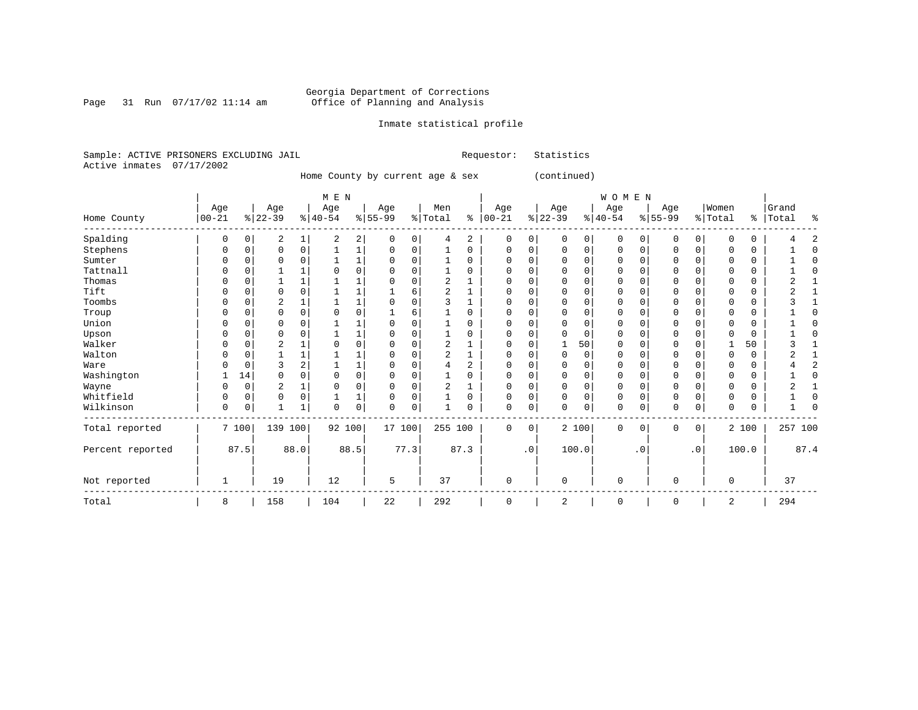Page 31 Run  $07/17/02$  11:14 am

### Inmate statistical profile

Sample: ACTIVE PRISONERS EXCLUDING JAIL **Requestor:** Statistics Active inmates 07/17/2002

Home County by current age & sex (continued)

|                  |              |             |                |          | M E N     |             |           |          |         |                |             |               |              |          | WOMEN        |             |             |           |              |          |           |      |
|------------------|--------------|-------------|----------------|----------|-----------|-------------|-----------|----------|---------|----------------|-------------|---------------|--------------|----------|--------------|-------------|-------------|-----------|--------------|----------|-----------|------|
|                  | Age          |             | Age            |          | Age       |             | Age       |          | Men     |                | Age         |               | Age          |          | Age          |             | Age         |           | Women        |          | Grand     |      |
| Home County      | $ 00 - 21$   |             | $ 22-39$       |          | $ 40-54 $ |             | $8 55-99$ |          | % Total | နွ             | $00 - 21$   | $\frac{8}{6}$ | $22 - 39$    |          | $ 40-54 $    |             | $ 55-99$    |           | % Total      |          | %   Total | ႜ    |
| Spalding         | 0            | 0           | 2              | 1        | 2         | 2           | $\Omega$  | 0        | 4       | 2              | $\mathbf 0$ | 0             | 0            | 0        | $\mathbf{0}$ | 0           | 0           | 0         | 0            | 0        |           |      |
| Stephens         | 0            | 0           | $\Omega$       | 0        |           | 1           | 0         | 0        |         | 0              | $\Omega$    | 0             | $\Omega$     | 0        | 0            | $\Omega$    | $\Omega$    | 0         | 0            | 0        |           |      |
| Sumter           | U            | $\Omega$    | O              | $\Omega$ |           | 1           | $\Omega$  | $\Omega$ |         | $\Omega$       | $\Omega$    | $\Omega$      | $\Omega$     | $\Omega$ | $\Omega$     | $\Omega$    | $\Omega$    | $\Omega$  | $\Omega$     | 0        |           | n    |
| Tattnall         | U            | $\Omega$    |                |          |           | $\Omega$    |           | $\Omega$ |         | $\Omega$       | $\Omega$    |               | $\Omega$     | $\Omega$ | $\Omega$     | $\Omega$    | $\Omega$    | $\Omega$  | $\Omega$     | 0        |           |      |
| Thomas           |              |             |                |          |           |             |           |          | 2       |                |             |               | $\Omega$     | $\Omega$ | $\Omega$     | $\Omega$    | O           |           | 0            | 0        |           |      |
| Tift             |              | n           | $\Omega$       |          |           |             |           | 6        | 2       |                | O           |               | $\Omega$     | $\Omega$ | $\Omega$     | $\Omega$    | $\Omega$    | U         | $\Omega$     | $\Omega$ |           |      |
| Toombs           | U            | n           | 2              |          |           | 1           |           | $\Omega$ | ζ       |                | $\Omega$    | U             | $\Omega$     | $\Omega$ | $\Omega$     | $\Omega$    | $\Omega$    | $\Omega$  | $\Omega$     | $\Omega$ |           |      |
| Troup            |              | $\Omega$    | $\Omega$       | $\Omega$ | $\cap$    | 0           |           | 6        |         | $\Omega$       | O           | O             | $\Omega$     | $\Omega$ | $\Omega$     | $\Omega$    | $\Omega$    | $\Omega$  | $\Omega$     | 0        |           |      |
| Union            |              | $\sqrt{ }$  | U              |          |           | 1           |           |          |         | O              |             |               | U            | $\Omega$ | $\Omega$     | ∩           | $\cap$      |           | <sup>0</sup> | 0        |           |      |
| Upson            |              | O           | O              |          |           |             |           | O        |         | U              | O           |               | O            | $\Omega$ | $\Omega$     | $\Omega$    | O           | U         | <sup>0</sup> | 0        |           |      |
| Walker           | U            | $\sqrt{ }$  | $\mathfrak{D}$ |          |           | 0           |           | $\Omega$ | 2       |                | C           |               | $\mathbf{1}$ | 50       | $\Omega$     | $\Omega$    | $\Omega$    |           |              | 50       |           |      |
| Walton           |              | $\Omega$    |                |          |           |             |           | $\Omega$ | 2       |                |             |               | $\Omega$     | $\Omega$ | $\Omega$     | $\Omega$    | O           | O         | $\Omega$     | $\Omega$ |           |      |
| Ware             |              | $\sqrt{ }$  | ς              |          |           | 1           |           | $\Omega$ |         | $\overline{a}$ |             |               | $\Omega$     | $\Omega$ | $\Omega$     |             | $\Omega$    |           | <sup>0</sup> | 0        |           |      |
| Washington       |              | 14          | O              |          | O         | 0           |           | $\Omega$ |         | 0              |             | N             | $\Omega$     | $\Omega$ | 0            | $\Omega$    | 0           |           | 0            | 0        |           |      |
| Wayne            | U            | $\mathbf 0$ | 2              |          | 0         | 0           | ∩         | 0        | 2       |                | $\Omega$    | 0             | $\Omega$     | $\Omega$ | $\Omega$     | $\Omega$    | $\Omega$    | 0         | 0            | 0        |           |      |
| Whitfield        | 0            | $\mathbf 0$ | $\Omega$       | $\Omega$ |           | $\mathbf 1$ |           | 0        |         | 0              | C           | 0             | 0            | 0        | 0            | $\mathbf 0$ | $\Omega$    | $\Omega$  | $\Omega$     | 0        |           |      |
| Wilkinson        | $\Omega$     | $\mathbf 0$ | 1              | 1        | $\Omega$  | 0           | $\Omega$  | 0        |         | 0              | $\Omega$    | $\mathbf 0$   | $\Omega$     | 0        | $\mathbf 0$  | 0           | $\Omega$    | 0         | $\mathbf 0$  | 0        |           |      |
| Total reported   |              | 7 100       | 139 100        |          | 92 100    |             | 17 100    |          | 255 100 |                | $\mathbf 0$ | 0             |              | 2 100    | $\mathbf 0$  | $\mathbf 0$ | 0           | 0         |              | 2 100    | 257 100   |      |
| Percent reported |              | 87.5        |                | 88.0     |           | 88.5        |           | 77.3     |         | 87.3           |             | .0            |              | 100.0    |              | . 0         |             | $\cdot$ 0 |              | 100.0    |           | 87.4 |
| Not reported     | $\mathbf{1}$ |             | 19             |          | 12        |             | 5         |          | 37      |                | $\mathbf 0$ |               | $\mathbf 0$  |          | $\mathbf 0$  |             | 0           |           | $\mathbf 0$  |          | 37        |      |
| Total            | 8            |             | 158            |          | 104       |             | 22        |          | 292     |                | $\mathbf 0$ |               | 2            |          | $\mathbf 0$  |             | $\mathbf 0$ |           | 2            |          | 294       |      |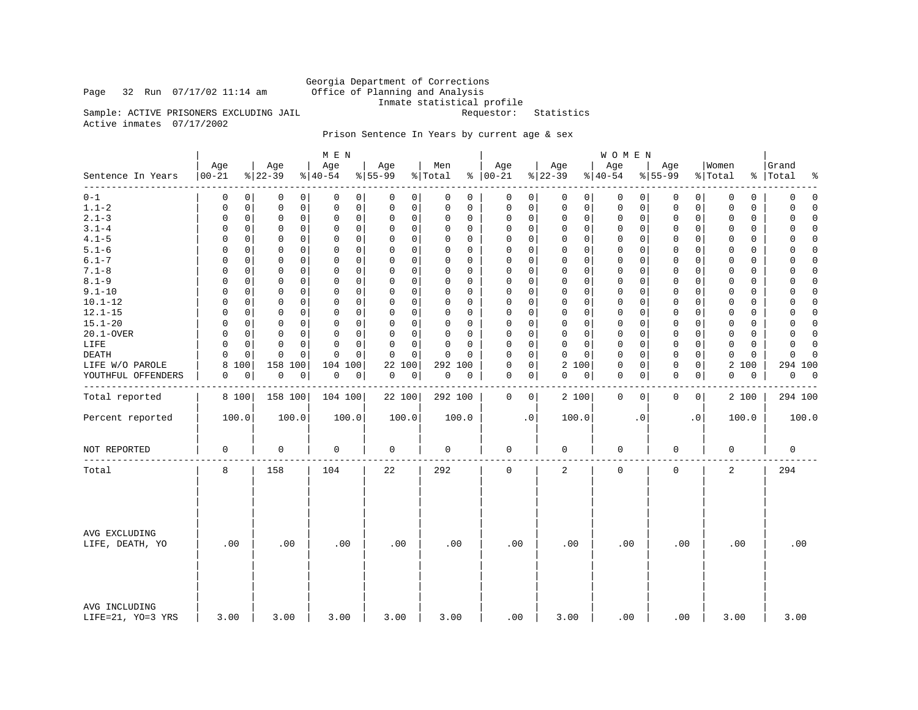Page 32 Run  $07/17/02$  11:14 am

Georgia Department of Corrections<br>Office of Planning and Analysis Inmate statistical profile<br>Requestor: Statistics

Sample: ACTIVE PRISONERS EXCLUDING JAIL Active inmates 07/17/2002

### Prison Sentence In Years by current age & sex

|                                    |                  |          |                  |             | M E N                      |             |                  |                |          |                      |             |                 |             | <b>WOMEN</b>    |           |                     |             |                  |          |                            |
|------------------------------------|------------------|----------|------------------|-------------|----------------------------|-------------|------------------|----------------|----------|----------------------|-------------|-----------------|-------------|-----------------|-----------|---------------------|-------------|------------------|----------|----------------------------|
| Sentence In Years                  | Age<br>$00 - 21$ |          | Age<br>$ 22-39 $ |             | Age<br>$ 40-54$            |             | Age<br>$8 55-99$ | Men<br>% Total |          | Age<br>$8   00 - 21$ |             | Age<br>$ 22-39$ |             | Age<br>$ 40-54$ |           | Age<br>$8 55-99$    |             | Women<br>% Total | ႜ        | Grand<br>Total<br>٩,       |
| -------<br>$0 - 1$                 | 0                | 0        | 0                | 0           | 0                          | 0           | 0<br>0           | 0              | 0        | 0                    | 0           | $\mathbf 0$     | 0           | 0               | 0         | 0                   | 0           | 0                | 0        | $\mathbf 0$<br>$\mathbf 0$ |
| $1.1 - 2$                          | 0                | 0        | $\mathbf 0$      | $\mathbf 0$ | 0                          | $\mathbf 0$ | 0<br>0           | 0              | 0        | 0                    | 0           | $\mathbf 0$     | 0           | 0               | 0         | 0                   | 0           | 0                | 0        | 0<br>$\Omega$              |
| $2.1 - 3$                          | 0                | 0        | 0                | $\mathbf 0$ | $\mathbf 0$<br>0           |             | 0<br>0           | 0              | 0        | 0                    | 0           | $\mathbf 0$     | 0           | $\mathbf 0$     | 0         | 0                   | 0           | 0                | 0        | $\mathsf 0$<br>$\Omega$    |
| $3.1 - 4$                          | 0                | 0        | 0                | 0           | $\mathbf 0$<br>$\mathbf 0$ |             | 0<br>0           | $\Omega$       | 0        | 0                    | 0           | $\Omega$        | $\mathbf 0$ | $\mathbf 0$     | 0         | 0                   | 0           | $\Omega$         | $\Omega$ | $\Omega$<br>$\cap$         |
| $4.1 - 5$                          | 0                | 0        | 0                | $\mathbf 0$ | $\mathbf 0$                | $\mathbf 0$ | 0<br>0           | 0              | 0        | 0                    | 0           | 0               | 0           | 0               | 0         | 0                   | 0           | 0                | 0        | 0<br>$\Omega$              |
| $5.1 - 6$                          | 0                | 0        | $\Omega$         | 0           | 0<br>$\Omega$              |             | 0<br>$\mathbf 0$ | $\Omega$       | $\Omega$ | 0                    | 0           | $\Omega$        | 0           | $\mathbf 0$     | $\Omega$  | $\Omega$            | 0           | $\Omega$         | $\Omega$ | 0<br>$\Omega$              |
| $6.1 - 7$                          | $\Omega$         | 0        | 0                | 0           | $\mathbf 0$<br>$\Omega$    |             | 0<br>$\mathbf 0$ | $\Omega$       | 0        | 0                    | 0           | $\Omega$        | $\Omega$    | $\mathbf 0$     | 0         | 0                   | 0           | $\Omega$         | $\Omega$ | $\Omega$<br>$\Omega$       |
| $7.1 - 8$                          | 0                | 0        | 0                | $\Omega$    | $\Omega$<br>0              |             | 0<br>0           | $\Omega$       | $\Omega$ | $\Omega$             | $\mathbf 0$ | $\mathbf 0$     | 0           | $\mathbf 0$     | 0         | 0                   | 0           | $\Omega$         | $\Omega$ | $\Omega$<br>$\Omega$       |
| $8.1 - 9$                          | 0                | 0        | $\mathbf 0$      | 0           | $\mathbf 0$<br>$\mathbf 0$ |             | 0<br>0           | $\Omega$       | 0        | 0                    | 0           | $\mathbf 0$     | $\mathbf 0$ | $\mathbf 0$     | 0         | $\mathbf 0$         | 0           | 0                | 0        | $\Omega$<br>0              |
| $9.1 - 10$                         | $\Omega$         | 0        | 0                | $\Omega$    | $\Omega$<br>$\Omega$       |             | 0<br>$\mathbf 0$ | $\Omega$       | $\Omega$ | $\Omega$             | 0           | $\Omega$        | $\Omega$    | $\mathbf{0}$    | O         | $\mathbf 0$         | 0           | $\Omega$         | $\Omega$ | $\Omega$<br><sup>0</sup>   |
| $10.1 - 12$                        | $\Omega$         | 0        | 0                | $\mathbf 0$ | $\mathbf 0$<br>$\mathbf 0$ |             | 0<br>0           | 0              | 0        | 0                    | 0           | 0               | $\mathbf 0$ | 0               | 0         | 0                   | $\mathbf 0$ | 0                | 0        | $\Omega$<br>0              |
| $12.1 - 15$                        | 0                | 0        | 0                | 0           | 0<br>0                     |             | 0<br>0           | $\Omega$       | $\Omega$ | 0                    | $\mathbf 0$ | 0               | $\mathbf 0$ | $\mathbf 0$     | 0         | $\mathbf 0$         | 0           | $\Omega$         | 0        | 0<br>$\Omega$              |
| $15.1 - 20$                        | $\Omega$         | 0        | 0                | 0           | $\mathbf 0$<br>0           |             | 0<br>0           | $\Omega$       | 0        | 0                    | 0           | 0               | $\mathbf 0$ | $\mathbf 0$     | 0         | 0                   | 0           | $\Omega$         | $\Omega$ | $\Omega$<br>$\Omega$       |
| 20.1-OVER                          | 0                | 0        | $\mathbf 0$      | 0           | 0<br>O                     |             | 0<br>0           | 0              | $\Omega$ | $\Omega$             | $\mathbf 0$ | $\mathbf 0$     | $\Omega$    | 0               | 0         | 0                   | 0           | $\Omega$         | $\Omega$ | 0<br>$\Omega$              |
| LIFE                               | $\Omega$         | 0        | $\mathbf 0$      | 0           | $\mathbf 0$<br>$\Omega$    |             | 0<br>$\mathbf 0$ | $\mathbf 0$    | $\Omega$ | 0                    | 0           | $\mathbf 0$     | $\mathbf 0$ | $\mathbf 0$     | 0         | $\mathbf 0$         | 0           | 0                | $\Omega$ | 0<br>$\Omega$              |
| DEATH                              | $\Omega$         | $\Omega$ | $\Omega$         | $\Omega$    | $\Omega$<br>O              |             | O<br>$\Omega$    | $\Omega$       | $\Omega$ | $\Omega$             | $\mathbf 0$ | $\Omega$        | $\Omega$    | $\mathbf{0}$    | O         | $\mathbf 0$         | 0           | $\Omega$         | $\Omega$ | $\Omega$<br><sup>0</sup>   |
| LIFE W/O PAROLE                    | 8                | 100      | 158 100          |             | 104<br>100                 |             | 22 100           |                | 292 100  | 0                    | 0           | 2 100           |             | $\mathbf 0$     | 0         | 0                   | 0           | 2 100            |          | 294 100                    |
|                                    | 0                | 0        | 0                | 0           | 0                          |             | 0<br>0           | 0              | 0        | 0                    | 0           | 0               |             | $\mathbf 0$     | 0         | $\mathbf 0$         | 0           | 0                | 0        | 0<br>$\overline{0}$        |
| YOUTHFUL OFFENDERS                 |                  |          |                  |             | 0                          |             |                  |                |          |                      |             |                 | 0           |                 |           |                     |             |                  |          |                            |
| Total reported                     | 8 100            |          | 158 100          |             | 104 100                    |             | 22 100           |                | 292 100  | 0                    | 0           | 2 100           |             | $\mathbf 0$     | 0         | 0                   | 0           |                  | 2 100    | 294 100                    |
| Percent reported                   | 100.0            |          | 100.0            |             | 100.0                      |             | 100.0            |                | 100.0    |                      | $\cdot$ 0   | 100.0           |             |                 | $\cdot$ 0 |                     | $\cdot$ 0   | 100.0            |          | 100.0                      |
| NOT REPORTED                       | 0                |          | $\mathsf 0$      |             | 0                          |             | 0                | $\mathbf 0$    |          | 0                    |             | $\mathbf 0$     |             | $\mathsf 0$     |           | $\mathsf 0$         |             | 0                |          | 0                          |
| Total                              | 8                |          | 158              |             | 104                        |             | 22               | 292            |          | 0                    |             | 2               |             | $\mathsf 0$     |           | $\mathsf{O}\xspace$ |             | $\overline{2}$   |          | 294                        |
| AVG EXCLUDING<br>LIFE, DEATH, YO   | .00              |          | .00              |             | .00                        |             | .00              |                | .00      | .00                  |             | .00             |             | .00             |           | .00                 |             | .00              |          | .00                        |
| AVG INCLUDING<br>LIFE=21, YO=3 YRS | 3.00             |          | 3.00             |             | 3.00                       |             | 3.00             |                | 3.00     |                      | .00         | 3.00            |             | .00             |           | .00                 |             | 3.00             |          | 3.00                       |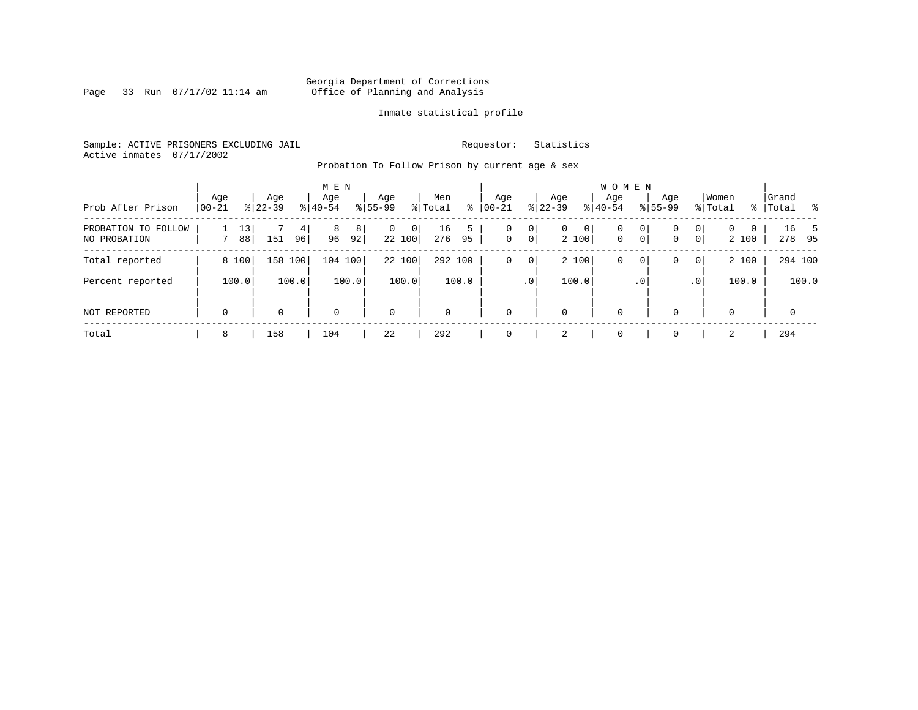Page 33 Run  $07/17/02$  11:14 am

### Inmate statistical profile

Sample: ACTIVE PRISONERS EXCLUDING JAIL **Requestor:** Statistics Active inmates 07/17/2002

Probation To Follow Prison by current age & sex

| Prob After Prison                   | Age         |                       | Age       |         | M E N<br>Age |         | Age          |             | Men         | ႜ       | Age              |                     | Age          |            | <b>WOMEN</b><br>Aqe |                     | Age         |                     | Women             |   | Grand     |                | ားကို $\sim$ |
|-------------------------------------|-------------|-----------------------|-----------|---------|--------------|---------|--------------|-------------|-------------|---------|------------------|---------------------|--------------|------------|---------------------|---------------------|-------------|---------------------|-------------------|---|-----------|----------------|--------------|
|                                     | $00 - 21$   |                       | $8 22-39$ |         | $8 40-54$    |         | $8155 - 99$  |             | % Total     |         | $00 - 21$        |                     | $ 22-39 $    |            | $8 40-54$           |                     | $8155 - 99$ |                     | % Total           |   | %   Total |                |              |
| PROBATION TO FOLLOW<br>NO PROBATION |             | 13<br>88 <sub>1</sub> | 151       | 4<br>96 | 8<br>96      | 8<br>92 | $\mathbf{0}$ | 0<br>22 100 | 16<br>276   | 5<br>95 | 0<br>$\mathbf 0$ | 0<br>0 <sup>1</sup> | $\mathbf{0}$ | 0<br>2 100 | 0<br>$\mathbf{0}$   | 0<br>0 <sup>1</sup> | 0<br>0      | 0<br>0 <sup>1</sup> | $\Omega$<br>2 100 | 0 |           | 16 5<br>278 95 |              |
| Total reported                      | 8 100       |                       | 158 100   |         | 104 100      |         |              | 22 100      | 292 100     |         | 0                | 0                   |              | 2 100      | 0                   | 0                   | 0           | $\overline{0}$      | 2 100             |   |           | 294 100        |              |
| Percent reported                    | 100.0       |                       |           | 100.0   |              | 100.0   |              | 100.0       |             | 100.0   |                  | .0 <sup>1</sup>     |              | 100.0      |                     | $\cdot$ 0           |             | .0 <sup>1</sup>     | 100.0             |   |           |                | 100.0        |
| NOT REPORTED                        | $\mathbf 0$ |                       | $\Omega$  |         | $\Omega$     |         | $\mathbf 0$  |             | $\mathbf 0$ |         | $\Omega$         |                     | 0            |            | $\mathbf 0$         |                     | $\Omega$    |                     | $\Omega$          |   |           | $\mathbf 0$    |              |
| Total                               | 8           |                       | 158       |         | 104          |         | 22           |             | 292         |         | $\Omega$         |                     | 2            |            | $\mathbf 0$         |                     | $\Omega$    |                     | $\mathfrak{D}$    |   |           | 294            |              |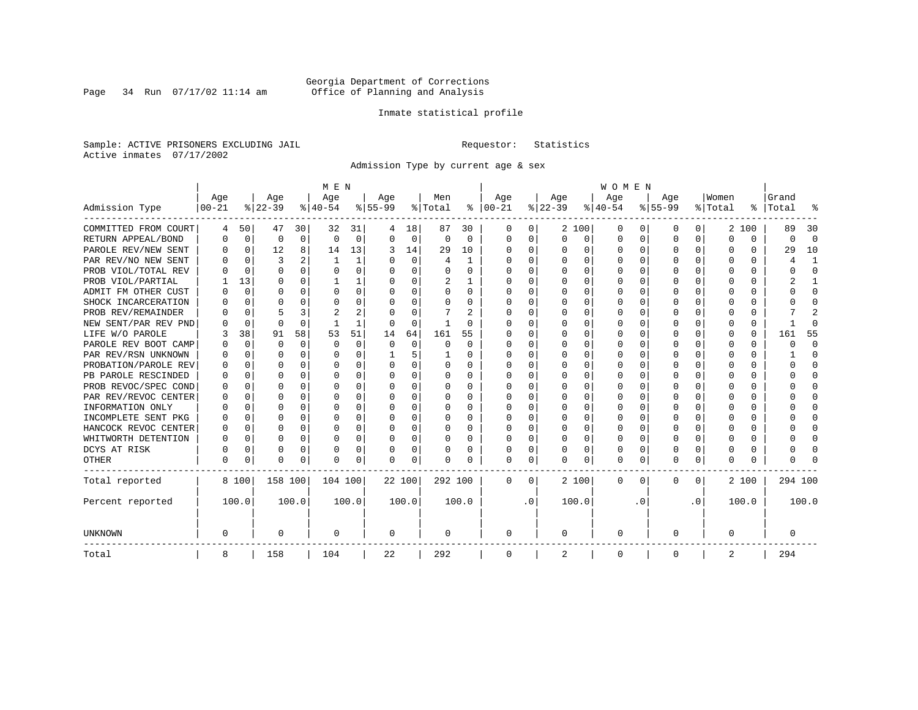Page 34 Run  $07/17/02$  11:14 am

### Inmate statistical profile

Sample: ACTIVE PRISONERS EXCLUDING JAIL **Requestor:** Statistics Active inmates 07/17/2002

Admission Type by current age & sex

|                      |           |             |          |             | M E N     |       |           |          |          |          |             |           |          |          | <b>WOMEN</b> |                  |              |              |          |       |         |              |
|----------------------|-----------|-------------|----------|-------------|-----------|-------|-----------|----------|----------|----------|-------------|-----------|----------|----------|--------------|------------------|--------------|--------------|----------|-------|---------|--------------|
|                      | Age       |             | Age      |             | Age       |       | Aqe       |          | Men      |          | Age         |           | Age      |          | Age          |                  | Aqe          |              | Women    |       | Grand   |              |
| Admission Type       | $00 - 21$ |             | $ 22-39$ |             | $ 40-54 $ |       | $8 55-99$ |          | % Total  | ႜ        | $ 00-21$    |           | $ 22-39$ |          | $ 40-54$     |                  | $8 55-99$    |              | % Total  | ွေ    | Total   | ू            |
| COMMITTED FROM COURT | 4         | 50          | 47       | 30          | 32        | 31    | 4         | 18       | 87       | 30       | 0           | 0         |          | 2 100    | 0            | $\left( \right)$ | 0            | 0            |          | 2 100 | 89      | 30           |
| RETURN APPEAL/BOND   | 0         | $\mathbf 0$ | 0        | $\mathbf 0$ | $\Omega$  | 0     | $\Omega$  | 0        | $\Omega$ | $\Omega$ | 0           | 0         | $\Omega$ | 0        | 0            | $\Omega$         | <sup>0</sup> | 0            | $\Omega$ | 0     | 0       | $\Omega$     |
| PAROLE REV/NEW SENT  | O         | $\Omega$    | 12       | 8           | 14        | 13    | 3         | 14       | 29       | 10       | $\Omega$    | 0         | O        | $\Omega$ | O            | $\Omega$         | $\Omega$     | 0            | U        | U     | 29      | 10           |
| PAR REV/NO NEW SENT  | U         | $\Omega$    | ζ        |             | -1        | 1     |           | $\Omega$ | 4        | -1       | $\Omega$    | 0         | $\Omega$ | $\Omega$ | O            | C                | ∩            | <sup>n</sup> | O        | U     |         | -1           |
| PROB VIOL/TOTAL REV  |           | $\Omega$    | $\Omega$ | $\Omega$    | $\Omega$  | 0     |           | $\Omega$ | O        | O        | $\Omega$    | 0         | $\Omega$ | $\Omega$ | U            | C                | <sup>0</sup> | 0            | O        | O     |         | $\Omega$     |
| PROB VIOL/PARTIAL    |           | 13          | O        | 0           |           |       |           | $\Omega$ | 2        |          | O           | 0         |          | $\Omega$ | U            | C                |              |              |          | U     |         |              |
| ADMIT FM OTHER CUST  | U         | 0           | U        | 0           | O         | 0     | ∩         | $\Omega$ | 0        | 0        | $\Omega$    | 0         | $\Omega$ | $\Omega$ | 0            | O                | <sup>0</sup> | 0            | O        | 0     |         | <sup>0</sup> |
| SHOCK INCARCERATION  |           | $\Omega$    | U        | $\Omega$    | O         | 0     | n         | $\Omega$ | 0        | 0        | $\Omega$    | 0         | O        | $\Omega$ | 0            | O                | O            | $\Omega$     | O        | 0     |         | ∩            |
| PROB REV/REMAINDER   |           | $\Omega$    |          | 3           | 2         | 2     |           | $\Omega$ |          | 2        | $\Omega$    | 0         | $\Omega$ | $\Omega$ | O            | O                | <sup>0</sup> | 0            | O        | 0     |         | 2            |
| NEW SENT/PAR REV PND |           | 0           | $\Omega$ | $\Omega$    |           | 1     |           | $\Omega$ | -1       | O        | O           | 0         | $\Omega$ | $\Omega$ | U            | O                | <sup>0</sup> | 0            | O        | 0     |         | ſ            |
| LIFE W/O PAROLE      |           | 38          | 91       | 58          | 53        | 51    | 14        | 64       | 161      | 55       |             | 0         |          | $\Omega$ | U            | $\Omega$         |              | $\Omega$     | Ω        | 0     | 161     | 55           |
| PAROLE REV BOOT CAMP |           | 0           | O        | $\Omega$    | $\Omega$  | 0     | $\Omega$  | $\Omega$ | 0        | $\Omega$ | O           | O         |          | $\Omega$ | O            | $\Omega$         |              | 0            | O        | 0     | ი       | $\Omega$     |
| PAR REV/RSN UNKNOWN  |           | $\Omega$    | U        | $\Omega$    | O         | 0     |           | 5        |          | 0        | O           | 0         | ∩        | $\Omega$ | O            | $\Omega$         | O            | <sup>n</sup> | O        | 0     |         | ∩            |
| PROBATION/PAROLE REV |           | $\Omega$    | U        | $\Omega$    | O         | 0     | $\Omega$  | $\Omega$ | $\Omega$ | 0        | O           | 0         | $\Omega$ | $\Omega$ | O            | ∩                | ∩            | $\cap$       | U        | O     | U       | ∩            |
| PB PAROLE RESCINDED  | U         | $\Omega$    | U        | $\Omega$    | O         | 0     | ∩         | $\Omega$ | 0        | 0        | $\Omega$    | 0         | ∩        | $\Omega$ | O            | C                | ∩            | $\Omega$     | U        | U     |         | ∩            |
| PROB REVOC/SPEC COND | O         | 0           | U        | 0           | O         | U     |           | $\Omega$ | O        | O        | n           | 0         | O        | $\Omega$ | O            | C                | n            | 0            | O        | 0     |         | n            |
| PAR REV/REVOC CENTER |           | 0           | O        | $\Omega$    | O         | 0     |           | $\Omega$ | 0        | O        | $\Omega$    | U         |          | $\Omega$ | U            | C                |              | 0            |          | 0     |         | <sup>0</sup> |
| INFORMATION ONLY     |           | 0           | O        | 0           | O         | 0     |           | $\Omega$ | 0        | 0        | $\Omega$    | 0         |          | $\Omega$ | 0            | $\Omega$         |              | 0            |          | 0     |         | <sup>0</sup> |
| INCOMPLETE SENT PKG  | O         | 0           | U        | 0           | O         | 0     |           | $\Omega$ | 0        | 0        | $\Omega$    | 0         | $\Omega$ | $\Omega$ | 0            | $\Omega$         | ∩            | 0            |          | 0     |         | ∩            |
| HANCOCK REVOC CENTER | 0         | 0           | $\cap$   | $\Omega$    | O         | 0     |           | $\Omega$ | 0        | 0        | $\Omega$    | 0         | $\Omega$ | $\Omega$ | 0            | $\Omega$         | ∩            | 0            | U        | 0     |         | ∩            |
| WHITWORTH DETENTION  | O         | $\Omega$    | U        | $\Omega$    | O         | 0     | ∩         | $\Omega$ | O        | 0        | $\Omega$    | 0         | O        | $\Omega$ | O            | $\Omega$         | ∩            | $\Omega$     | U        | 0     |         | $\cap$       |
| DCYS AT RISK         | N         | 0           | O        | $\Omega$    | O         | 0     |           | 0        | 0        | 0        | $\Omega$    | 0         | O        | 0        | U            | $\Omega$         | <sup>0</sup> | $\Omega$     | Ω        | 0     |         | ſ            |
| <b>OTHER</b>         | O         | 0           | $\Omega$ | 0           | O         | 0     |           | 0        | N        | O        | $\Omega$    | 0         | $\Omega$ | 0        | 0            | U                | $\Omega$     | 0            | U        | U     |         |              |
| Total reported       |           | 8 100       | 158 100  |             | 104 100   |       | 22 100    |          | 292 100  |          | 0           | 0         |          | 2 100    | 0            | 0                | $\Omega$     | 0            |          | 2 100 | 294 100 |              |
| Percent reported     |           | 100.0       |          | 100.0       |           | 100.0 |           | 100.0    |          | 100.0    |             | $\cdot$ 0 |          | 100.0    |              | . 0              |              | $\cdot$ 0    |          | 100.0 |         | 100.0        |
| <b>UNKNOWN</b>       | 0         |             | 0        |             | 0         |       | 0         |          | 0        |          | 0           |           | 0        |          | 0            |                  | 0            |              | 0        |       | 0       |              |
| Total                | 8         |             | 158      |             | 104       |       | 22        |          | 292      |          | $\mathbf 0$ |           | 2        |          | 0            |                  | 0            |              | 2        |       | 294     |              |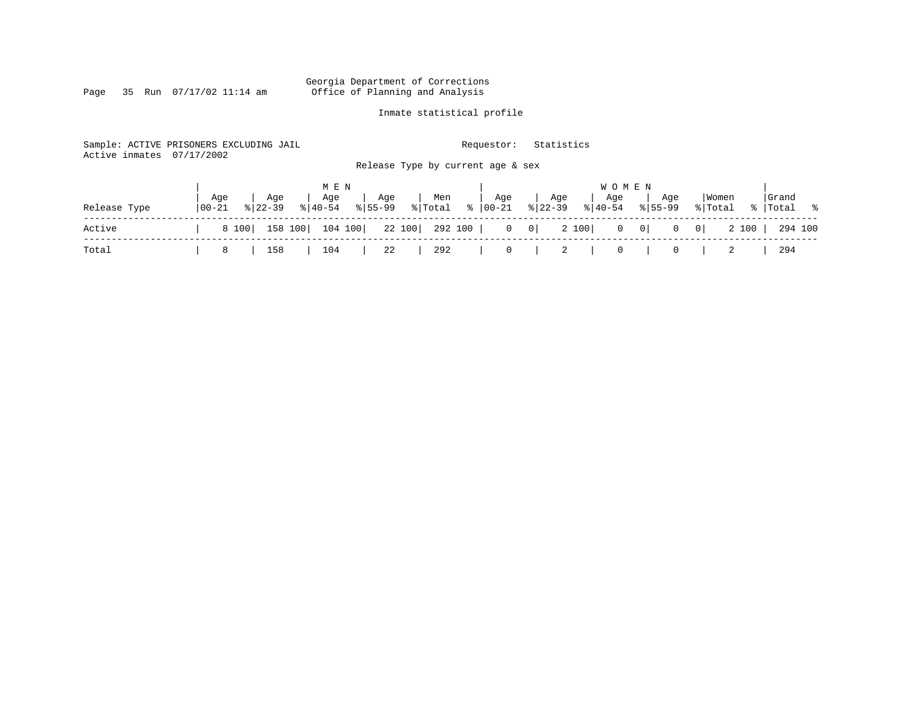Page 35 Run  $07/17/02$  11:14 am

### Inmate statistical profile

| Sample: ACTIVE PRISONERS EXCLUDING JAIL<br>Active inmates | 07/17/2002 |           |              |             |                | Requestor:                        |              | Statistics            |                |                |         |       |           |
|-----------------------------------------------------------|------------|-----------|--------------|-------------|----------------|-----------------------------------|--------------|-----------------------|----------------|----------------|---------|-------|-----------|
|                                                           |            |           |              |             |                | Release Type by current age & sex |              |                       |                |                |         |       |           |
|                                                           | Aqe        | Aqe       | M E N<br>Age | Age         | Men            | Age                               | Age          | Aqe                   | <b>WOMEN</b>   | Age            | Women   |       | Grand     |
| Release Type                                              | 00-21      | $8 22-39$ | $ 40-54 $    | $8155 - 99$ | % Total        | $8   00 - 21$                     | $ 22-39 $    | $\frac{1}{6}$   40-54 |                | $8155 - 99$    | % Total |       | % Total % |
| Active                                                    | 8 100      | 158 100   | 104 100      |             | 22 100 292 100 |                                   | $0 \qquad 0$ | 2 100                 | $0 \qquad 0$   | $\overline{0}$ | $\circ$ | 2 100 | 294 100   |
| Total                                                     | 8          | 158       | 104          | 22          | 292            | $\overline{0}$                    |              | 2                     | $\overline{0}$ | $\overline{0}$ |         |       | 294       |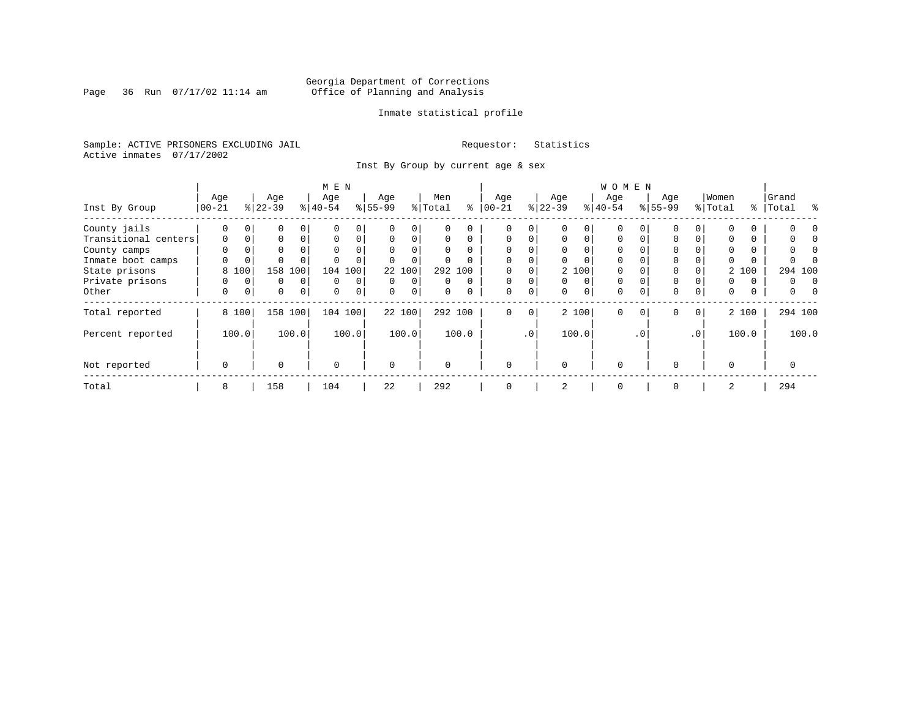Page 36 Run  $07/17/02$  11:14 am

### Inmate statistical profile

Sample: ACTIVE PRISONERS EXCLUDING JAIL **Requestor:** Statistics Active inmates 07/17/2002

Inst By Group by current age & sex

|                      |             |             | M E N     |          |             |          |           |          |         |          | W O M E N   |             |           |          |             |                |             |           |          |          |            |
|----------------------|-------------|-------------|-----------|----------|-------------|----------|-----------|----------|---------|----------|-------------|-------------|-----------|----------|-------------|----------------|-------------|-----------|----------|----------|------------|
|                      | Age         |             | Age       |          | Age         |          | Age       |          | Men     |          | Age         |             | Age       |          | Age         |                | Age         |           | Women    |          | Grand      |
| Inst By Group        | $ 00-21 $   |             | $8 22-39$ |          | $ 40-54 $   |          | $8 55-99$ |          | % Total | ి        | $ 00 - 21$  |             | $ 22-39 $ |          | $8 40-54$   |                | $8155 - 99$ |           | % Total  | ႜ        | ႜ<br>Total |
| County jails         | 0           |             | 0         |          |             | 0        |           |          |         |          | 0           | 0           |           |          | 0           |                |             |           | $\Omega$ | 0        |            |
| Transitional centers | $\mathbf 0$ | $\mathbf 0$ | $\Omega$  | $\Omega$ | $\Omega$    | 0        | $\Omega$  | $\Omega$ | 0       | $\Omega$ | $\Omega$    | $\Omega$    | $\Omega$  | $\Omega$ | $\Omega$    |                | 0           | 0         | $\Omega$ | 0        |            |
| County camps         | $\Omega$    | 0           | $\Omega$  |          | $\Omega$    | 0        |           |          |         |          | $\Omega$    |             |           |          |             |                |             |           | $\Omega$ | 0        |            |
| Inmate boot camps    | 0           | 0           |           |          |             |          |           |          |         |          | $\Omega$    | 0           |           |          | $\Omega$    |                |             |           | 0        | $\Omega$ |            |
| State prisons        | 8           | 100         | 158       | 100      | 104         | 100      |           | 22 100   |         | 292 100  |             |             |           | 2 100    | $\Omega$    |                |             |           |          | 2 100    | 294 100    |
| Private prisons      | 0           | $\Omega$    | 0         | $\Omega$ | $\Omega$    | $\Omega$ | $\Omega$  | $\Omega$ |         | $\Omega$ | $\Omega$    | 0           | $\Omega$  | $\Omega$ | $\Omega$    |                |             |           | $\Omega$ | $\Omega$ | 0          |
| Other                | 0           | $\mathbf 0$ | 0         | 0        | $\mathbf 0$ | 0        | $\Omega$  | 0        | 0       |          | 0           | $\mathbf 0$ | $\Omega$  | $\Omega$ | 0           |                | $\mathbf 0$ | 0         | 0        | 0        | 0          |
| Total reported       |             | 8 100       | 158       | 100      | 104 100     |          |           | 22 100   |         | 292 100  | 0           | 0           |           | 2 100    | $\mathbf 0$ | $\overline{0}$ | 0           | 0         |          | 2 100    | 294 100    |
| Percent reported     |             | 100.0       |           | 100.0    |             | 100.0    |           | 100.0    |         | 100.0    |             | $\cdot$ 0   |           | 100.0    |             | $\cdot$ 0      |             | $\cdot$ 0 |          | 100.0    | 100.0      |
| Not reported         | $\mathbf 0$ |             | $\Omega$  |          | $\Omega$    |          | $\Omega$  |          |         |          | $\Omega$    |             | $\Omega$  |          | $\Omega$    |                | $\Omega$    |           | $\Omega$ |          |            |
| Total                | 8           |             | 158       |          | 104         |          | 22        |          | 292     |          | $\mathbf 0$ |             | 2         |          | 0           |                | $\mathbf 0$ |           | 2        |          | 294        |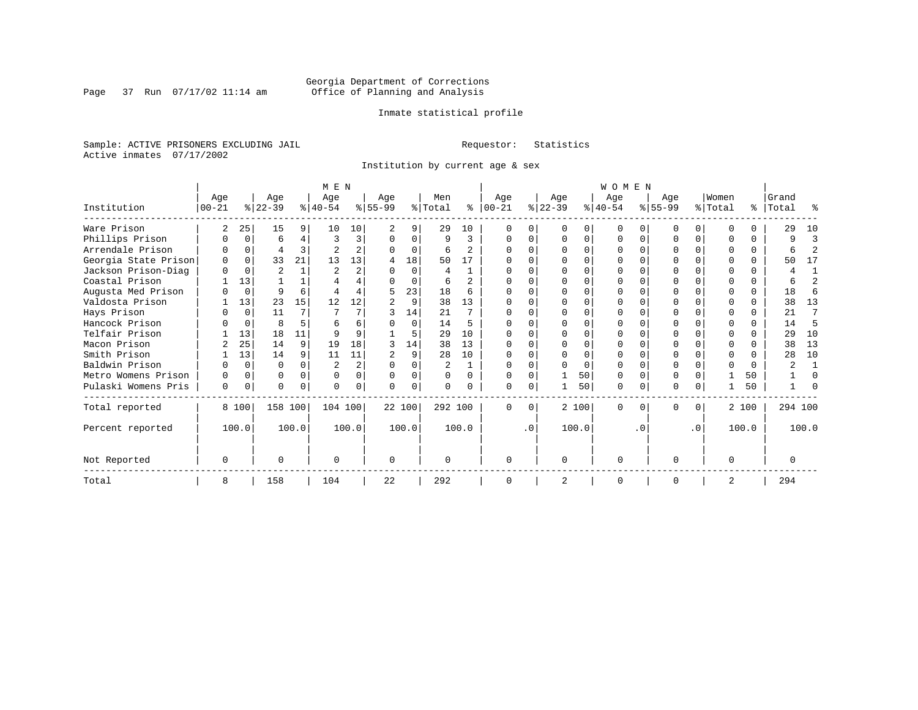Page 37 Run  $07/17/02$  11:14 am

### Inmate statistical profile

Sample: ACTIVE PRISONERS EXCLUDING JAIL **Requestor:** Statistics Active inmates 07/17/2002

Institution by current age & sex

|                      |           |          |                |       | M E N          |                |           |          |          |                |              |           |           |       | WOMEN     |          |           |                  |         |       |           |                |
|----------------------|-----------|----------|----------------|-------|----------------|----------------|-----------|----------|----------|----------------|--------------|-----------|-----------|-------|-----------|----------|-----------|------------------|---------|-------|-----------|----------------|
|                      | Age       |          | Age            |       | Age            |                | Age       |          | Men      |                | Age          |           | Age       |       | Age       |          | Age       |                  | Women   |       | Grand     |                |
| Institution          | $00 - 21$ |          | $ 22-39 $      |       | $ 40-54 $      |                | $8 55-99$ |          | % Total  | ႜ              | $ 00 - 21 $  |           | $ 22-39 $ |       | $ 40-54 $ |          | $ 55-99 $ |                  | % Total |       | %   Total | ႜ              |
| Ware Prison          | 2         | 25       | 15             | 9     | 10             | 10             |           | 9        | 29       | 10             |              |           |           | 0     |           |          |           | $\Omega$         |         |       | 29        | 10             |
| Phillips Prison      |           | 0        | 6              | 4     | 3              | 3              | O         | $\Omega$ | 9        | 3              |              |           |           | 0     |           | O        |           | $\Omega$         |         |       | q         | 3              |
| Arrendale Prison     |           |          | 4              | 3     |                | $\overline{a}$ |           | 0        | 6        | $\mathfrak{D}$ |              |           |           |       |           |          |           |                  |         |       |           | $\mathfrak{D}$ |
| Georgia State Prison |           | $\Omega$ | 33             | 21    | 13             | 13             | 4         | 18       | 50       | 17             |              |           |           |       |           |          |           |                  |         |       | 50        | 17             |
| Jackson Prison-Diag  |           | $\Omega$ | $\overline{2}$ |       | $\overline{2}$ | $\overline{a}$ | U         | $\Omega$ | 4        | 1              |              |           |           |       |           |          |           |                  |         |       |           | 1              |
| Coastal Prison       |           | 13       |                |       |                | 4              |           | $\Omega$ | 6        | $\overline{a}$ |              |           |           |       |           |          |           |                  |         | C.    |           | $\mathfrak{D}$ |
| Augusta Med Prison   |           | $\Omega$ | 9              | 6     |                |                | 5         | 23       | 18       | 6              |              |           |           |       |           |          |           |                  |         | 0     | 18        | 6              |
| Valdosta Prison      |           | 13       | 23             | 15    | 12             | 12             |           | 9        | 38       | 13             | <sup>0</sup> |           |           |       |           |          |           |                  |         |       | 38        | 13             |
| Hays Prison          |           | 0        | 11             | 7     |                |                |           | 14       | 21       | 7              |              |           |           | U     |           |          |           | U                |         |       | 21        | 7              |
| Hancock Prison       |           | $\Omega$ | 8              | 5     |                | 6              |           | $\Omega$ | 14       | 5              |              |           |           |       |           |          |           | <sup>n</sup>     |         |       | 14        | 5              |
| Telfair Prison       |           | 13       | 18             | 11    |                |                |           | 5        | 29       | 10             |              |           |           |       |           |          |           |                  |         |       | 29        | 10             |
| Macon Prison         |           | 25       | 14             | 9     | 19             | 18             |           | 14       | 38       | 13             |              |           |           |       |           |          |           |                  |         |       | 38        | 13             |
| Smith Prison         |           | 13       | 14             | 9     | 11             | 11             |           | 9        | 28       | 10             |              |           |           | O     |           |          |           | 0                |         |       | 28        | 10             |
| Baldwin Prison       |           | $\Omega$ | O              |       |                | $\overline{a}$ | U         | $\Omega$ | 2        |                |              |           |           | U     |           |          |           |                  |         |       |           |                |
| Metro Womens Prison  |           | $\Omega$ | 0              |       | $\Omega$       | 0              | $\Omega$  | 0        | $\Omega$ | $\Omega$       |              |           |           | 50    |           |          |           |                  |         | 50    |           | $\Omega$       |
| Pulaski Womens Pris  | 0         | 0        | 0              | 0     | $\Omega$       | 0              | $\Omega$  | 0        | $\Omega$ | 0              | O            |           |           | 50    | $\Omega$  | 0        | 0         | 0                |         | 50    |           | $\Omega$       |
| Total reported       |           | 8 100    | 158 100        |       | 104 100        |                |           | 22 100   | 292 100  |                | $\Omega$     | $\Omega$  |           | 2 100 | $\Omega$  | $\Omega$ | U         | $\Omega$         |         | 2 100 | 294 100   |                |
| Percent reported     |           | 100.0    |                | 100.0 |                | 100.0          |           | 100.0    |          | 100.0          |              | $\cdot$ 0 |           | 100.0 |           | . 0      |           | $\overline{0}$ . |         | 100.0 |           | 100.0          |
| Not Reported         | $\Omega$  |          | U              |       | $\Omega$       |                | $\Omega$  |          | $\Omega$ |                | ∩            |           | $\Omega$  |       | U         |          | U         |                  |         |       |           |                |
| Total                | 8         |          | 158            |       | 104            |                | 22        |          | 292      |                | ∩            |           | 2         |       | $\Omega$  |          | O         |                  | 2       |       | 294       |                |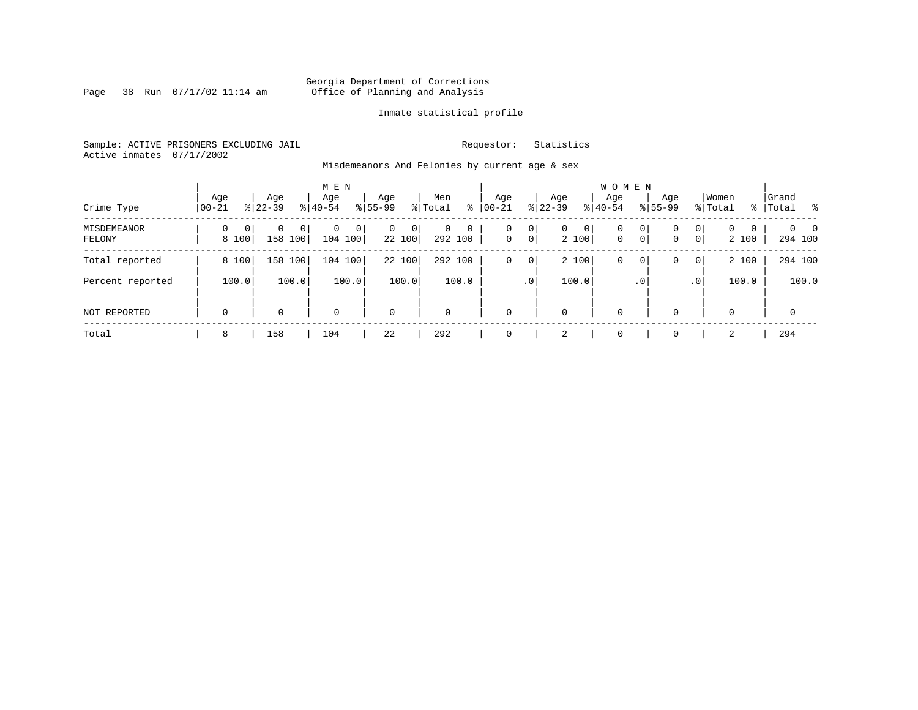Page 38 Run  $07/17/02$  11:14 am

### Inmate statistical profile

Sample: ACTIVE PRISONERS EXCLUDING JAIL **Requestor:** Statistics Active inmates 07/17/2002

Misdemeanors And Felonies by current age & sex

| Crime Type            | Age<br>  00-21                      | Age<br>$8 22-39$  | M E N<br>Age<br>$8 40-54$   | Age<br>$8155 - 99$      | Men<br>ႜ<br>% Total      | Age<br>$00 - 21$  | Age<br>$ 22-39 $                    | <b>WOMEN</b><br>Aqe<br>$ 40-54 $ | Age<br>$8155 - 99$          | Women<br>% Total                                | Grand<br>%   Total         |
|-----------------------|-------------------------------------|-------------------|-----------------------------|-------------------------|--------------------------|-------------------|-------------------------------------|----------------------------------|-----------------------------|-------------------------------------------------|----------------------------|
| MISDEMEANOR<br>FELONY | $\Omega$<br>0 <sup>1</sup><br>8 100 | 0<br>0<br>158 100 | $\mathbf 0$<br>0<br>104 100 | $\Omega$<br>0<br>22 100 | $\Omega$<br>0<br>292 100 | 0<br>$\mathbf{0}$ | 0<br>$\mathbf{0}$<br>$\overline{0}$ | 0 <br>0<br>2 100<br>$\mathbf 0$  | 0<br>0<br>$\mathbf{0}$<br>0 | $\overline{0}$<br>$\Omega$<br>0<br> 0 <br>2 100 | $\Omega$<br>- 0<br>294 100 |
| Total reported        | 8 100                               | 158 100           | 104 100                     | 22 100                  | 292 100                  | 0                 | 0                                   | 2 100<br>0                       | 0<br>0                      | 2 100<br>0 <sup>1</sup>                         | 294 100                    |
| Percent reported      | 100.0                               | 100.0             | 100.0                       | 100.0                   | 100.0                    |                   | .0'                                 | 100.0                            | $.0^{\circ}$                | 100.0<br>.0 <sup>1</sup>                        | 100.0                      |
| NOT REPORTED          | $\mathbf 0$                         | 0                 | $\mathbf 0$                 | $\mathbf 0$             | $\Omega$                 | $\mathbf{0}$      | $\mathbf 0$                         | 0                                | $\Omega$                    | $\Omega$                                        | $\mathbf 0$                |
| Total                 | 8                                   | 158               | 104                         | 22                      | 292                      | $\mathbf{0}$      | 2                                   | 0                                | $\Omega$                    | 2                                               | 294                        |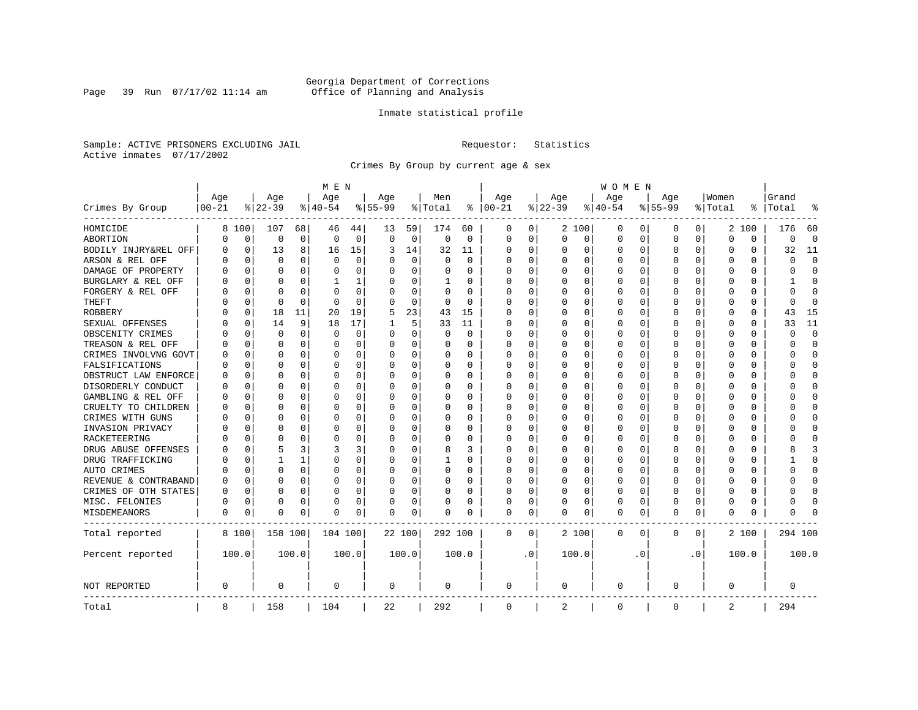Page 39 Run  $07/17/02$  11:14 am

### Inmate statistical profile

Sample: ACTIVE PRISONERS EXCLUDING JAIL **Requestor:** Statistics Active inmates 07/17/2002

Crimes By Group by current age & sex

|                      | M E N     |             |           |          |                |          |             |             |          |          |             | <b>WOMEN</b> |          |          |             |          |              |           |          |          |         |                |  |  |
|----------------------|-----------|-------------|-----------|----------|----------------|----------|-------------|-------------|----------|----------|-------------|--------------|----------|----------|-------------|----------|--------------|-----------|----------|----------|---------|----------------|--|--|
|                      | Age       |             | Age       |          | Age            |          | Age         |             | Men      |          | Age         |              | Age      |          | Age         |          | Aqe          |           | Women    |          | Grand   |                |  |  |
| Crimes By Group      | $00 - 21$ |             | $8 22-39$ |          | $8 40-54$      |          | $8155 - 99$ |             | % Total  | ႜ        | $ 00-21$    |              | $ 22-39$ |          | $8 40-54$   |          | $8155 - 99$  |           | % Total  | ႜ        | Total   |                |  |  |
| HOMICIDE             | 8         | 100         | 107       | 68       | 46             | 44       | 13          | 59          | 174      | 60       | 0           | 0            |          | 2 100    | 0           | 0        | 0            | 0         |          | 2 100    | 176     | 60             |  |  |
| ABORTION             | O         | $\mathbf 0$ | 0         | 0        | $\overline{0}$ | 0        | $\Omega$    | $\mathbf 0$ | 0        | 0        | $\mathbf 0$ | 0            | 0        | 0        | 0           | 0        | $\Omega$     | 0         | O        | 0        | 0       | $\overline{0}$ |  |  |
| BODILY INJRY&REL OFF | 0         | 0           | 13        | 8        | 16             | 15       | 3           | 14          | 32       | 11       | $\Omega$    | 0            | $\Omega$ | 0        | 0           | 0        | 0            | 0         | 0        | 0        | 32      | 11             |  |  |
| ARSON & REL OFF      | N         | $\mathbf 0$ | $\Omega$  | 0        | $\Omega$       | 0        |             | 0           | $\Omega$ | $\Omega$ | 0           | 0            | $\Omega$ | $\Omega$ | 0           | $\Omega$ |              | 0         | 0        | 0        | U       | $\Omega$       |  |  |
| DAMAGE OF PROPERTY   |           | $\Omega$    | $\Omega$  | $\Omega$ | $\Omega$       | 0        |             | $\Omega$    | 0        | O        | $\Omega$    | O            | $\Omega$ | $\Omega$ | 0           | C        | <sup>0</sup> | 0         | O        | $\Omega$ | U       | $\Omega$       |  |  |
| BURGLARY & REL OFF   |           | $\Omega$    | O         | $\Omega$ | 1              | 1        |             | $\Omega$    | 1        | 0        | 0           | 0            | $\Omega$ | $\Omega$ | 0           | $\Omega$ | <sup>0</sup> | $\Omega$  | O        | $\Omega$ |         | <sup>0</sup>   |  |  |
| FORGERY & REL OFF    |           | $\mathbf 0$ | O         | $\Omega$ | $\Omega$       | 0        |             | $\Omega$    | $\Omega$ | $\Omega$ | C           | 0            | $\Omega$ | $\Omega$ | 0           | $\Omega$ | <sup>0</sup> | $\Omega$  | 0        | $\Omega$ | U       | $\Omega$       |  |  |
| THEFT                |           | 0           | $\Omega$  | $\Omega$ | $\Omega$       | $\Omega$ | O           | $\Omega$    | 0        | $\Omega$ | $\Omega$    | 0            | $\Omega$ | $\Omega$ | O           | $\Omega$ | <sup>0</sup> | $\Omega$  | O        | $\Omega$ | U       | $\Omega$       |  |  |
| <b>ROBBERY</b>       |           | 0           | 18        | 11       | 20             | 19       | 5           | 23          | 43       | 15       | $\Omega$    | 0            | O        | $\Omega$ | 0           | 0        | O            | $\Omega$  | O        | 0        | 43      | 15             |  |  |
| SEXUAL OFFENSES      |           | 0           | 14        | 9        | 18             | 17       |             | 5           | 33       | 11       | $\Omega$    | 0            | O        | $\Omega$ | 0           | O        | <sup>0</sup> | O         | O        | O        | 33      | 11             |  |  |
| OBSCENITY CRIMES     |           | $\Omega$    | $\Omega$  | 0        | $\Omega$       | 0        | ∩           | $\Omega$    | 0        | $\Omega$ | $\Omega$    | 0            | $\Omega$ | $\Omega$ | O           | $\Omega$ | ∩            | $\Omega$  | U        | 0        | U       | $\Omega$       |  |  |
| TREASON & REL OFF    |           | $\mathbf 0$ | O         | $\Omega$ | $\Omega$       | 0        | O           | 0           | 0        | 0        | 0           | 0            | O        | 0        | 0           | $\Omega$ | O            | $\Omega$  | O        | 0        | O       | $\Omega$       |  |  |
| CRIMES INVOLVNG GOVT |           | $\mathbf 0$ | O         | $\Omega$ | O              | O        |             | $\Omega$    | 0        | O        | O           | 0            | O        | $\Omega$ | C           | C        | <sup>0</sup> | $\Omega$  | O        | $\Omega$ | U       | $\Omega$       |  |  |
| FALSIFICATIONS       |           | 0           | O         | 0        | O              | 0        |             | 0           | 0        | 0        | $\Omega$    | 0            | $\Omega$ | $\Omega$ | 0           | $\Omega$ | <sup>0</sup> | $\Omega$  | O        | 0        | በ       | $\Omega$       |  |  |
| OBSTRUCT LAW ENFORCE | O         | 0           | O         | 0        | O              | 0        |             | 0           | 0        | O        | $\Omega$    | 0            | $\Omega$ | $\Omega$ | 0           | $\Omega$ |              | 0         | O        | 0        |         | <sup>0</sup>   |  |  |
| DISORDERLY CONDUCT   |           | $\mathbf 0$ | U         | $\Omega$ | $\Omega$       | 0        |             | $\Omega$    | 0        | O        | $\Omega$    | O            | $\Omega$ | $\Omega$ | 0           | C        | ∩            | $\Omega$  | O        | 0        |         | $\cap$         |  |  |
| GAMBLING & REL OFF   | O         | $\mathbf 0$ | O         | $\Omega$ | $\Omega$       | 0        | ∩           | $\Omega$    | $\Omega$ | 0        | $\Omega$    | 0            | $\Omega$ | $\Omega$ | 0           | $\Omega$ | $\Omega$     | $\Omega$  | U        | 0        | ∩       | $\cap$         |  |  |
| CRUELTY TO CHILDREN  |           | $\mathbf 0$ | O         | $\Omega$ | 0              | 0        |             | 0           | 0        | 0        | $\Omega$    | 0            | $\Omega$ | 0        | 0           | $\Omega$ | <sup>0</sup> | $\Omega$  | O        | 0        | U       | <sup>0</sup>   |  |  |
| CRIMES WITH GUNS     |           | $\mathbf 0$ | $\Omega$  | $\Omega$ | $\Omega$       | 0        |             | 0           | 0        | $\Omega$ | $\Omega$    | 0            | $\Omega$ | $\Omega$ | 0           | $\Omega$ | <sup>0</sup> | $\Omega$  | $\Omega$ | 0        |         | $\cap$         |  |  |
| INVASION PRIVACY     |           | $\mathbf 0$ | O         | $\Omega$ | $\Omega$       | 0        |             | 0           | 0        | 0        | $\Omega$    | 0            | $\Omega$ | 0        | 0           | $\Omega$ | <sup>0</sup> | $\Omega$  | O        | 0        |         | $\cap$         |  |  |
| RACKETEERING         |           | $\mathbf 0$ | $\Omega$  | 0        | O              | 0        |             | 0           | 0        | 0        | $\Omega$    | 0            | $\Omega$ | $\Omega$ | 0           | $\Omega$ |              | 0         | O        | 0        |         | <sup>0</sup>   |  |  |
| DRUG ABUSE OFFENSES  |           | $\Omega$    | 5         | 3        | 3              | 3        |             | $\Omega$    | 8        | 3        | $\Omega$    | O            | $\Omega$ | $\Omega$ | 0           | C        | <sup>0</sup> | $\Omega$  | O        | $\Omega$ |         | κ              |  |  |
| DRUG TRAFFICKING     |           | $\Omega$    |           | 1        | O              | 0        | O           | $\Omega$    | 1        | 0        | 0           | 0            | O        | $\Omega$ | O           | $\Omega$ | <sup>0</sup> | $\Omega$  | O        | 0        |         | <sup>0</sup>   |  |  |
| AUTO CRIMES          |           | $\mathbf 0$ | $\Omega$  | $\Omega$ | O              | 0        | O           | $\mathbf 0$ | 0        | 0        | 0           | 0            | 0        | 0        | 0           | $\Omega$ | <sup>0</sup> | $\Omega$  | O        | U        | ი       | $\Omega$       |  |  |
| REVENUE & CONTRABAND |           | $\mathbf 0$ | O         | $\Omega$ | O              | 0        | O           | $\Omega$    | 0        | $\Omega$ | $\Omega$    | 0            | $\Omega$ | $\Omega$ | 0           | $\Omega$ | <sup>0</sup> | $\Omega$  | O        | 0        | U       | $\Omega$       |  |  |
| CRIMES OF OTH STATES | O         | 0           | O         | $\Omega$ | 0              | 0        | $\Omega$    | 0           | 0        | 0        | $\Omega$    | 0            | O        | $\Omega$ | 0           | O        | <sup>0</sup> | $\Omega$  | O        | 0        | U       | <sup>0</sup>   |  |  |
| MISC. FELONIES       | O         | 0           | O         | 0        | O              | 0        |             | 0           | 0        | 0        | 0           | 0            | O        | 0        | 0           | 0        | <sup>0</sup> | 0         | O        | 0        |         | ſ              |  |  |
| MISDEMEANORS         | 0         | 0           | O         | 0        | 0              | 0        | $\Omega$    | 0           | 0        | O        | 0           | 0            | $\Omega$ | 0        | 0           | 0        | <sup>0</sup> | 0         | O        | 0        | በ       |                |  |  |
| Total reported       |           | 8 100       | 158 100   |          | 104 100        |          |             | 22 100      | 292 100  |          | 0           | 0            |          | 2 100    | 0           | 0        | 0            | 0         |          | 2 100    | 294 100 |                |  |  |
| Percent reported     |           | 100.0       |           | 100.0    |                | 100.0    |             | 100.0       |          | 100.0    |             | $\cdot$ 0    |          | 100.0    |             | . 0      |              | $\cdot$ 0 |          | 100.0    |         | 100.0          |  |  |
| NOT REPORTED         | 0         |             | $\Omega$  |          | $\Omega$       |          | $\Omega$    |             | 0        |          | $\Omega$    |              | $\Omega$ |          | 0           |          | $\Omega$     |           | $\Omega$ |          | 0       |                |  |  |
| Total                | 8         |             | 158       |          | 104            |          | 22          |             | 292      |          | $\mathbf 0$ |              | 2        |          | $\mathbf 0$ |          | $\Omega$     |           | 2        |          | 294     |                |  |  |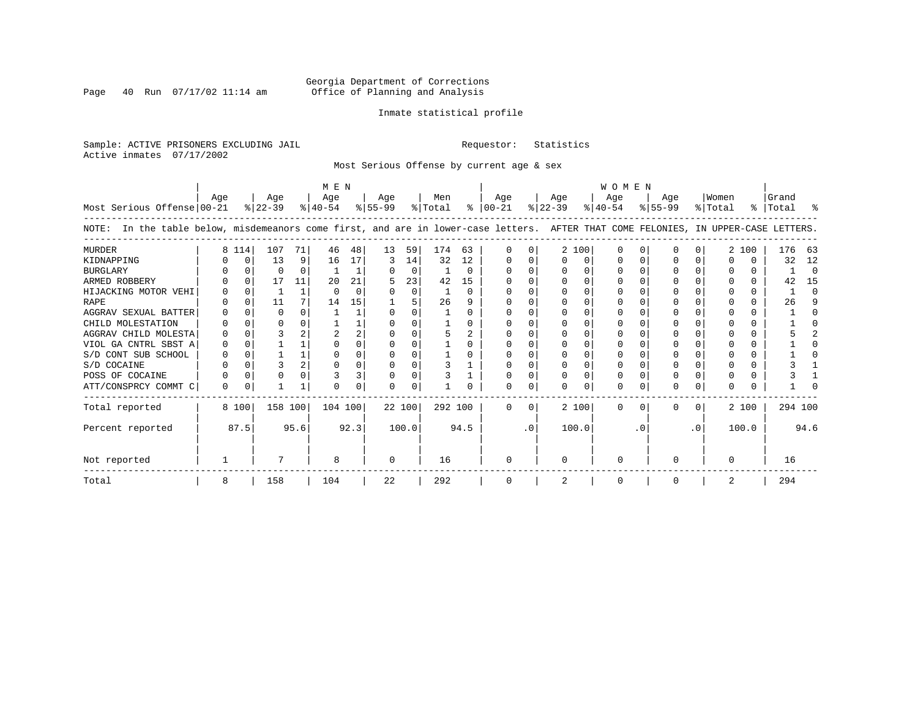Page 40 Run  $07/17/02$  11:14 am

### Inmate statistical profile

Sample: ACTIVE PRISONERS EXCLUDING JAIL **Requestor:** Statistics Active inmates 07/17/2002

Most Serious Offense by current age & sex

|                                                                                                                                    | M E N |          |                  |              |                  |      |                  |          |                |                |                 | WOMEN    |                  |   |                  |           |                    |           |                  |          |                      |          |
|------------------------------------------------------------------------------------------------------------------------------------|-------|----------|------------------|--------------|------------------|------|------------------|----------|----------------|----------------|-----------------|----------|------------------|---|------------------|-----------|--------------------|-----------|------------------|----------|----------------------|----------|
| Most Serious Offense 00-21                                                                                                         | Age   |          | Age<br>$8 22-39$ |              | Age<br>$ 40-54 $ |      | Age<br>$ 55-99 $ |          | Men<br>% Total | ႜၟ             | Age<br>$ 00-21$ |          | Age<br>$ 22-39 $ |   | Age<br>$8 40-54$ |           | Age<br>$8155 - 99$ |           | Women<br>% Total |          | l Grand<br>% Total % |          |
| NOTE: In the table below, misdemeanors come first, and are in lower-case letters. AFTER THAT COME FELONIES, IN UPPER-CASE LETTERS. |       |          |                  |              |                  |      |                  |          |                |                |                 |          |                  |   |                  |           |                    |           |                  |          |                      |          |
| <b>MURDER</b>                                                                                                                      |       | 8 1 1 4  | 107              | 71           | 46               | 48   | 13               | 59       | 174            | 63             |                 |          | 2 100            |   | $\Omega$         |           |                    |           |                  | 2 100    | 176                  | 63       |
| KIDNAPPING                                                                                                                         |       | $\Omega$ | 13               | 9            | 16               | 17   | 3                | 14       | 32             | 12             | U               |          |                  | U |                  |           |                    | 0         | ∩                | 0        | 32                   | 12       |
| <b>BURGLARY</b>                                                                                                                    |       | $\Omega$ |                  | 0            |                  |      |                  | $\Omega$ |                | $\Omega$       |                 |          |                  |   |                  |           |                    |           |                  | 0        |                      | $\Omega$ |
| ARMED ROBBERY                                                                                                                      |       |          | 17               | 11           | 20               | 21   | 5                | 23       | 42             | 15             |                 |          |                  |   |                  |           |                    |           |                  | 0        | 42                   | 15       |
| HIJACKING MOTOR VEHI                                                                                                               |       |          |                  |              | $\cap$           |      |                  | $\Omega$ |                | $\Omega$       |                 |          |                  |   |                  |           |                    |           |                  | 0        |                      | ∩        |
| <b>RAPE</b>                                                                                                                        |       | $\Omega$ | 11               |              | 14               | 15   |                  | 5        | 26             | 9              |                 |          |                  |   |                  |           |                    |           |                  | 0        | 26                   | 9        |
| AGGRAV SEXUAL BATTER                                                                                                               |       |          |                  | <sup>n</sup> |                  |      | $\Omega$         | U        |                | $\cap$         |                 |          |                  |   |                  |           |                    |           |                  | $\Omega$ |                      |          |
| CHILD MOLESTATION                                                                                                                  |       |          |                  |              |                  |      |                  |          |                | <sup>0</sup>   |                 |          |                  |   |                  |           |                    |           |                  | 0        |                      |          |
| AGGRAV CHILD MOLESTA                                                                                                               |       |          |                  |              |                  | 2    |                  |          |                | $\mathfrak{D}$ |                 |          |                  |   |                  |           |                    |           |                  | 0        |                      |          |
| VIOL GA CNTRL SBST A                                                                                                               |       |          |                  |              |                  |      |                  |          |                | $\Omega$       |                 |          |                  |   |                  |           |                    |           |                  | 0        |                      |          |
| S/D CONT SUB SCHOOL                                                                                                                |       |          |                  |              |                  |      |                  |          |                |                |                 |          |                  |   |                  |           |                    |           |                  | 0        |                      |          |
| S/D COCAINE                                                                                                                        |       |          |                  |              |                  |      |                  |          |                |                |                 |          |                  |   |                  |           |                    |           |                  | 0        |                      |          |
| POSS OF COCAINE                                                                                                                    |       | $\Omega$ |                  |              |                  | 3    |                  | 0        |                |                |                 |          |                  | U |                  |           |                    |           |                  | 0        |                      |          |
| ATT/CONSPRCY COMMT C                                                                                                               | O     | $\Omega$ |                  |              |                  | 0    | U                | 0        |                |                |                 |          |                  | 0 |                  |           |                    | 0         | $\Omega$         |          |                      |          |
| Total reported                                                                                                                     |       | 8 100    | 158 100          |              | 104 100          |      |                  | 22 100   | 292 100        |                | 0               | $\Omega$ | 2 100            |   | $\Omega$         | $\Omega$  | 0                  | $\Omega$  |                  | 2 100    | 294 100              |          |
| Percent reported                                                                                                                   |       | 87.5     |                  | 95.6         |                  | 92.3 |                  | 100.0    |                | 94.5           |                 | .0       | 100.0            |   |                  | $\cdot$ 0 |                    | $\cdot$ 0 |                  | 100.0    |                      | 94.6     |
| Not reported                                                                                                                       |       |          |                  |              | 8                |      | 0                |          | 16             |                |                 |          |                  |   | ∩                |           | U                  |           | $\Omega$         |          | 16                   |          |
| Total                                                                                                                              | 8     |          | 158              |              | 104              |      | 22               |          | 292            |                |                 |          | 2                |   | $\Omega$         |           |                    |           | 2                |          | 294                  |          |